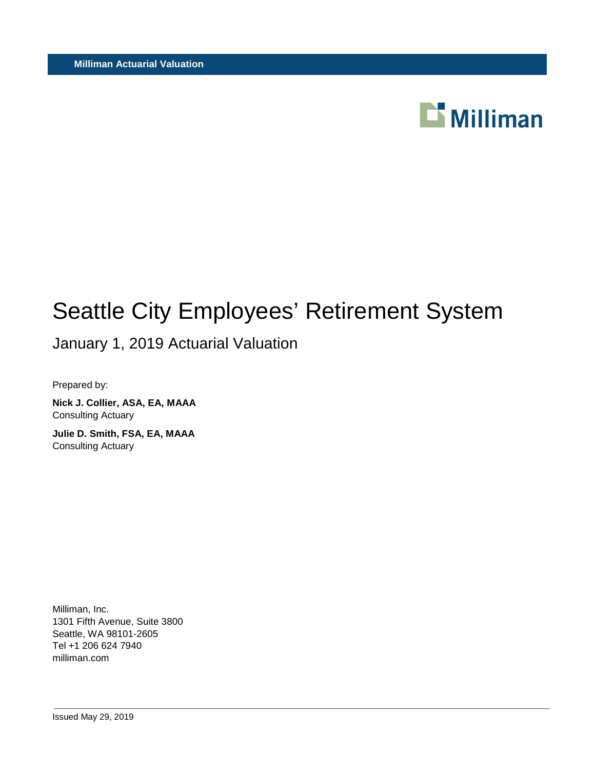

# Seattle City Employees' Retirement System

January 1, 2019 Actuarial Valuation

Prepared by:

**Nick J. Collier, ASA, EA, MAAA** Consulting Actuary

**Julie D. Smith, FSA, EA, MAAA** Consulting Actuary

Milliman, Inc. 1301 Fifth Avenue, Suite 3800 Seattle, WA 98101-2605 Tel +1 206 624 7940 milliman.com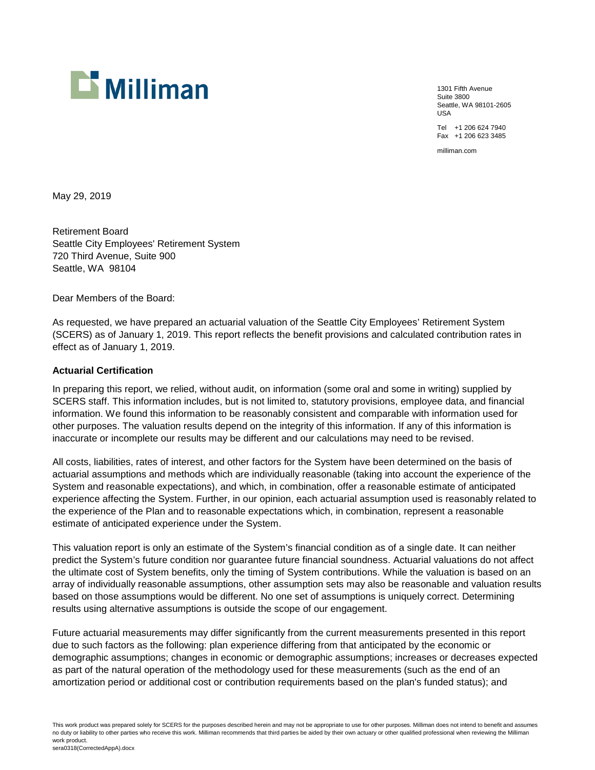

1301 Fifth Avenue Suite 3800 Seattle, WA 98101-2605 USA Tel +1 206 624 7940

Fax +1 206 623 3485

milliman.com

May 29, 2019

Retirement Board Seattle City Employees' Retirement System 720 Third Avenue, Suite 900 Seattle, WA 98104

Dear Members of the Board:

As requested, we have prepared an actuarial valuation of the Seattle City Employees' Retirement System (SCERS) as of January 1, 2019. This report reflects the benefit provisions and calculated contribution rates in effect as of January 1, 2019.

#### **Actuarial Certification**

In preparing this report, we relied, without audit, on information (some oral and some in writing) supplied by SCERS staff. This information includes, but is not limited to, statutory provisions, employee data, and financial information. We found this information to be reasonably consistent and comparable with information used for other purposes. The valuation results depend on the integrity of this information. If any of this information is inaccurate or incomplete our results may be different and our calculations may need to be revised.

All costs, liabilities, rates of interest, and other factors for the System have been determined on the basis of actuarial assumptions and methods which are individually reasonable (taking into account the experience of the System and reasonable expectations), and which, in combination, offer a reasonable estimate of anticipated experience affecting the System. Further, in our opinion, each actuarial assumption used is reasonably related to the experience of the Plan and to reasonable expectations which, in combination, represent a reasonable estimate of anticipated experience under the System.

This valuation report is only an estimate of the System's financial condition as of a single date. It can neither predict the System's future condition nor guarantee future financial soundness. Actuarial valuations do not affect the ultimate cost of System benefits, only the timing of System contributions. While the valuation is based on an array of individually reasonable assumptions, other assumption sets may also be reasonable and valuation results based on those assumptions would be different. No one set of assumptions is uniquely correct. Determining results using alternative assumptions is outside the scope of our engagement.

Future actuarial measurements may differ significantly from the current measurements presented in this report due to such factors as the following: plan experience differing from that anticipated by the economic or demographic assumptions; changes in economic or demographic assumptions; increases or decreases expected as part of the natural operation of the methodology used for these measurements (such as the end of an amortization period or additional cost or contribution requirements based on the plan's funded status); and

This work product was prepared solely for SCERS for the purposes described herein and may not be appropriate to use for other purposes. Milliman does not intend to benefit and assumes no duty or liability to other parties who receive this work. Milliman recommends that third parties be aided by their own actuary or other qualified professional when reviewing the Milliman work product. sera0318(CorrectedAppA).docx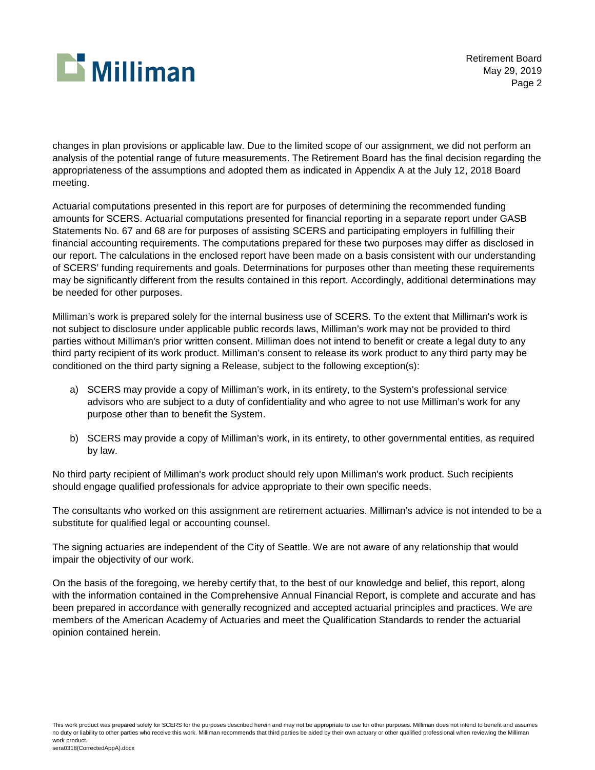

Retirement Board May 29, 2019 Page 2

changes in plan provisions or applicable law. Due to the limited scope of our assignment, we did not perform an analysis of the potential range of future measurements. The Retirement Board has the final decision regarding the appropriateness of the assumptions and adopted them as indicated in Appendix A at the July 12, 2018 Board meeting.

Actuarial computations presented in this report are for purposes of determining the recommended funding amounts for SCERS. Actuarial computations presented for financial reporting in a separate report under GASB Statements No. 67 and 68 are for purposes of assisting SCERS and participating employers in fulfilling their financial accounting requirements. The computations prepared for these two purposes may differ as disclosed in our report. The calculations in the enclosed report have been made on a basis consistent with our understanding of SCERS' funding requirements and goals. Determinations for purposes other than meeting these requirements may be significantly different from the results contained in this report. Accordingly, additional determinations may be needed for other purposes.

Milliman's work is prepared solely for the internal business use of SCERS. To the extent that Milliman's work is not subject to disclosure under applicable public records laws, Milliman's work may not be provided to third parties without Milliman's prior written consent. Milliman does not intend to benefit or create a legal duty to any third party recipient of its work product. Milliman's consent to release its work product to any third party may be conditioned on the third party signing a Release, subject to the following exception(s):

- a) SCERS may provide a copy of Milliman's work, in its entirety, to the System's professional service advisors who are subject to a duty of confidentiality and who agree to not use Milliman's work for any purpose other than to benefit the System.
- b) SCERS may provide a copy of Milliman's work, in its entirety, to other governmental entities, as required by law.

No third party recipient of Milliman's work product should rely upon Milliman's work product. Such recipients should engage qualified professionals for advice appropriate to their own specific needs.

The consultants who worked on this assignment are retirement actuaries. Milliman's advice is not intended to be a substitute for qualified legal or accounting counsel.

The signing actuaries are independent of the City of Seattle. We are not aware of any relationship that would impair the objectivity of our work.

On the basis of the foregoing, we hereby certify that, to the best of our knowledge and belief, this report, along with the information contained in the Comprehensive Annual Financial Report, is complete and accurate and has been prepared in accordance with generally recognized and accepted actuarial principles and practices. We are members of the American Academy of Actuaries and meet the Qualification Standards to render the actuarial opinion contained herein.

This work product was prepared solely for SCERS for the purposes described herein and may not be appropriate to use for other purposes. Milliman does not intend to benefit and assumes no duty or liability to other parties who receive this work. Milliman recommends that third parties be aided by their own actuary or other qualified professional when reviewing the Milliman work product. sera0318(CorrectedAppA).docx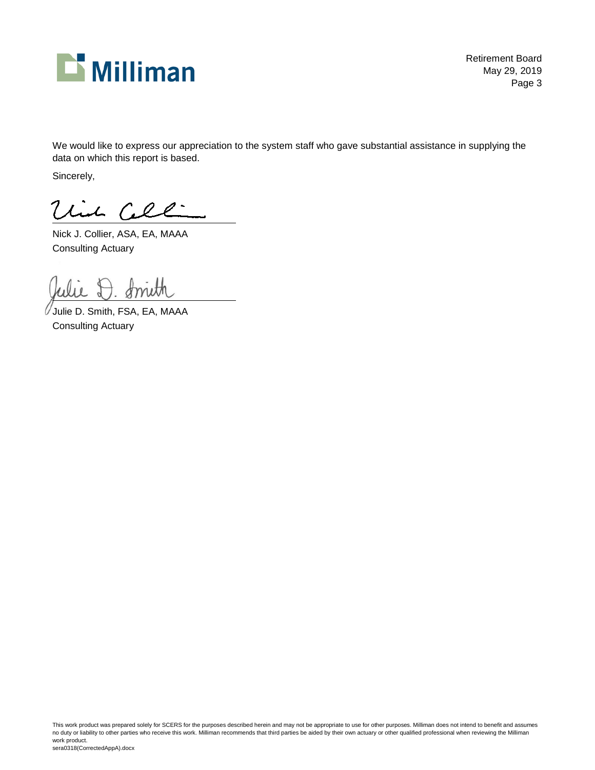

Retirement Board May 29, 2019 Page 3

We would like to express our appreciation to the system staff who gave substantial assistance in supplying the data on which this report is based.

Sincerely,

Vin Cel :

Nick J. Collier, ASA, EA, MAAA Consulting Actuary

Julie D. Smith, FSA, EA, MAAA Consulting Actuary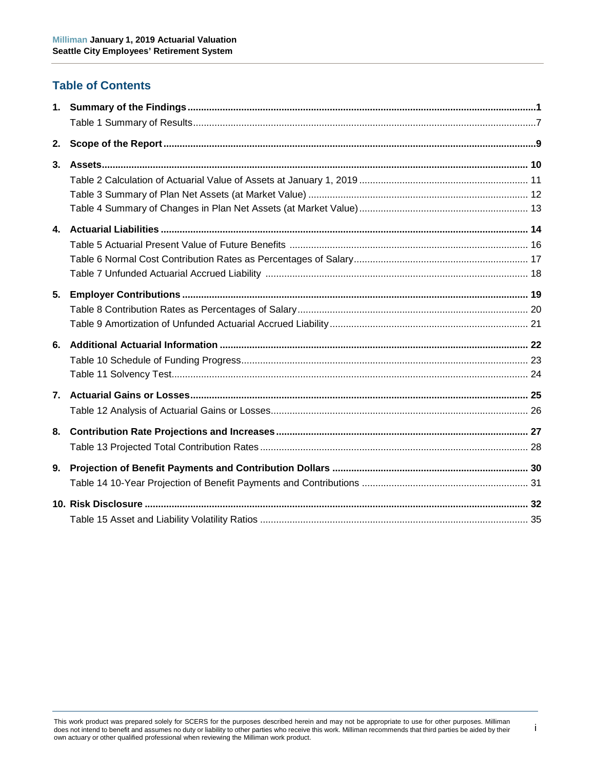# **Table of Contents**

| 2.             |  |
|----------------|--|
| 3 <sub>1</sub> |  |
|                |  |
|                |  |
|                |  |
|                |  |
|                |  |
|                |  |
|                |  |
| 5.             |  |
|                |  |
|                |  |
| 6.             |  |
|                |  |
|                |  |
|                |  |
|                |  |
| 8.             |  |
|                |  |
| 9.             |  |
|                |  |
|                |  |
|                |  |

i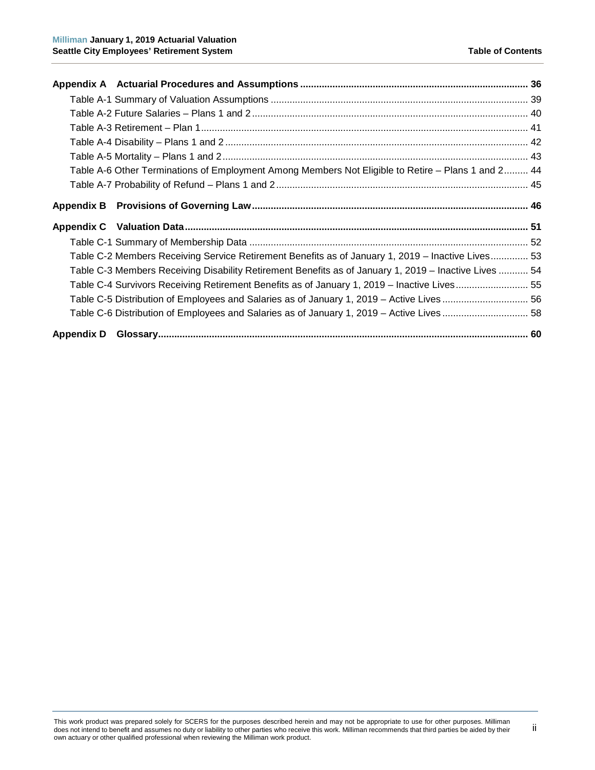| Table A-6 Other Terminations of Employment Among Members Not Eligible to Retire - Plans 1 and 2 44    |
|-------------------------------------------------------------------------------------------------------|
|                                                                                                       |
|                                                                                                       |
|                                                                                                       |
|                                                                                                       |
|                                                                                                       |
| Table C-2 Members Receiving Service Retirement Benefits as of January 1, 2019 - Inactive Lives 53     |
| Table C-3 Members Receiving Disability Retirement Benefits as of January 1, 2019 - Inactive Lives  54 |
| Table C-4 Survivors Receiving Retirement Benefits as of January 1, 2019 - Inactive Lives 55           |
| Table C-5 Distribution of Employees and Salaries as of January 1, 2019 - Active Lives  56             |
| Table C-6 Distribution of Employees and Salaries as of January 1, 2019 - Active Lives  58             |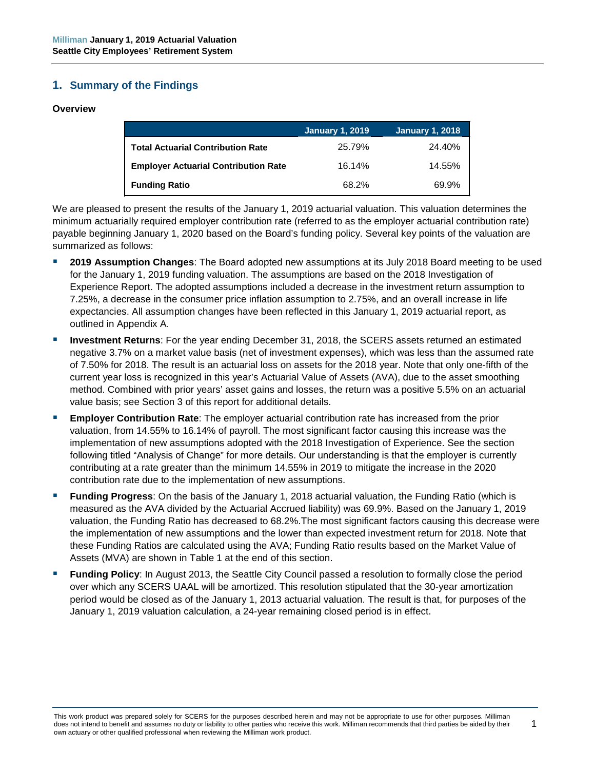# <span id="page-6-0"></span>**1. Summary of the Findings**

#### **Overview**

|                                             | <b>January 1, 2019</b> | January 1, 2018 |
|---------------------------------------------|------------------------|-----------------|
| <b>Total Actuarial Contribution Rate</b>    | 25.79%                 | 24.40%          |
| <b>Employer Actuarial Contribution Rate</b> | 16.14%                 | 14.55%          |
| <b>Funding Ratio</b>                        | 68.2%                  | 69.9%           |

We are pleased to present the results of the January 1, 2019 actuarial valuation. This valuation determines the minimum actuarially required employer contribution rate (referred to as the employer actuarial contribution rate) payable beginning January 1, 2020 based on the Board's funding policy. Several key points of the valuation are summarized as follows:

- **2019 Assumption Changes**: The Board adopted new assumptions at its July 2018 Board meeting to be used for the January 1, 2019 funding valuation. The assumptions are based on the 2018 Investigation of Experience Report. The adopted assumptions included a decrease in the investment return assumption to 7.25%, a decrease in the consumer price inflation assumption to 2.75%, and an overall increase in life expectancies. All assumption changes have been reflected in this January 1, 2019 actuarial report, as outlined in Appendix A.
- **Investment Returns**: For the year ending December 31, 2018, the SCERS assets returned an estimated negative 3.7% on a market value basis (net of investment expenses), which was less than the assumed rate of 7.50% for 2018. The result is an actuarial loss on assets for the 2018 year. Note that only one-fifth of the current year loss is recognized in this year's Actuarial Value of Assets (AVA), due to the asset smoothing method. Combined with prior years' asset gains and losses, the return was a positive 5.5% on an actuarial value basis; see Section 3 of this report for additional details.
- **Employer Contribution Rate**: The employer actuarial contribution rate has increased from the prior valuation, from 14.55% to 16.14% of payroll. The most significant factor causing this increase was the implementation of new assumptions adopted with the 2018 Investigation of Experience. See the section following titled "Analysis of Change" for more details. Our understanding is that the employer is currently contributing at a rate greater than the minimum 14.55% in 2019 to mitigate the increase in the 2020 contribution rate due to the implementation of new assumptions.
- **Funding Progress**: On the basis of the January 1, 2018 actuarial valuation, the Funding Ratio (which is measured as the AVA divided by the Actuarial Accrued liability) was 69.9%. Based on the January 1, 2019 valuation, the Funding Ratio has decreased to 68.2%.The most significant factors causing this decrease were the implementation of new assumptions and the lower than expected investment return for 2018. Note that these Funding Ratios are calculated using the AVA; Funding Ratio results based on the Market Value of Assets (MVA) are shown in Table 1 at the end of this section.
- **Funding Policy**: In August 2013, the Seattle City Council passed a resolution to formally close the period over which any SCERS UAAL will be amortized. This resolution stipulated that the 30-year amortization period would be closed as of the January 1, 2013 actuarial valuation. The result is that, for purposes of the January 1, 2019 valuation calculation, a 24-year remaining closed period is in effect.

1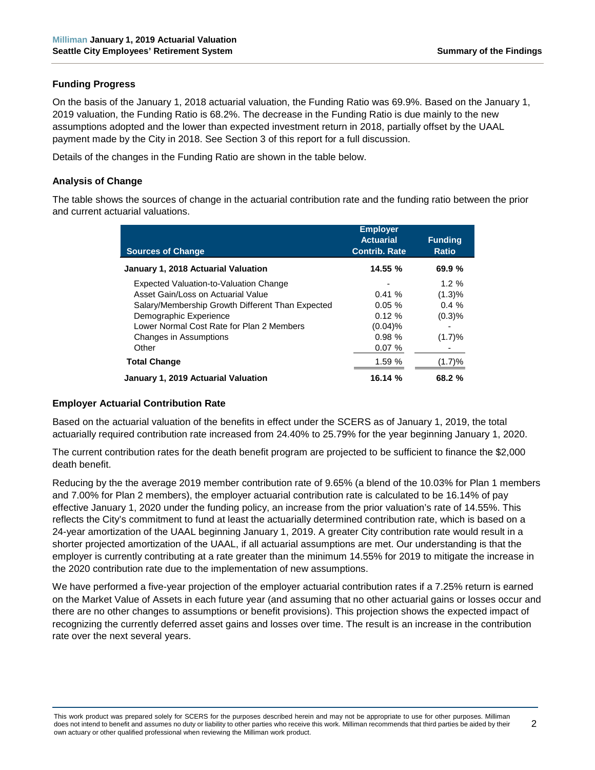#### **Funding Progress**

On the basis of the January 1, 2018 actuarial valuation, the Funding Ratio was 69.9%. Based on the January 1, 2019 valuation, the Funding Ratio is 68.2%. The decrease in the Funding Ratio is due mainly to the new assumptions adopted and the lower than expected investment return in 2018, partially offset by the UAAL payment made by the City in 2018. See Section 3 of this report for a full discussion.

Details of the changes in the Funding Ratio are shown in the table below.

#### **Analysis of Change**

The table shows the sources of change in the actuarial contribution rate and the funding ratio between the prior and current actuarial valuations.

| <b>Sources of Change</b>                         | <b>Employer</b><br><b>Actuarial</b><br><b>Contrib. Rate</b> | <b>Funding</b><br><b>Ratio</b> |
|--------------------------------------------------|-------------------------------------------------------------|--------------------------------|
| January 1, 2018 Actuarial Valuation              | 14.55%                                                      | 69.9%                          |
| Expected Valuation-to-Valuation Change           |                                                             | $1.2 \%$                       |
| Asset Gain/Loss on Actuarial Value               | 0.41%                                                       | (1.3)%                         |
| Salary/Membership Growth Different Than Expected | $0.05 \%$                                                   | $0.4 \%$                       |
| Demographic Experience                           | $0.12 \%$                                                   | (0.3)%                         |
| Lower Normal Cost Rate for Plan 2 Members        | $(0.04)$ %                                                  |                                |
| Changes in Assumptions                           | 0.98%                                                       | (1.7)%                         |
| Other                                            | 0.07%                                                       |                                |
| <b>Total Change</b>                              | 1.59%                                                       | (1.7)%                         |
| January 1, 2019 Actuarial Valuation              | 16.14 %                                                     | $68.2 \%$                      |

#### **Employer Actuarial Contribution Rate**

Based on the actuarial valuation of the benefits in effect under the SCERS as of January 1, 2019, the total actuarially required contribution rate increased from 24.40% to 25.79% for the year beginning January 1, 2020.

The current contribution rates for the death benefit program are projected to be sufficient to finance the \$2,000 death benefit.

Reducing by the the average 2019 member contribution rate of 9.65% (a blend of the 10.03% for Plan 1 members and 7.00% for Plan 2 members), the employer actuarial contribution rate is calculated to be 16.14% of pay effective January 1, 2020 under the funding policy, an increase from the prior valuation's rate of 14.55%. This reflects the City's commitment to fund at least the actuarially determined contribution rate, which is based on a 24-year amortization of the UAAL beginning January 1, 2019. A greater City contribution rate would result in a shorter projected amortization of the UAAL, if all actuarial assumptions are met. Our understanding is that the employer is currently contributing at a rate greater than the minimum 14.55% for 2019 to mitigate the increase in the 2020 contribution rate due to the implementation of new assumptions.

We have performed a five-year projection of the employer actuarial contribution rates if a 7.25% return is earned on the Market Value of Assets in each future year (and assuming that no other actuarial gains or losses occur and there are no other changes to assumptions or benefit provisions). This projection shows the expected impact of recognizing the currently deferred asset gains and losses over time. The result is an increase in the contribution rate over the next several years.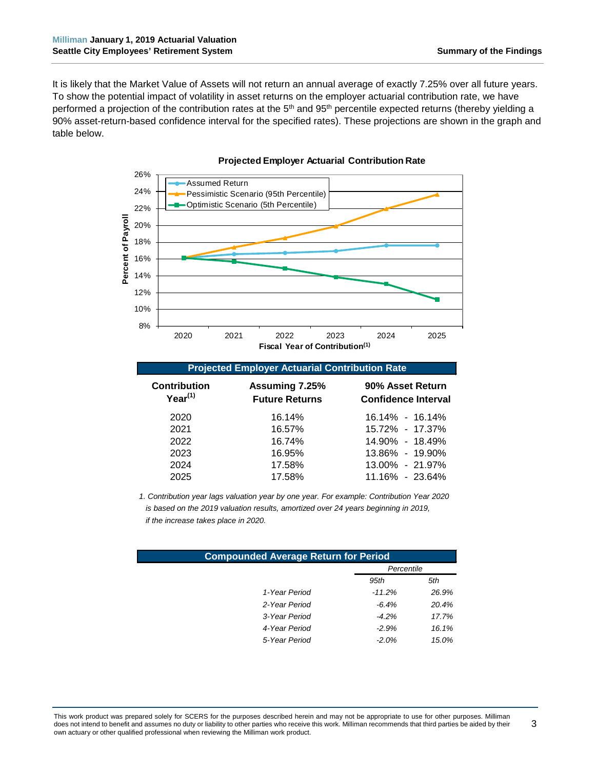3

It is likely that the Market Value of Assets will not return an annual average of exactly 7.25% over all future years. To show the potential impact of volatility in asset returns on the employer actuarial contribution rate, we have performed a projection of the contribution rates at the 5<sup>th</sup> and 95<sup>th</sup> percentile expected returns (thereby yielding a 90% asset-return-based confidence interval for the specified rates). These projections are shown in the graph and table below.



#### **Projected Employer Actuarial Contribution Rate**

|  |  | <b>Projected Employer Actuarial Contribution Rate</b> |  |  |
|--|--|-------------------------------------------------------|--|--|
|  |  |                                                       |  |  |

| <b>Contribution</b><br>$Year^{(1)}$ | Assuming 7.25%<br><b>Future Returns</b> | 90% Asset Return<br><b>Confidence Interval</b> |  |  |  |  |  |
|-------------------------------------|-----------------------------------------|------------------------------------------------|--|--|--|--|--|
| 2020                                | 16.14%                                  | 16.14% - 16.14%                                |  |  |  |  |  |
| 2021                                | 16.57%                                  | 15.72% - 17.37%                                |  |  |  |  |  |
| 2022                                | 16.74%                                  | 14.90% - 18.49%                                |  |  |  |  |  |
| 2023                                | 16.95%                                  | 13.86% - 19.90%                                |  |  |  |  |  |
| 2024                                | 17.58%                                  | 13.00% - 21.97%                                |  |  |  |  |  |
| 2025                                | 17.58%                                  | 11.16% - 23.64%                                |  |  |  |  |  |

*1. Contribution year lags valuation year by one year. For example: Contribution Year 2020 is based on the 2019 valuation results, amortized over 24 years beginning in 2019, if the increase takes place in 2020.*

| <b>Compounded Average Return for Period</b> |            |       |  |  |  |  |  |
|---------------------------------------------|------------|-------|--|--|--|--|--|
|                                             | Percentile |       |  |  |  |  |  |
|                                             | 95th       | 5th   |  |  |  |  |  |
| 1-Year Period                               | $-11.2%$   | 26.9% |  |  |  |  |  |
| 2-Year Period                               | $-6.4\%$   | 20.4% |  |  |  |  |  |
| 3-Year Period                               | $-4.2\%$   | 17.7% |  |  |  |  |  |
| 4-Year Period                               | $-2.9%$    | 16.1% |  |  |  |  |  |
| 5-Year Period                               | $-2.0\%$   | 15.0% |  |  |  |  |  |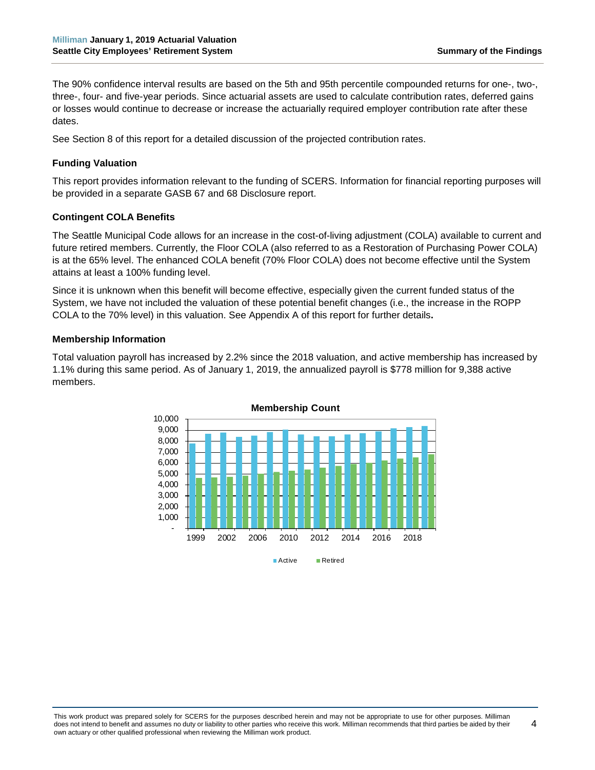4

The 90% confidence interval results are based on the 5th and 95th percentile compounded returns for one-, two-, three-, four- and five-year periods. Since actuarial assets are used to calculate contribution rates, deferred gains or losses would continue to decrease or increase the actuarially required employer contribution rate after these dates.

See Section 8 of this report for a detailed discussion of the projected contribution rates.

#### **Funding Valuation**

This report provides information relevant to the funding of SCERS. Information for financial reporting purposes will be provided in a separate GASB 67 and 68 Disclosure report.

#### **Contingent COLA Benefits**

The Seattle Municipal Code allows for an increase in the cost-of-living adjustment (COLA) available to current and future retired members. Currently, the Floor COLA (also referred to as a Restoration of Purchasing Power COLA) is at the 65% level. The enhanced COLA benefit (70% Floor COLA) does not become effective until the System attains at least a 100% funding level.

Since it is unknown when this benefit will become effective, especially given the current funded status of the System, we have not included the valuation of these potential benefit changes (i.e., the increase in the ROPP COLA to the 70% level) in this valuation. See Appendix A of this report for further details**.**

#### **Membership Information**

Total valuation payroll has increased by 2.2% since the 2018 valuation, and active membership has increased by 1.1% during this same period. As of January 1, 2019, the annualized payroll is \$778 million for 9,388 active members.

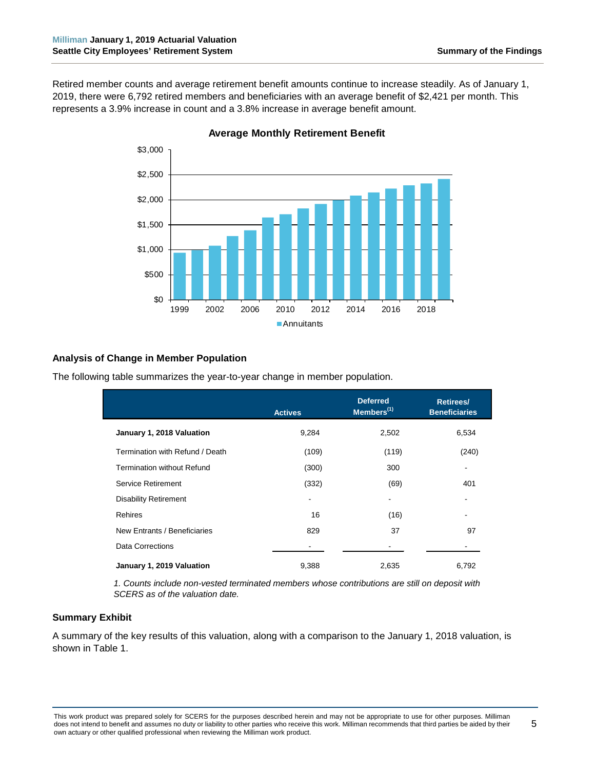Retired member counts and average retirement benefit amounts continue to increase steadily. As of January 1, 2019, there were 6,792 retired members and beneficiaries with an average benefit of \$2,421 per month. This represents a 3.9% increase in count and a 3.8% increase in average benefit amount.



**Average Monthly Retirement Benefit**

# **Analysis of Change in Member Population**

|                                   | <b>Actives</b> | <b>Deferred</b><br>Members <sup>(1)</sup> | Retirees/<br><b>Beneficiaries</b> |
|-----------------------------------|----------------|-------------------------------------------|-----------------------------------|
| January 1, 2018 Valuation         | 9,284          | 2,502                                     | 6,534                             |
| Termination with Refund / Death   | (109)          | (119)                                     | (240)                             |
| <b>Termination without Refund</b> | (300)          | 300                                       |                                   |
| Service Retirement                | (332)          | (69)                                      | 401                               |
| <b>Disability Retirement</b>      |                |                                           |                                   |
| Rehires                           | 16             | (16)                                      |                                   |
| New Entrants / Beneficiaries      | 829            | 37                                        | 97                                |
| Data Corrections                  |                |                                           |                                   |
| January 1, 2019 Valuation         | 9,388          | 2,635                                     | 6,792                             |

The following table summarizes the year-to-year change in member population.

*1. Counts include non-vested terminated members whose contributions are still on deposit with SCERS as of the valuation date.*

#### **Summary Exhibit**

A summary of the key results of this valuation, along with a comparison to the January 1, 2018 valuation, is shown in Table 1.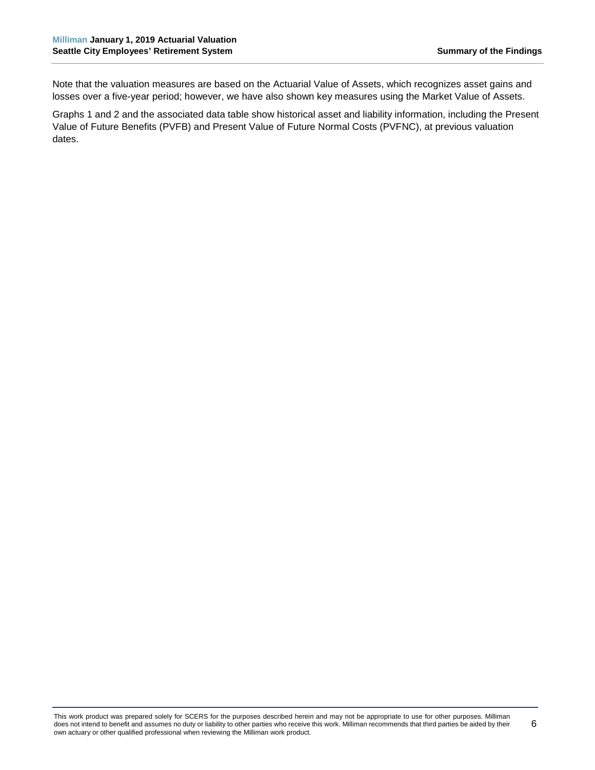Note that the valuation measures are based on the Actuarial Value of Assets, which recognizes asset gains and losses over a five-year period; however, we have also shown key measures using the Market Value of Assets.

Graphs 1 and 2 and the associated data table show historical asset and liability information, including the Present Value of Future Benefits (PVFB) and Present Value of Future Normal Costs (PVFNC), at previous valuation dates.

This work product was prepared solely for SCERS for the purposes described herein and may not be appropriate to use for other purposes. Milliman does not intend to benefit and assumes no duty or liability to other parties who receive this work. Milliman recommends that third parties be aided by their own actuary or other qualified professional when reviewing the Milliman work product.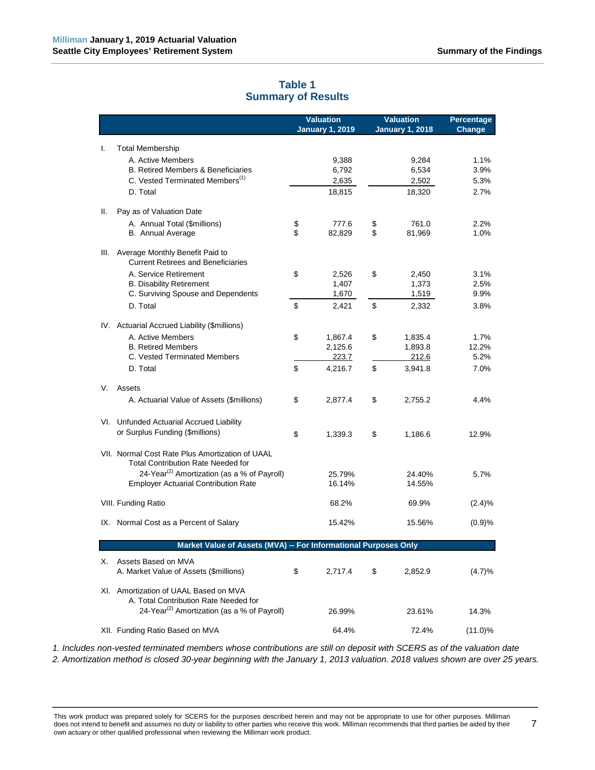<span id="page-12-0"></span>

|      |                                                                                              | <b>Valuation</b><br><b>January 1, 2019</b> | <b>Valuation</b><br><b>January 1, 2018</b> | <b>Percentage</b><br>Change |
|------|----------------------------------------------------------------------------------------------|--------------------------------------------|--------------------------------------------|-----------------------------|
| I.   | <b>Total Membership</b>                                                                      |                                            |                                            |                             |
|      | A. Active Members                                                                            | 9,388                                      | 9,284                                      | 1.1%                        |
|      | <b>B. Retired Members &amp; Beneficiaries</b>                                                | 6,792                                      | 6,534                                      | 3.9%                        |
|      | C. Vested Terminated Members <sup>(1)</sup>                                                  | 2,635                                      | 2,502                                      | 5.3%                        |
|      | D. Total                                                                                     | 18,815                                     | 18,320                                     | 2.7%                        |
| Ш.   | Pay as of Valuation Date                                                                     |                                            |                                            |                             |
|      | A. Annual Total (\$millions)                                                                 | \$<br>777.6                                | \$<br>761.0                                | 2.2%                        |
|      | <b>B.</b> Annual Average                                                                     | \$<br>82,829                               | \$<br>81,969                               | 1.0%                        |
| III. | Average Monthly Benefit Paid to<br><b>Current Retirees and Beneficiaries</b>                 |                                            |                                            |                             |
|      | A. Service Retirement                                                                        | \$<br>2,526                                | \$<br>2,450                                | 3.1%                        |
|      | <b>B. Disability Retirement</b>                                                              | 1,407                                      | 1,373                                      | 2.5%                        |
|      | C. Surviving Spouse and Dependents                                                           | 1,670                                      | 1,519                                      | 9.9%                        |
|      | D. Total                                                                                     | \$<br>2,421                                | \$<br>2,332                                | 3.8%                        |
|      | IV. Actuarial Accrued Liability (\$millions)                                                 |                                            |                                            |                             |
|      | A. Active Members                                                                            | \$<br>1,867.4                              | \$<br>1,835.4                              | 1.7%                        |
|      | <b>B. Retired Members</b>                                                                    | 2,125.6                                    | 1,893.8                                    | 12.2%                       |
|      | C. Vested Terminated Members                                                                 | 223.7                                      | 212.6                                      | 5.2%                        |
|      | D. Total                                                                                     | \$<br>4,216.7                              | \$<br>3,941.8                              | 7.0%                        |
| V.   | Assets                                                                                       |                                            |                                            |                             |
|      | A. Actuarial Value of Assets (\$millions)                                                    | \$<br>2,877.4                              | \$<br>2,755.2                              | 4.4%                        |
|      | VI. Unfunded Actuarial Accrued Liability                                                     |                                            |                                            |                             |
|      | or Surplus Funding (\$millions)                                                              | \$<br>1,339.3                              | \$<br>1,186.6                              | 12.9%                       |
|      | VII. Normal Cost Rate Plus Amortization of UAAL<br><b>Total Contribution Rate Needed for</b> |                                            |                                            |                             |
|      | 24-Year <sup>(2)</sup> Amortization (as a % of Payroll)                                      | 25.79%                                     | 24.40%                                     | 5.7%                        |
|      | <b>Employer Actuarial Contribution Rate</b>                                                  | 16.14%                                     | 14.55%                                     |                             |
|      | VIII. Funding Ratio                                                                          | 68.2%                                      | 69.9%                                      | (2.4)%                      |
|      | IX. Normal Cost as a Percent of Salary                                                       | 15.42%                                     | 15.56%                                     | (0.9)%                      |
|      | Market Value of Assets (MVA) -- For Informational Purposes Only                              |                                            |                                            |                             |
|      |                                                                                              |                                            |                                            |                             |
| Х.   | Assets Based on MVA<br>A. Market Value of Assets (\$millions)                                | \$<br>2,717.4                              | \$<br>2,852.9                              | (4.7)%                      |
|      | XI. Amortization of UAAL Based on MVA                                                        |                                            |                                            |                             |
|      | A. Total Contribution Rate Needed for                                                        |                                            |                                            |                             |
|      | 24-Year <sup>(2)</sup> Amortization (as a % of Payroll)                                      | 26.99%                                     | 23.61%                                     | 14.3%                       |
|      | XII. Funding Ratio Based on MVA                                                              | 64.4%                                      | 72.4%                                      | $(11.0)$ %                  |

# **Table 1 Summary of Results**

*1. Includes non-vested terminated members whose contributions are still on deposit with SCERS as of the valuation date 2. Amortization method is closed 30-year beginning with the January 1, 2013 valuation. 2018 values shown are over 25 years.*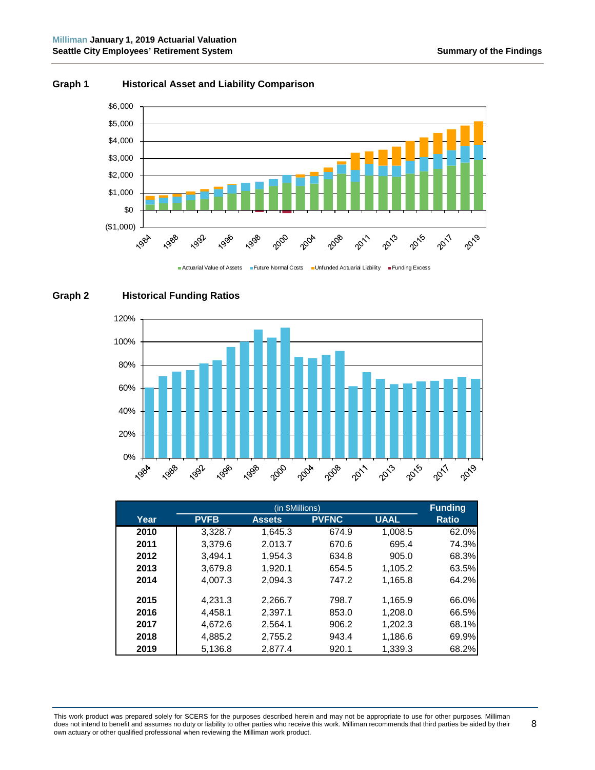8



#### **Graph 1 Historical Asset and Liability Comparison**





# **Graph 2 Historical Funding Ratios**

|      |             | <b>Funding</b> |              |             |              |
|------|-------------|----------------|--------------|-------------|--------------|
| Year | <b>PVFB</b> | <b>Assets</b>  | <b>PVFNC</b> | <b>UAAL</b> | <b>Ratio</b> |
| 2010 | 3,328.7     | 1,645.3        | 674.9        | 1,008.5     | 62.0%        |
| 2011 | 3,379.6     | 2,013.7        | 670.6        | 695.4       | 74.3%        |
| 2012 | 3,494.1     | 1,954.3        | 634.8        | 905.0       | 68.3%        |
| 2013 | 3,679.8     | 1,920.1        | 654.5        | 1,105.2     | 63.5%        |
| 2014 | 4,007.3     | 2.094.3        | 747.2        | 1,165.8     | 64.2%        |
| 2015 | 4,231.3     | 2,266.7        | 798.7        | 1,165.9     | 66.0%        |
| 2016 | 4,458.1     | 2,397.1        | 853.0        | 1,208.0     | 66.5%        |
| 2017 | 4.672.6     | 2.564.1        | 906.2        | 1,202.3     | 68.1%        |
| 2018 | 4,885.2     | 2,755.2        | 943.4        | 1,186.6     | 69.9%        |
| 2019 | 5,136.8     | 2.877.4        | 920.1        | 1,339.3     | 68.2%        |

This work product was prepared solely for SCERS for the purposes described herein and may not be appropriate to use for other purposes. Milliman does not intend to benefit and assumes no duty or liability to other parties who receive this work. Milliman recommends that third parties be aided by their own actuary or other qualified professional when reviewing the Milliman work product.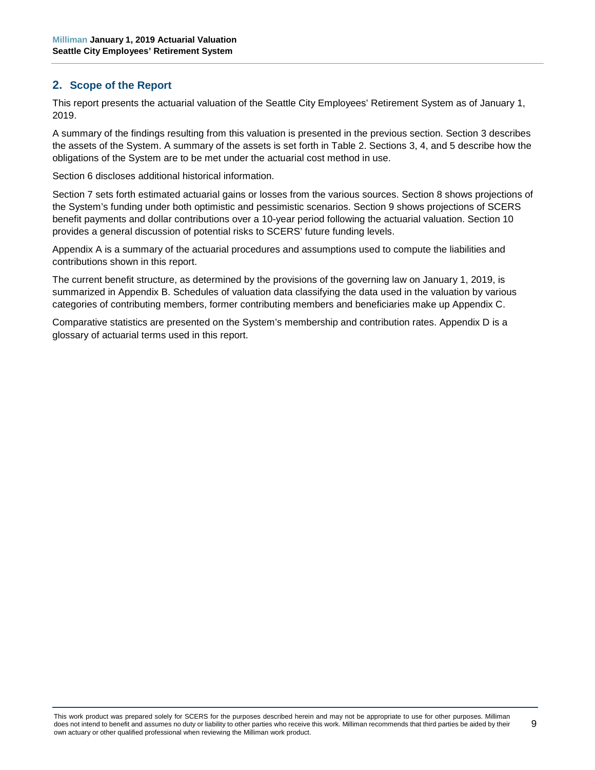# <span id="page-14-0"></span>**2. Scope of the Report**

This report presents the actuarial valuation of the Seattle City Employees' Retirement System as of January 1, 2019.

A summary of the findings resulting from this valuation is presented in the previous section. Section 3 describes the assets of the System. A summary of the assets is set forth in Table 2. Sections 3, 4, and 5 describe how the obligations of the System are to be met under the actuarial cost method in use.

Section 6 discloses additional historical information.

Section 7 sets forth estimated actuarial gains or losses from the various sources. Section 8 shows projections of the System's funding under both optimistic and pessimistic scenarios. Section 9 shows projections of SCERS benefit payments and dollar contributions over a 10-year period following the actuarial valuation. Section 10 provides a general discussion of potential risks to SCERS' future funding levels.

Appendix A is a summary of the actuarial procedures and assumptions used to compute the liabilities and contributions shown in this report.

The current benefit structure, as determined by the provisions of the governing law on January 1, 2019, is summarized in Appendix B. Schedules of valuation data classifying the data used in the valuation by various categories of contributing members, former contributing members and beneficiaries make up Appendix C.

Comparative statistics are presented on the System's membership and contribution rates. Appendix D is a glossary of actuarial terms used in this report.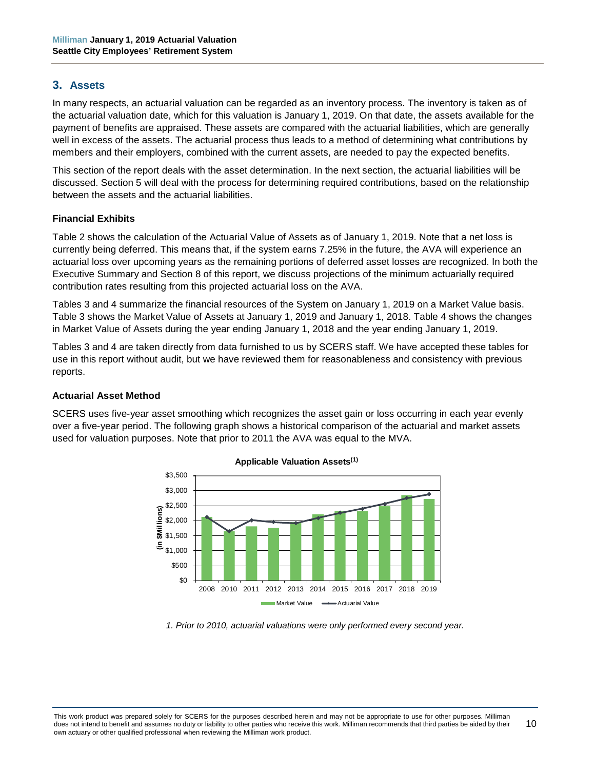## <span id="page-15-0"></span>**3. Assets**

In many respects, an actuarial valuation can be regarded as an inventory process. The inventory is taken as of the actuarial valuation date, which for this valuation is January 1, 2019. On that date, the assets available for the payment of benefits are appraised. These assets are compared with the actuarial liabilities, which are generally well in excess of the assets. The actuarial process thus leads to a method of determining what contributions by members and their employers, combined with the current assets, are needed to pay the expected benefits.

This section of the report deals with the asset determination. In the next section, the actuarial liabilities will be discussed. Section 5 will deal with the process for determining required contributions, based on the relationship between the assets and the actuarial liabilities.

#### **Financial Exhibits**

Table 2 shows the calculation of the Actuarial Value of Assets as of January 1, 2019. Note that a net loss is currently being deferred. This means that, if the system earns 7.25% in the future, the AVA will experience an actuarial loss over upcoming years as the remaining portions of deferred asset losses are recognized. In both the Executive Summary and Section 8 of this report, we discuss projections of the minimum actuarially required contribution rates resulting from this projected actuarial loss on the AVA.

Tables 3 and 4 summarize the financial resources of the System on January 1, 2019 on a Market Value basis. Table 3 shows the Market Value of Assets at January 1, 2019 and January 1, 2018. Table 4 shows the changes in Market Value of Assets during the year ending January 1, 2018 and the year ending January 1, 2019.

Tables 3 and 4 are taken directly from data furnished to us by SCERS staff. We have accepted these tables for use in this report without audit, but we have reviewed them for reasonableness and consistency with previous reports.

#### **Actuarial Asset Method**

SCERS uses five-year asset smoothing which recognizes the asset gain or loss occurring in each year evenly over a five-year period. The following graph shows a historical comparison of the actuarial and market assets used for valuation purposes. Note that prior to 2011 the AVA was equal to the MVA.



#### **Applicable Valuation Assets(1)**

*<sup>1.</sup> Prior to 2010, actuarial valuations were only performed every second year.*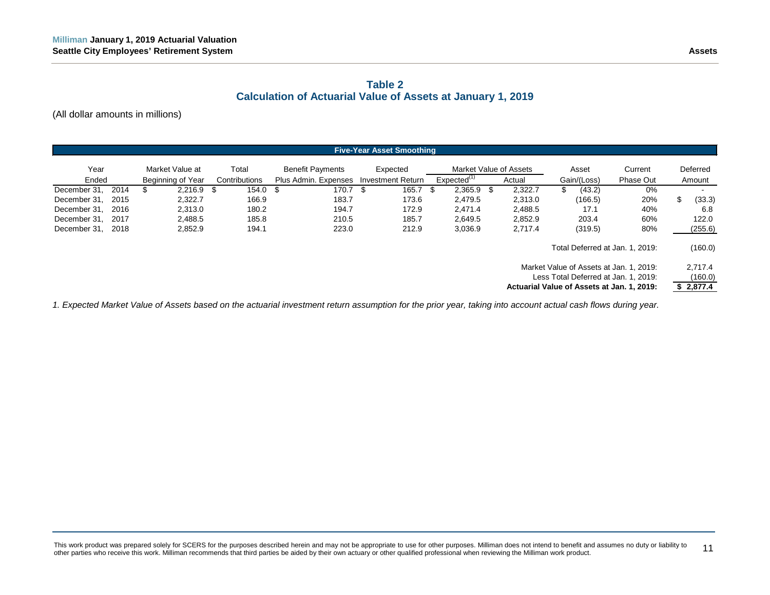# **Table 2 Calculation of Actuarial Value of Assets at January 1, 2019**

(All dollar amounts in millions)

| <b>Five-Year Asset Smoothing</b> |      |                   |               |                         |                          |     |                         |     |                                                                                                                               |                                 |             |           |                                 |          |
|----------------------------------|------|-------------------|---------------|-------------------------|--------------------------|-----|-------------------------|-----|-------------------------------------------------------------------------------------------------------------------------------|---------------------------------|-------------|-----------|---------------------------------|----------|
| Year                             |      | Market Value at   | Total         | <b>Benefit Payments</b> | Expected                 |     |                         |     | Market Value of Assets                                                                                                        |                                 | Asset       | Current   |                                 | Deferred |
| Ended                            |      | Beginning of Year | Contributions | Plus Admin. Expenses    | <b>Investment Return</b> |     | Expected <sup>(1)</sup> |     | Actual                                                                                                                        |                                 | Gain/(Loss) | Phase Out |                                 | Amount   |
| December 31,                     | 2014 | $2,216.9$ \$<br>S | 154.0         | 170.7<br>- \$           | 165.7<br>\$              | -SG | 2,365.9                 | -\$ | 2,322.7                                                                                                                       | S                               | (43.2)      | 0%        |                                 |          |
| December 31.                     | 2015 | 2,322.7           | 166.9         | 183.7                   | 173.6                    |     | 2.479.5                 |     | 2,313.0                                                                                                                       |                                 | (166.5)     | 20%       | \$                              | (33.3)   |
| December 31,                     | 2016 | 2.313.0           | 180.2         | 194.7                   | 172.9                    |     | 2.471.4                 |     | 2,488.5                                                                                                                       |                                 | 17.1        | 40%       |                                 | 6.8      |
| December 31.                     | 2017 | 2.488.5           | 185.8         | 210.5                   | 185.7                    |     | 2.649.5                 |     | 2,852.9                                                                                                                       |                                 | 203.4       | 60%       |                                 | 122.0    |
| December 31, 2018                |      | 2.852.9           | 194.1         | 223.0                   | 212.9                    |     | 3,036.9                 |     | 2,717.4                                                                                                                       |                                 | (319.5)     | 80%       |                                 | (255.6)  |
|                                  |      |                   |               |                         |                          |     |                         |     |                                                                                                                               | Total Deferred at Jan. 1, 2019: |             |           |                                 | (160.0)  |
|                                  |      |                   |               |                         |                          |     |                         |     | Market Value of Assets at Jan. 1, 2019.<br>Less Total Deferred at Jan. 1, 2019:<br>Actuarial Value of Assets at Jan. 1, 2019: |                                 |             |           | 2,717.4<br>(160.0)<br>\$2,877.4 |          |

<span id="page-16-0"></span>*1. Expected Market Value of Assets based on the actuarial investment return assumption for the prior year, taking into account actual cash flows during year.*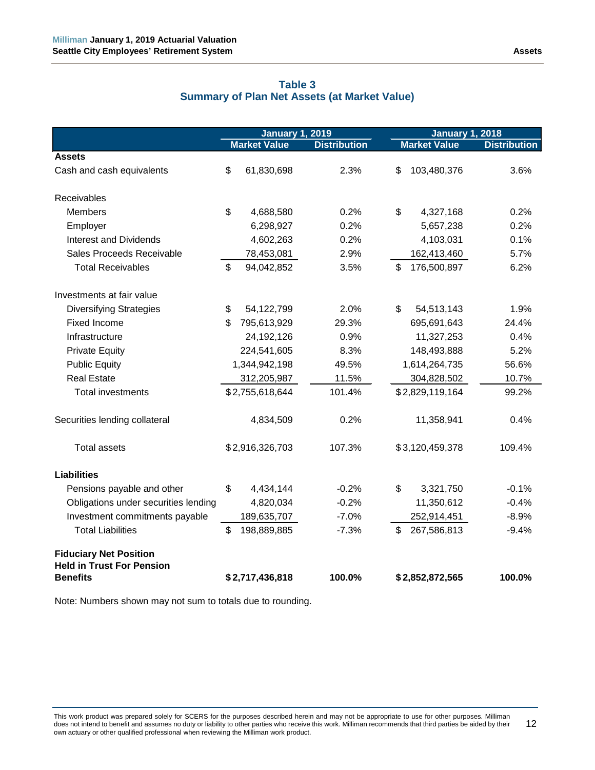<span id="page-17-0"></span>

|                                                                   | <b>January 1, 2019</b> |                     | <b>January 1, 2018</b> |    |                     |                     |
|-------------------------------------------------------------------|------------------------|---------------------|------------------------|----|---------------------|---------------------|
|                                                                   |                        | <b>Market Value</b> | <b>Distribution</b>    |    | <b>Market Value</b> | <b>Distribution</b> |
| <b>Assets</b>                                                     |                        |                     |                        |    |                     |                     |
| Cash and cash equivalents                                         | \$                     | 61,830,698          | 2.3%                   | \$ | 103,480,376         | 3.6%                |
| Receivables                                                       |                        |                     |                        |    |                     |                     |
| <b>Members</b>                                                    | \$                     | 4,688,580           | 0.2%                   | \$ | 4,327,168           | 0.2%                |
| Employer                                                          |                        | 6,298,927           | 0.2%                   |    | 5,657,238           | 0.2%                |
| <b>Interest and Dividends</b>                                     |                        | 4,602,263           | 0.2%                   |    | 4,103,031           | 0.1%                |
| Sales Proceeds Receivable                                         |                        | 78,453,081          | 2.9%                   |    | 162,413,460         | 5.7%                |
| <b>Total Receivables</b>                                          | \$                     | 94,042,852          | 3.5%                   | \$ | 176,500,897         | 6.2%                |
| Investments at fair value                                         |                        |                     |                        |    |                     |                     |
| <b>Diversifying Strategies</b>                                    | \$                     | 54,122,799          | 2.0%                   | \$ | 54,513,143          | 1.9%                |
| Fixed Income                                                      | \$                     | 795,613,929         | 29.3%                  |    | 695,691,643         | 24.4%               |
| Infrastructure                                                    |                        | 24,192,126          | 0.9%                   |    | 11,327,253          | 0.4%                |
| <b>Private Equity</b>                                             |                        | 224,541,605         | 8.3%                   |    | 148,493,888         | 5.2%                |
| <b>Public Equity</b>                                              | 1,344,942,198          |                     | 49.5%                  |    | 1,614,264,735       | 56.6%               |
| <b>Real Estate</b>                                                |                        | 312,205,987         | 11.5%                  |    | 304,828,502         | 10.7%               |
| Total investments                                                 |                        | \$2,755,618,644     | 101.4%                 |    | \$2,829,119,164     | 99.2%               |
| Securities lending collateral                                     |                        | 4,834,509           | 0.2%                   |    | 11,358,941          | 0.4%                |
| <b>Total assets</b>                                               |                        | \$2,916,326,703     | 107.3%                 |    | \$3,120,459,378     | 109.4%              |
| <b>Liabilities</b>                                                |                        |                     |                        |    |                     |                     |
| Pensions payable and other                                        | \$                     | 4,434,144           | $-0.2%$                | \$ | 3,321,750           | $-0.1%$             |
| Obligations under securities lending                              |                        | 4,820,034           | $-0.2%$                |    | 11,350,612          | $-0.4%$             |
| Investment commitments payable                                    |                        | 189,635,707         | $-7.0%$                |    | 252,914,451         | $-8.9%$             |
| <b>Total Liabilities</b>                                          | \$                     | 198,889,885         | $-7.3%$                | \$ | 267,586,813         | $-9.4%$             |
| <b>Fiduciary Net Position</b><br><b>Held in Trust For Pension</b> |                        |                     |                        |    |                     |                     |
| <b>Benefits</b>                                                   |                        | \$2,717,436,818     | 100.0%                 |    | \$2,852,872,565     | 100.0%              |

# **Table 3 Summary of Plan Net Assets (at Market Value)**

Note: Numbers shown may not sum to totals due to rounding.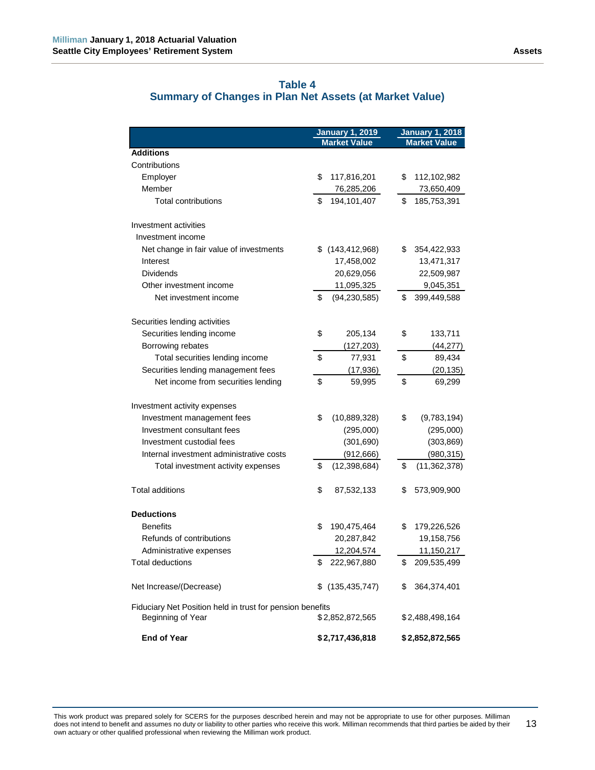<span id="page-18-0"></span>

|                                                           |    | <b>January 1, 2019</b> | <b>January 1, 2018</b> |                     |  |  |
|-----------------------------------------------------------|----|------------------------|------------------------|---------------------|--|--|
|                                                           |    | <b>Market Value</b>    |                        | <b>Market Value</b> |  |  |
| <b>Additions</b>                                          |    |                        |                        |                     |  |  |
| Contributions                                             |    |                        |                        |                     |  |  |
| Employer                                                  | \$ | 117,816,201            | \$                     | 112,102,982         |  |  |
| Member                                                    |    | 76,285,206             |                        | 73,650,409          |  |  |
| <b>Total contributions</b>                                | \$ | 194,101,407            | \$                     | 185,753,391         |  |  |
| Investment activities                                     |    |                        |                        |                     |  |  |
| Investment income                                         |    |                        |                        |                     |  |  |
| Net change in fair value of investments                   |    | $$$ (143,412,968)      | \$                     | 354,422,933         |  |  |
| Interest                                                  |    | 17,458,002             |                        | 13,471,317          |  |  |
| <b>Dividends</b>                                          |    | 20,629,056             |                        | 22,509,987          |  |  |
| Other investment income                                   |    | 11,095,325             |                        | 9,045,351           |  |  |
| Net investment income                                     | \$ | (94, 230, 585)         | \$                     | 399,449,588         |  |  |
| Securities lending activities                             |    |                        |                        |                     |  |  |
| Securities lending income                                 | \$ | 205,134                | \$                     | 133,711             |  |  |
| Borrowing rebates                                         |    | (127, 203)             |                        | (44, 277)           |  |  |
| Total securities lending income                           | \$ | 77,931                 | \$                     | 89,434              |  |  |
| Securities lending management fees                        |    | (17, 936)              |                        | (20, 135)           |  |  |
| Net income from securities lending                        | \$ | 59,995                 | \$                     | 69,299              |  |  |
|                                                           |    |                        |                        |                     |  |  |
| Investment activity expenses                              |    |                        |                        |                     |  |  |
| Investment management fees                                | \$ | (10,889,328)           | \$                     | (9,783,194)         |  |  |
| Investment consultant fees                                |    | (295,000)              |                        | (295,000)           |  |  |
| Investment custodial fees                                 |    | (301, 690)             |                        | (303, 869)          |  |  |
| Internal investment administrative costs                  |    | (912, 666)             |                        | (980, 315)          |  |  |
| Total investment activity expenses                        | \$ | (12, 398, 684)         | \$                     | (11,362,378)        |  |  |
| <b>Total additions</b>                                    | \$ | 87,532,133             | \$                     | 573,909,900         |  |  |
| <b>Deductions</b>                                         |    |                        |                        |                     |  |  |
| <b>Benefits</b>                                           | \$ | 190,475,464            | \$                     | 179,226,526         |  |  |
| Refunds of contributions                                  |    | 20,287,842             |                        | 19,158,756          |  |  |
| Administrative expenses                                   |    | 12,204,574             |                        | 11,150,217          |  |  |
| <b>Total deductions</b>                                   | \$ | 222,967,880            | \$                     |                     |  |  |
|                                                           |    |                        |                        | 209,535,499         |  |  |
| Net Increase/(Decrease)                                   | S. | (135, 435, 747)        | \$                     | 364,374,401         |  |  |
| Fiduciary Net Position held in trust for pension benefits |    |                        |                        |                     |  |  |
| Beginning of Year                                         |    | \$2,852,872,565        |                        | \$2,488,498,164     |  |  |
| <b>End of Year</b>                                        |    | \$2,717,436,818        |                        | \$2,852,872,565     |  |  |

# **Table 4 Summary of Changes in Plan Net Assets (at Market Value)**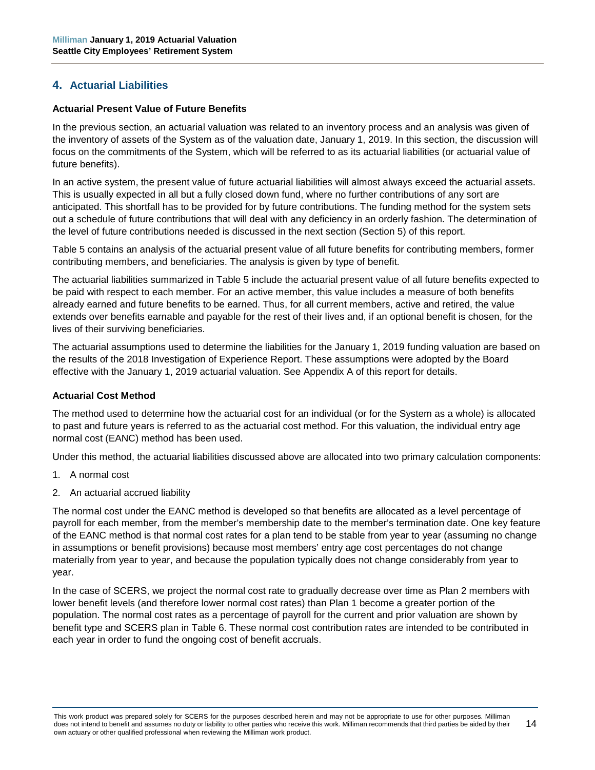# <span id="page-19-0"></span>**4. Actuarial Liabilities**

#### **Actuarial Present Value of Future Benefits**

In the previous section, an actuarial valuation was related to an inventory process and an analysis was given of the inventory of assets of the System as of the valuation date, January 1, 2019. In this section, the discussion will focus on the commitments of the System, which will be referred to as its actuarial liabilities (or actuarial value of future benefits).

In an active system, the present value of future actuarial liabilities will almost always exceed the actuarial assets. This is usually expected in all but a fully closed down fund, where no further contributions of any sort are anticipated. This shortfall has to be provided for by future contributions. The funding method for the system sets out a schedule of future contributions that will deal with any deficiency in an orderly fashion. The determination of the level of future contributions needed is discussed in the next section (Section 5) of this report.

Table 5 contains an analysis of the actuarial present value of all future benefits for contributing members, former contributing members, and beneficiaries. The analysis is given by type of benefit.

The actuarial liabilities summarized in Table 5 include the actuarial present value of all future benefits expected to be paid with respect to each member. For an active member, this value includes a measure of both benefits already earned and future benefits to be earned. Thus, for all current members, active and retired, the value extends over benefits earnable and payable for the rest of their lives and, if an optional benefit is chosen, for the lives of their surviving beneficiaries.

The actuarial assumptions used to determine the liabilities for the January 1, 2019 funding valuation are based on the results of the 2018 Investigation of Experience Report. These assumptions were adopted by the Board effective with the January 1, 2019 actuarial valuation. See Appendix A of this report for details.

#### **Actuarial Cost Method**

The method used to determine how the actuarial cost for an individual (or for the System as a whole) is allocated to past and future years is referred to as the actuarial cost method. For this valuation, the individual entry age normal cost (EANC) method has been used.

Under this method, the actuarial liabilities discussed above are allocated into two primary calculation components:

- 1. A normal cost
- 2. An actuarial accrued liability

The normal cost under the EANC method is developed so that benefits are allocated as a level percentage of payroll for each member, from the member's membership date to the member's termination date. One key feature of the EANC method is that normal cost rates for a plan tend to be stable from year to year (assuming no change in assumptions or benefit provisions) because most members' entry age cost percentages do not change materially from year to year, and because the population typically does not change considerably from year to year.

In the case of SCERS, we project the normal cost rate to gradually decrease over time as Plan 2 members with lower benefit levels (and therefore lower normal cost rates) than Plan 1 become a greater portion of the population. The normal cost rates as a percentage of payroll for the current and prior valuation are shown by benefit type and SCERS plan in Table 6. These normal cost contribution rates are intended to be contributed in each year in order to fund the ongoing cost of benefit accruals.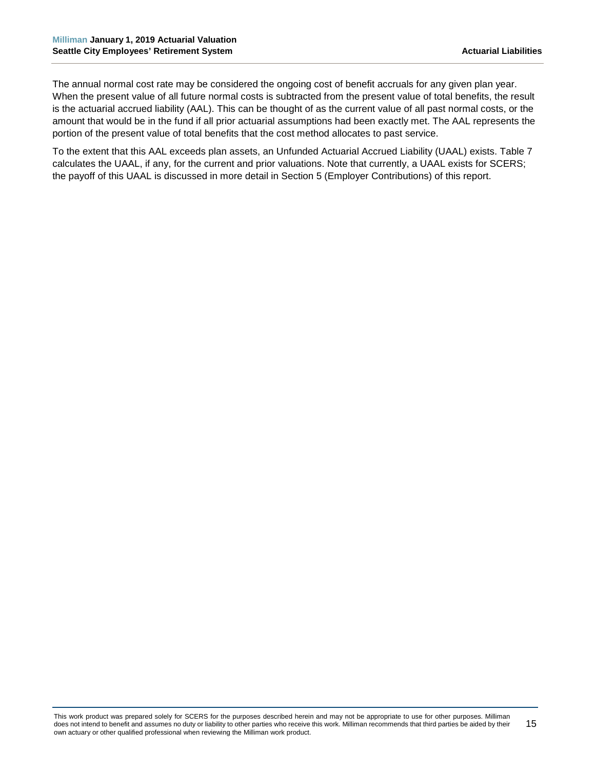The annual normal cost rate may be considered the ongoing cost of benefit accruals for any given plan year. When the present value of all future normal costs is subtracted from the present value of total benefits, the result is the actuarial accrued liability (AAL). This can be thought of as the current value of all past normal costs, or the amount that would be in the fund if all prior actuarial assumptions had been exactly met. The AAL represents the portion of the present value of total benefits that the cost method allocates to past service.

To the extent that this AAL exceeds plan assets, an Unfunded Actuarial Accrued Liability (UAAL) exists. Table 7 calculates the UAAL, if any, for the current and prior valuations. Note that currently, a UAAL exists for SCERS; the payoff of this UAAL is discussed in more detail in Section 5 (Employer Contributions) of this report.

This work product was prepared solely for SCERS for the purposes described herein and may not be appropriate to use for other purposes. Milliman does not intend to benefit and assumes no duty or liability to other parties who receive this work. Milliman recommends that third parties be aided by their own actuary or other qualified professional when reviewing the Milliman work product. 15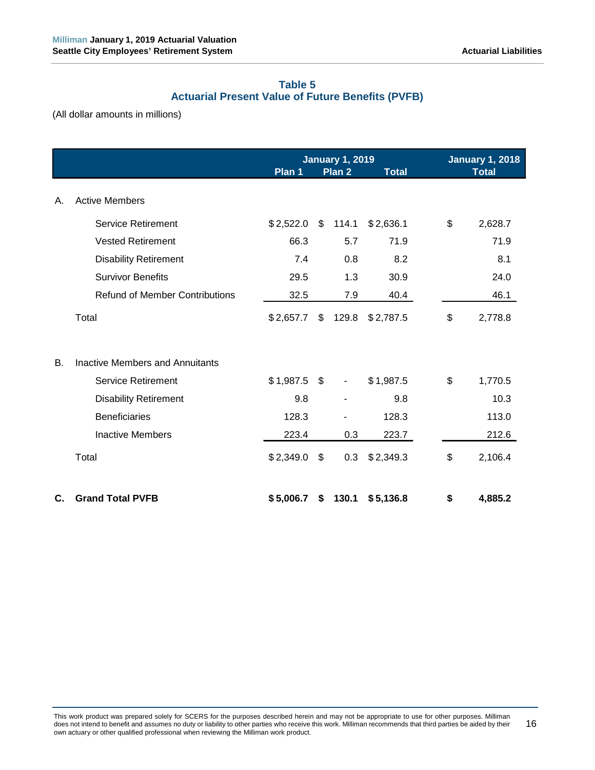# **Table 5 Actuarial Present Value of Future Benefits (PVFB)**

<span id="page-21-0"></span>(All dollar amounts in millions)

|    |                                        | <b>January 1, 2019</b><br><b>January 1, 2018</b> |      |                   |              |    |              |
|----|----------------------------------------|--------------------------------------------------|------|-------------------|--------------|----|--------------|
|    |                                        | Plan 1                                           |      | Plan <sub>2</sub> | <b>Total</b> |    | <b>Total</b> |
| Α. | <b>Active Members</b>                  |                                                  |      |                   |              |    |              |
|    | <b>Service Retirement</b>              | \$2,522.0                                        | \$   | 114.1             | \$2,636.1    | \$ | 2,628.7      |
|    | <b>Vested Retirement</b>               | 66.3                                             |      | 5.7               | 71.9         |    | 71.9         |
|    | <b>Disability Retirement</b>           | 7.4                                              |      | 0.8               | 8.2          |    | 8.1          |
|    | <b>Survivor Benefits</b>               | 29.5                                             |      | 1.3               | 30.9         |    | 24.0         |
|    | <b>Refund of Member Contributions</b>  | 32.5                                             |      | 7.9               | 40.4         |    | 46.1         |
|    | Total                                  | \$2,657.7                                        | \$   | 129.8             | \$2,787.5    | \$ | 2,778.8      |
| В. | <b>Inactive Members and Annuitants</b> |                                                  |      |                   |              |    |              |
|    | Service Retirement                     | \$1,987.5                                        | - \$ | $\blacksquare$    | \$1,987.5    | \$ | 1,770.5      |
|    | <b>Disability Retirement</b>           | 9.8                                              |      |                   | 9.8          |    | 10.3         |
|    | <b>Beneficiaries</b>                   | 128.3                                            |      |                   | 128.3        |    | 113.0        |
|    | <b>Inactive Members</b>                | 223.4                                            |      | 0.3               | 223.7        |    | 212.6        |
|    | Total                                  | \$2,349.0                                        | \$   | 0.3               | \$2,349.3    | \$ | 2,106.4      |
| C. | <b>Grand Total PVFB</b>                | \$5,006.7                                        | \$   | 130.1             | \$5,136.8    | \$ | 4,885.2      |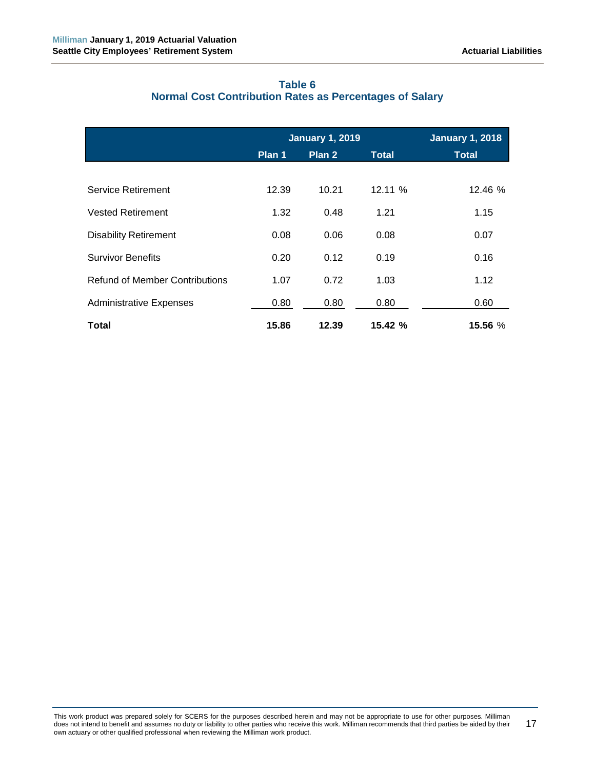<span id="page-22-0"></span>

|                                       |        | <b>January 1, 2019</b> |              | <b>January 1, 2018</b> |
|---------------------------------------|--------|------------------------|--------------|------------------------|
|                                       | Plan 1 | Plan <sub>2</sub>      | <b>Total</b> | <b>Total</b>           |
|                                       |        |                        |              |                        |
| Service Retirement                    | 12.39  | 10.21                  | 12.11%       | 12.46 %                |
| <b>Vested Retirement</b>              | 1.32   | 0.48                   | 1.21         | 1.15                   |
| <b>Disability Retirement</b>          | 0.08   | 0.06                   | 0.08         | 0.07                   |
| <b>Survivor Benefits</b>              | 0.20   | 0.12                   | 0.19         | 0.16                   |
| <b>Refund of Member Contributions</b> | 1.07   | 0.72                   | 1.03         | 1.12                   |
| <b>Administrative Expenses</b>        | 0.80   | 0.80                   | 0.80         | 0.60                   |
| Total                                 | 15.86  | 12.39                  | 15.42%       | 15.56 %                |

# **Table 6 Normal Cost Contribution Rates as Percentages of Salary**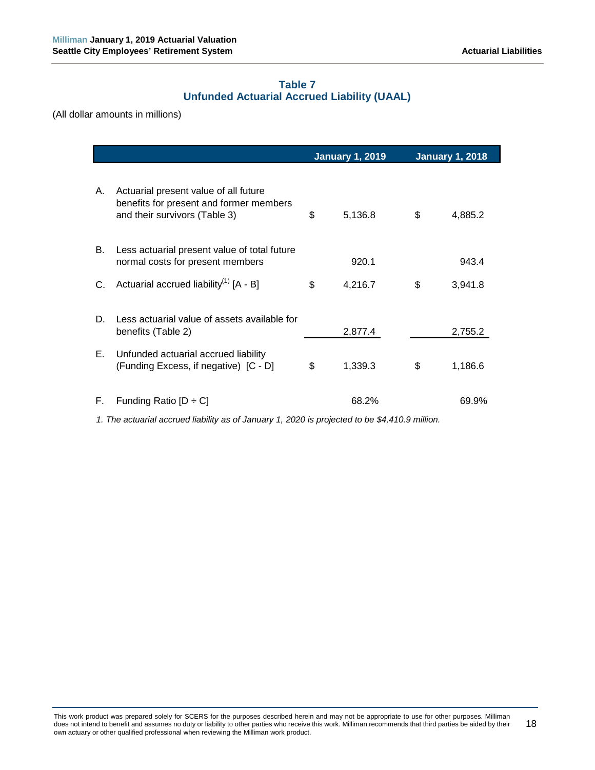# **Table 7 Unfunded Actuarial Accrued Liability (UAAL)**

<span id="page-23-0"></span>(All dollar amounts in millions)

|    |                                                                                                                   | <b>January 1, 2019</b> | <b>January 1, 2018</b> |         |  |
|----|-------------------------------------------------------------------------------------------------------------------|------------------------|------------------------|---------|--|
| А. | Actuarial present value of all future<br>benefits for present and former members<br>and their survivors (Table 3) | \$<br>5,136.8          | \$                     | 4,885.2 |  |
| В. | Less actuarial present value of total future<br>normal costs for present members                                  | 920.1                  |                        | 943.4   |  |
| C. | Actuarial accrued liability <sup>(1)</sup> $[A - B]$                                                              | \$<br>4,216.7          | \$                     | 3,941.8 |  |
| D. | Less actuarial value of assets available for<br>benefits (Table 2)                                                | 2,877.4                |                        | 2,755.2 |  |
| Е. | Unfunded actuarial accrued liability<br>(Funding Excess, if negative) [C - D]                                     | \$<br>1,339.3          | \$                     | 1,186.6 |  |
| F. | Funding Ratio $[D \div C]$                                                                                        | 68.2%                  |                        | 69.9%   |  |

*1. The actuarial accrued liability as of January 1, 2020 is projected to be \$4,410.9 million.*

This work product was prepared solely for SCERS for the purposes described herein and may not be appropriate to use for other purposes. Milliman does not intend to benefit and assumes no duty or liability to other parties who receive this work. Milliman recommends that third parties be aided by their own actuary or other qualified professional when reviewing the Milliman work product. 18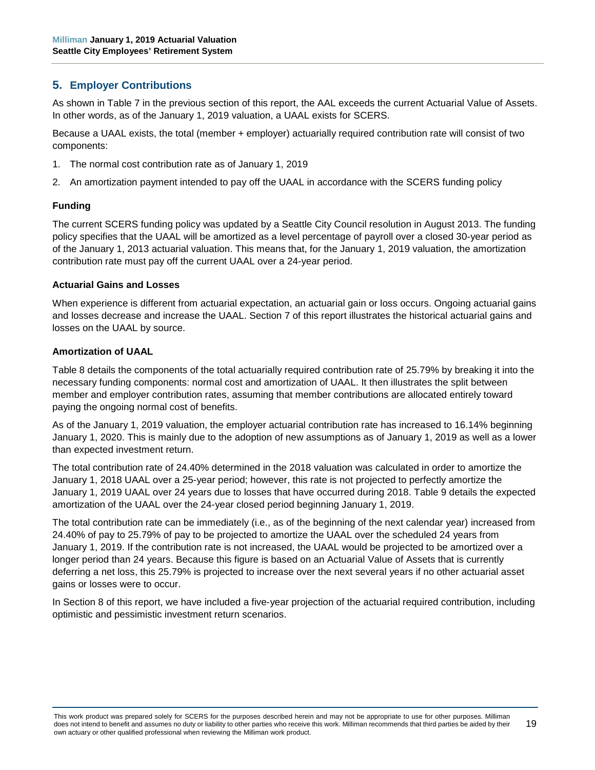# <span id="page-24-0"></span>**5. Employer Contributions**

As shown in Table 7 in the previous section of this report, the AAL exceeds the current Actuarial Value of Assets. In other words, as of the January 1, 2019 valuation, a UAAL exists for SCERS.

Because a UAAL exists, the total (member + employer) actuarially required contribution rate will consist of two components:

- 1. The normal cost contribution rate as of January 1, 2019
- 2. An amortization payment intended to pay off the UAAL in accordance with the SCERS funding policy

#### **Funding**

The current SCERS funding policy was updated by a Seattle City Council resolution in August 2013. The funding policy specifies that the UAAL will be amortized as a level percentage of payroll over a closed 30-year period as of the January 1, 2013 actuarial valuation. This means that, for the January 1, 2019 valuation, the amortization contribution rate must pay off the current UAAL over a 24-year period.

#### **Actuarial Gains and Losses**

When experience is different from actuarial expectation, an actuarial gain or loss occurs. Ongoing actuarial gains and losses decrease and increase the UAAL. Section 7 of this report illustrates the historical actuarial gains and losses on the UAAL by source.

#### **Amortization of UAAL**

Table 8 details the components of the total actuarially required contribution rate of 25.79% by breaking it into the necessary funding components: normal cost and amortization of UAAL. It then illustrates the split between member and employer contribution rates, assuming that member contributions are allocated entirely toward paying the ongoing normal cost of benefits.

As of the January 1, 2019 valuation, the employer actuarial contribution rate has increased to 16.14% beginning January 1, 2020. This is mainly due to the adoption of new assumptions as of January 1, 2019 as well as a lower than expected investment return.

The total contribution rate of 24.40% determined in the 2018 valuation was calculated in order to amortize the January 1, 2018 UAAL over a 25-year period; however, this rate is not projected to perfectly amortize the January 1, 2019 UAAL over 24 years due to losses that have occurred during 2018. Table 9 details the expected amortization of the UAAL over the 24-year closed period beginning January 1, 2019.

The total contribution rate can be immediately (i.e., as of the beginning of the next calendar year) increased from 24.40% of pay to 25.79% of pay to be projected to amortize the UAAL over the scheduled 24 years from January 1, 2019. If the contribution rate is not increased, the UAAL would be projected to be amortized over a longer period than 24 years. Because this figure is based on an Actuarial Value of Assets that is currently deferring a net loss, this 25.79% is projected to increase over the next several years if no other actuarial asset gains or losses were to occur.

In Section 8 of this report, we have included a five-year projection of the actuarial required contribution, including optimistic and pessimistic investment return scenarios.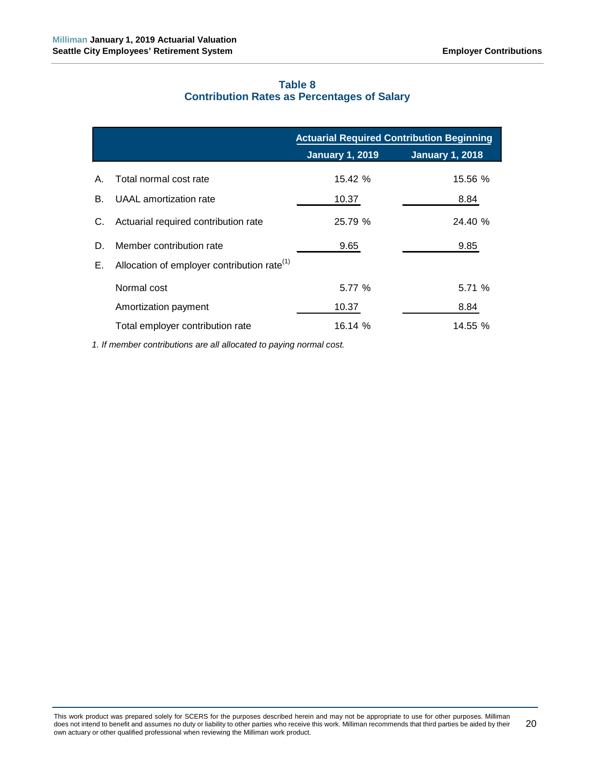# **Table 8 Contribution Rates as Percentages of Salary**

<span id="page-25-0"></span>

|    |                                                | <b>Actuarial Required Contribution Beginning</b> |                        |  |  |  |  |
|----|------------------------------------------------|--------------------------------------------------|------------------------|--|--|--|--|
|    |                                                | <b>January 1, 2019</b>                           | <b>January 1, 2018</b> |  |  |  |  |
| Α. | Total normal cost rate                         | 15.42%                                           | 15.56 %                |  |  |  |  |
| В. | UAAL amortization rate                         | 10.37                                            | 8.84                   |  |  |  |  |
| C. | Actuarial required contribution rate           | 25.79 %                                          | 24.40 %                |  |  |  |  |
| D. | Member contribution rate                       | 9.65                                             | 9.85                   |  |  |  |  |
| Е. | Allocation of employer contribution rate $(1)$ |                                                  |                        |  |  |  |  |
|    | Normal cost                                    | 5.77 %                                           | 5.71%                  |  |  |  |  |
|    | Amortization payment                           | 10.37                                            | 8.84                   |  |  |  |  |
|    | Total employer contribution rate               | 16.14 %                                          | 14.55 %                |  |  |  |  |

*1. If member contributions are all allocated to paying normal cost.*

This work product was prepared solely for SCERS for the purposes described herein and may not be appropriate to use for other purposes. Milliman does not intend to benefit and assumes no duty or liability to other parties who receive this work. Milliman recommends that third parties be aided by their own actuary or other qualified professional when reviewing the Milliman work product. 20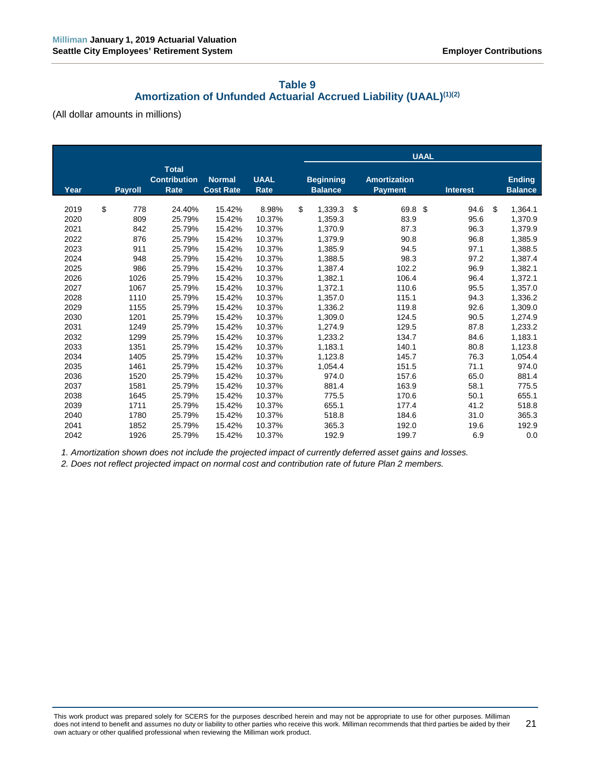# **Table 9 Amortization of Unfunded Actuarial Accrued Liability (UAAL)(1)(2)**

<span id="page-26-0"></span>(All dollar amounts in millions)

|                      |                      |                                                    |                                   |                            | <b>UAAL</b> |                                    |    |                                       |    |                      |    |                                 |
|----------------------|----------------------|----------------------------------------------------|-----------------------------------|----------------------------|-------------|------------------------------------|----|---------------------------------------|----|----------------------|----|---------------------------------|
| Year                 | <b>Payroll</b>       | <b>Total</b><br><b>Contribution</b><br><b>Rate</b> | <b>Normal</b><br><b>Cost Rate</b> | <b>UAAL</b><br>Rate        |             | <b>Beginning</b><br><b>Balance</b> |    | <b>Amortization</b><br><b>Payment</b> |    | <b>Interest</b>      |    | <b>Ending</b><br><b>Balance</b> |
| 2019<br>2020         | \$<br>778<br>809     | 24.40%<br>25.79%                                   | 15.42%<br>15.42%                  | 8.98%<br>10.37%            | \$          | 1,339.3<br>1,359.3                 | \$ | 69.8<br>83.9                          | \$ | 94.6<br>95.6         | \$ | 1,364.1<br>1,370.9              |
| 2021<br>2022<br>2023 | 842<br>876<br>911    | 25.79%<br>25.79%<br>25.79%                         | 15.42%<br>15.42%<br>15.42%        | 10.37%<br>10.37%<br>10.37% |             | 1,370.9<br>1,379.9<br>1,385.9      |    | 87.3<br>90.8<br>94.5                  |    | 96.3<br>96.8<br>97.1 |    | 1,379.9<br>1,385.9<br>1,388.5   |
| 2024<br>2025         | 948<br>986           | 25.79%<br>25.79%                                   | 15.42%<br>15.42%                  | 10.37%<br>10.37%           |             | 1,388.5<br>1,387.4                 |    | 98.3<br>102.2                         |    | 97.2<br>96.9         |    | 1,387.4<br>1,382.1              |
| 2026<br>2027<br>2028 | 1026<br>1067<br>1110 | 25.79%<br>25.79%<br>25.79%                         | 15.42%<br>15.42%<br>15.42%        | 10.37%<br>10.37%<br>10.37% |             | 1,382.1<br>1,372.1<br>1,357.0      |    | 106.4<br>110.6<br>115.1               |    | 96.4<br>95.5<br>94.3 |    | 1,372.1<br>1,357.0<br>1,336.2   |
| 2029<br>2030<br>2031 | 1155<br>1201<br>1249 | 25.79%<br>25.79%<br>25.79%                         | 15.42%<br>15.42%<br>15.42%        | 10.37%<br>10.37%<br>10.37% |             | 1,336.2<br>1,309.0<br>1,274.9      |    | 119.8<br>124.5<br>129.5               |    | 92.6<br>90.5<br>87.8 |    | 1,309.0<br>1,274.9<br>1,233.2   |
| 2032<br>2033         | 1299<br>1351         | 25.79%<br>25.79%                                   | 15.42%<br>15.42%                  | 10.37%<br>10.37%           |             | 1,233.2<br>1,183.1                 |    | 134.7<br>140.1                        |    | 84.6<br>80.8         |    | 1,183.1<br>1,123.8              |
| 2034<br>2035<br>2036 | 1405<br>1461<br>1520 | 25.79%<br>25.79%<br>25.79%                         | 15.42%<br>15.42%<br>15.42%        | 10.37%<br>10.37%<br>10.37% |             | 1,123.8<br>1,054.4<br>974.0        |    | 145.7<br>151.5<br>157.6               |    | 76.3<br>71.1<br>65.0 |    | 1,054.4<br>974.0<br>881.4       |
| 2037<br>2038         | 1581<br>1645         | 25.79%<br>25.79%                                   | 15.42%<br>15.42%                  | 10.37%<br>10.37%           |             | 881.4<br>775.5                     |    | 163.9<br>170.6                        |    | 58.1<br>50.1         |    | 775.5<br>655.1                  |
| 2039<br>2040<br>2041 | 1711<br>1780<br>1852 | 25.79%<br>25.79%<br>25.79%                         | 15.42%<br>15.42%<br>15.42%        | 10.37%<br>10.37%<br>10.37% |             | 655.1<br>518.8<br>365.3            |    | 177.4<br>184.6<br>192.0               |    | 41.2<br>31.0<br>19.6 |    | 518.8<br>365.3<br>192.9         |
| 2042                 | 1926                 | 25.79%                                             | 15.42%                            | 10.37%                     |             | 192.9                              |    | 199.7                                 |    | 6.9                  |    | 0.0                             |

*1. Amortization shown does not include the projected impact of currently deferred asset gains and losses.*

*2. Does not reflect projected impact on normal cost and contribution rate of future Plan 2 members.*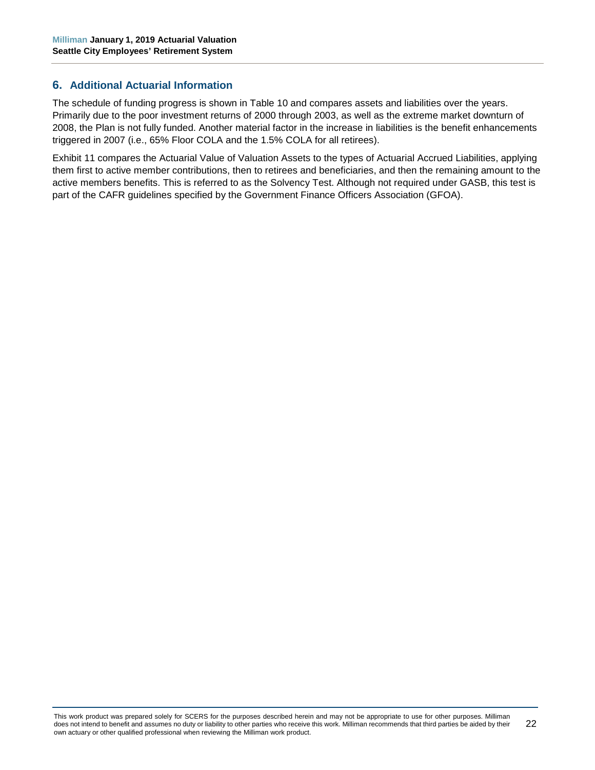## <span id="page-27-0"></span>**6. Additional Actuarial Information**

The schedule of funding progress is shown in Table 10 and compares assets and liabilities over the years. Primarily due to the poor investment returns of 2000 through 2003, as well as the extreme market downturn of 2008, the Plan is not fully funded. Another material factor in the increase in liabilities is the benefit enhancements triggered in 2007 (i.e., 65% Floor COLA and the 1.5% COLA for all retirees).

Exhibit 11 compares the Actuarial Value of Valuation Assets to the types of Actuarial Accrued Liabilities, applying them first to active member contributions, then to retirees and beneficiaries, and then the remaining amount to the active members benefits. This is referred to as the Solvency Test. Although not required under GASB, this test is part of the CAFR guidelines specified by the Government Finance Officers Association (GFOA).

This work product was prepared solely for SCERS for the purposes described herein and may not be appropriate to use for other purposes. Milliman does not intend to benefit and assumes no duty or liability to other parties who receive this work. Milliman recommends that third parties be aided by their own actuary or other qualified professional when reviewing the Milliman work product. 22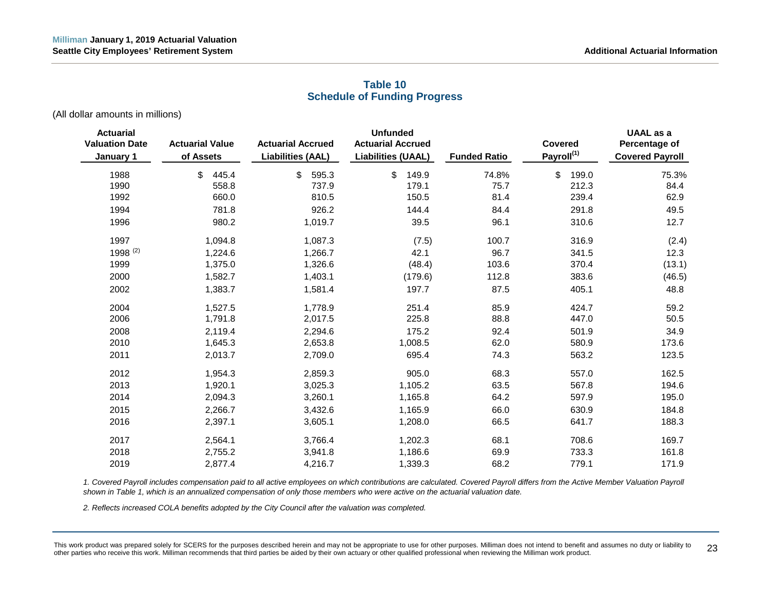# <span id="page-28-0"></span>**Actuarial Unfunded UAAL as a Valuation Date Actuarial Value Actuarial Accrued Actuarial Accrued Covered Percentage of January 1 of Assets Liabilities (AAL) Liabilities (UAAL) Funded Ratio Payroll(1) Covered Payroll** 1988 \$ 445.4 \$ 595.3 \$ 149.9 74.8% \$ 199.0 75.3% 1990 558.8 737.9 179.1 75.7 212.3 84.4 1992 660.0 810.5 150.5 81.4 239.4 62.9 1994 781.8 926.2 144.4 84.4 291.8 49.5 1996 980.2 1,019.7 39.5 96.1 310.6 12.7 1997 1,094.8 1,087.3 (7.5) 100.7 316.9 (2.4) 1998 <sup>(2)</sup> 1,224.6 1,266.7 42.1 96.7 341.5 12.3 1999 1,375.0 1,326.6 (48.4) 103.6 370.4 (13.1) 2000 1,582.7 1,403.1 (179.6) 112.8 383.6 (46.5) 2002 1,383.7 1,581.4 197.7 87.5 405.1 48.8 2004 1,527.5 1,778.9 251.4 85.9 424.7 59.2 2006 1,791.8 2,017.5 225.8 88.8 447.0 50.5 2008 2,119.4 2,294.6 175.2 92.4 501.9 34.9 2010 1,645.3 2,653.8 1,008.5 62.0 580.9 173.6 2011 2,013.7 2,709.0 695.4 74.3 563.2 123.5 2012 1,954.3 2,859.3 905.0 68.3 557.0 162.5 2013 1,920.1 3,025.3 1,105.2 63.5 567.8 194.6 2014 2,094.3 3,260.1 1,165.8 64.2 597.9 195.0 2015 2,266.7 3,432.6 1,165.9 66.0 630.9 184.8 2016 2,397.1 3,605.1 1,208.0 66.5 641.7 188.3 2017 2,564.1 3,766.4 1,202.3 68.1 708.6 169.7

# **Table 10 Schedule of Funding Progress**

(All dollar amounts in millions)

*1. Covered Payroll includes compensation paid to all active employees on which contributions are calculated. Covered Payroll differs from the Active Member Valuation Payroll shown in Table 1, which is an annualized compensation of only those members who were active on the actuarial valuation date.*

2018 2,755.2 3,941.8 1,186.6 69.9 733.3 161.8 2019 2,877.4 4,216.7 1,339.3 68.2 779.1 171.9

*2. Reflects increased COLA benefits adopted by the City Council after the valuation was completed.*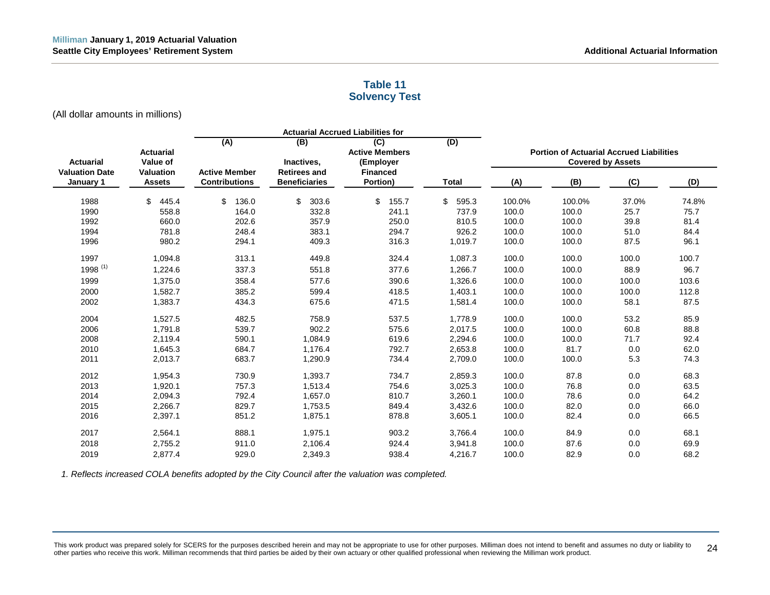# **Table 11 Solvency Test**

(All dollar amounts in millions)

<span id="page-29-0"></span>

|                                    |                                   |                                              |                                             | <b>Actuarial Accrued Liabilities for</b>  |              |        |                                                 |                          |       |
|------------------------------------|-----------------------------------|----------------------------------------------|---------------------------------------------|-------------------------------------------|--------------|--------|-------------------------------------------------|--------------------------|-------|
| <b>Actuarial</b>                   | <b>Actuarial</b><br>Value of      | (A)                                          | (B)<br>Inactives,                           | (C)<br><b>Active Members</b><br>(Employer | (D)          |        | <b>Portion of Actuarial Accrued Liabilities</b> | <b>Covered by Assets</b> |       |
| <b>Valuation Date</b><br>January 1 | <b>Valuation</b><br><b>Assets</b> | <b>Active Member</b><br><b>Contributions</b> | <b>Retirees and</b><br><b>Beneficiaries</b> | <b>Financed</b><br>Portion)               | <b>Total</b> | (A)    | (B)                                             | (C)                      | (D)   |
| 1988                               | \$<br>445.4                       | \$<br>136.0                                  | \$<br>303.6                                 | \$<br>155.7                               | \$<br>595.3  | 100.0% | 100.0%                                          | 37.0%                    | 74.8% |
| 1990                               | 558.8                             | 164.0                                        | 332.8                                       | 241.1                                     | 737.9        | 100.0  | 100.0                                           | 25.7                     | 75.7  |
| 1992                               | 660.0                             | 202.6                                        | 357.9                                       | 250.0                                     | 810.5        | 100.0  | 100.0                                           | 39.8                     | 81.4  |
| 1994                               | 781.8                             | 248.4                                        | 383.1                                       | 294.7                                     | 926.2        | 100.0  | 100.0                                           | 51.0                     | 84.4  |
| 1996                               | 980.2                             | 294.1                                        | 409.3                                       | 316.3                                     | 1,019.7      | 100.0  | 100.0                                           | 87.5                     | 96.1  |
| 1997                               | 1,094.8                           | 313.1                                        | 449.8                                       | 324.4                                     | 1,087.3      | 100.0  | 100.0                                           | 100.0                    | 100.7 |
| $1998$ <sup>(1)</sup>              | 1,224.6                           | 337.3                                        | 551.8                                       | 377.6                                     | 1,266.7      | 100.0  | 100.0                                           | 88.9                     | 96.7  |
| 1999                               | 1,375.0                           | 358.4                                        | 577.6                                       | 390.6                                     | 1,326.6      | 100.0  | 100.0                                           | 100.0                    | 103.6 |
| 2000                               | 1,582.7                           | 385.2                                        | 599.4                                       | 418.5                                     | 1,403.1      | 100.0  | 100.0                                           | 100.0                    | 112.8 |
| 2002                               | 1,383.7                           | 434.3                                        | 675.6                                       | 471.5                                     | 1,581.4      | 100.0  | 100.0                                           | 58.1                     | 87.5  |
| 2004                               | 1,527.5                           | 482.5                                        | 758.9                                       | 537.5                                     | 1,778.9      | 100.0  | 100.0                                           | 53.2                     | 85.9  |
| 2006                               | 1,791.8                           | 539.7                                        | 902.2                                       | 575.6                                     | 2,017.5      | 100.0  | 100.0                                           | 60.8                     | 88.8  |
| 2008                               | 2,119.4                           | 590.1                                        | 1,084.9                                     | 619.6                                     | 2,294.6      | 100.0  | 100.0                                           | 71.7                     | 92.4  |
| 2010                               | 1,645.3                           | 684.7                                        | 1,176.4                                     | 792.7                                     | 2,653.8      | 100.0  | 81.7                                            | 0.0                      | 62.0  |
| 2011                               | 2,013.7                           | 683.7                                        | 1,290.9                                     | 734.4                                     | 2,709.0      | 100.0  | 100.0                                           | 5.3                      | 74.3  |
| 2012                               | 1,954.3                           | 730.9                                        | 1,393.7                                     | 734.7                                     | 2,859.3      | 100.0  | 87.8                                            | 0.0                      | 68.3  |
| 2013                               | 1,920.1                           | 757.3                                        | 1,513.4                                     | 754.6                                     | 3,025.3      | 100.0  | 76.8                                            | 0.0                      | 63.5  |
| 2014                               | 2,094.3                           | 792.4                                        | 1,657.0                                     | 810.7                                     | 3,260.1      | 100.0  | 78.6                                            | 0.0                      | 64.2  |
| 2015                               | 2,266.7                           | 829.7                                        | 1,753.5                                     | 849.4                                     | 3,432.6      | 100.0  | 82.0                                            | 0.0                      | 66.0  |
| 2016                               | 2,397.1                           | 851.2                                        | 1,875.1                                     | 878.8                                     | 3,605.1      | 100.0  | 82.4                                            | 0.0                      | 66.5  |
| 2017                               | 2,564.1                           | 888.1                                        | 1,975.1                                     | 903.2                                     | 3,766.4      | 100.0  | 84.9                                            | 0.0                      | 68.1  |
| 2018                               | 2,755.2                           | 911.0                                        | 2,106.4                                     | 924.4                                     | 3,941.8      | 100.0  | 87.6                                            | 0.0                      | 69.9  |
| 2019                               | 2.877.4                           | 929.0                                        | 2,349.3                                     | 938.4                                     | 4,216.7      | 100.0  | 82.9                                            | 0.0                      | 68.2  |

*1. Reflects increased COLA benefits adopted by the City Council after the valuation was completed.*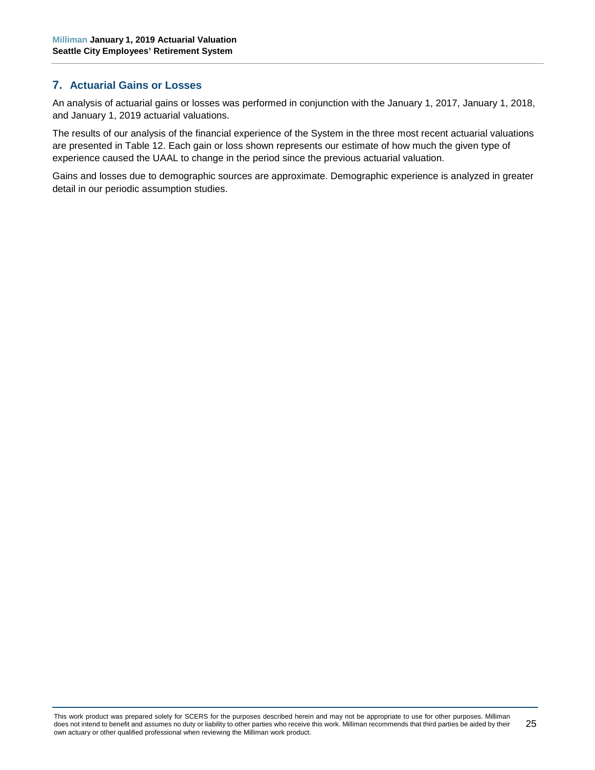## <span id="page-30-0"></span>**7. Actuarial Gains or Losses**

An analysis of actuarial gains or losses was performed in conjunction with the January 1, 2017, January 1, 2018, and January 1, 2019 actuarial valuations.

The results of our analysis of the financial experience of the System in the three most recent actuarial valuations are presented in Table 12. Each gain or loss shown represents our estimate of how much the given type of experience caused the UAAL to change in the period since the previous actuarial valuation.

Gains and losses due to demographic sources are approximate. Demographic experience is analyzed in greater detail in our periodic assumption studies.

This work product was prepared solely for SCERS for the purposes described herein and may not be appropriate to use for other purposes. Milliman does not intend to benefit and assumes no duty or liability to other parties who receive this work. Milliman recommends that third parties be aided by their own actuary or other qualified professional when reviewing the Milliman work product. 25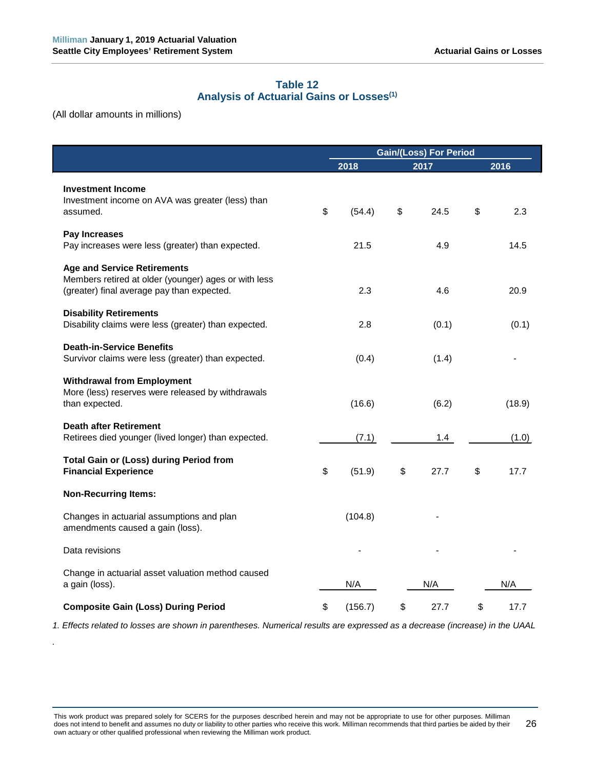# **Table 12 Analysis of Actuarial Gains or Losses(1)**

<span id="page-31-0"></span>(All dollar amounts in millions)

*.*

|                                                                                                                                          | <b>Gain/(Loss) For Period</b> |         |    |       |      |        |
|------------------------------------------------------------------------------------------------------------------------------------------|-------------------------------|---------|----|-------|------|--------|
|                                                                                                                                          |                               | 2018    |    | 2017  | 2016 |        |
| <b>Investment Income</b><br>Investment income on AVA was greater (less) than<br>assumed.                                                 | \$                            | (54.4)  | \$ | 24.5  | \$   | 2.3    |
| Pay Increases<br>Pay increases were less (greater) than expected.                                                                        |                               | 21.5    |    | 4.9   |      | 14.5   |
| <b>Age and Service Retirements</b><br>Members retired at older (younger) ages or with less<br>(greater) final average pay than expected. |                               | 2.3     |    | 4.6   |      | 20.9   |
| <b>Disability Retirements</b><br>Disability claims were less (greater) than expected.                                                    |                               | 2.8     |    | (0.1) |      | (0.1)  |
| <b>Death-in-Service Benefits</b><br>Survivor claims were less (greater) than expected.                                                   |                               | (0.4)   |    | (1.4) |      |        |
| <b>Withdrawal from Employment</b><br>More (less) reserves were released by withdrawals<br>than expected.                                 |                               | (16.6)  |    | (6.2) |      | (18.9) |
| <b>Death after Retirement</b><br>Retirees died younger (lived longer) than expected.                                                     |                               | (7.1)   |    | 1.4   |      | (1.0)  |
| <b>Total Gain or (Loss) during Period from</b><br><b>Financial Experience</b>                                                            | \$                            | (51.9)  | \$ | 27.7  | \$   | 17.7   |
| <b>Non-Recurring Items:</b>                                                                                                              |                               |         |    |       |      |        |
| Changes in actuarial assumptions and plan<br>amendments caused a gain (loss).                                                            |                               | (104.8) |    |       |      |        |
| Data revisions                                                                                                                           |                               |         |    |       |      |        |
| Change in actuarial asset valuation method caused<br>a gain (loss).                                                                      |                               | N/A     |    | N/A   |      | N/A    |
| <b>Composite Gain (Loss) During Period</b>                                                                                               | \$                            | (156.7) | \$ | 27.7  | \$   | 17.7   |

*1. Effects related to losses are shown in parentheses. Numerical results are expressed as a decrease (increase) in the UAAL*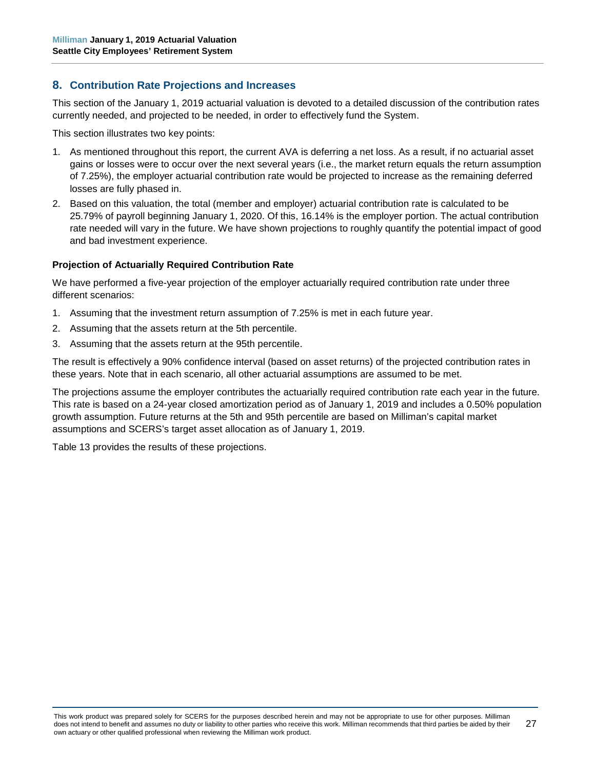# <span id="page-32-0"></span>**8. Contribution Rate Projections and Increases**

This section of the January 1, 2019 actuarial valuation is devoted to a detailed discussion of the contribution rates currently needed, and projected to be needed, in order to effectively fund the System.

This section illustrates two key points:

- 1. As mentioned throughout this report, the current AVA is deferring a net loss. As a result, if no actuarial asset gains or losses were to occur over the next several years (i.e., the market return equals the return assumption of 7.25%), the employer actuarial contribution rate would be projected to increase as the remaining deferred losses are fully phased in.
- 2. Based on this valuation, the total (member and employer) actuarial contribution rate is calculated to be 25.79% of payroll beginning January 1, 2020. Of this, 16.14% is the employer portion. The actual contribution rate needed will vary in the future. We have shown projections to roughly quantify the potential impact of good and bad investment experience.

#### **Projection of Actuarially Required Contribution Rate**

We have performed a five-year projection of the employer actuarially required contribution rate under three different scenarios:

- 1. Assuming that the investment return assumption of 7.25% is met in each future year.
- 2. Assuming that the assets return at the 5th percentile.
- 3. Assuming that the assets return at the 95th percentile.

The result is effectively a 90% confidence interval (based on asset returns) of the projected contribution rates in these years. Note that in each scenario, all other actuarial assumptions are assumed to be met.

The projections assume the employer contributes the actuarially required contribution rate each year in the future. This rate is based on a 24-year closed amortization period as of January 1, 2019 and includes a 0.50% population growth assumption. Future returns at the 5th and 95th percentile are based on Milliman's capital market assumptions and SCERS's target asset allocation as of January 1, 2019.

Table 13 provides the results of these projections.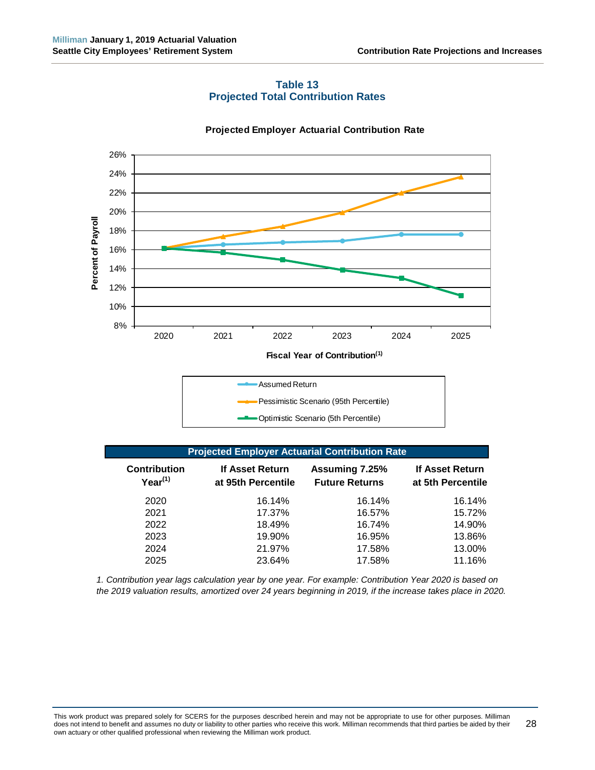<span id="page-33-0"></span>

#### **Table 13 Projected Total Contribution Rates**

#### **Projected Employer Actuarial Contribution Rate**

| <b>Projected Employer Actuarial Contribution Rate</b> |                                       |                                         |                                      |  |  |  |  |  |
|-------------------------------------------------------|---------------------------------------|-----------------------------------------|--------------------------------------|--|--|--|--|--|
| <b>Contribution</b><br>$Year^{(1)}$                   | If Asset Return<br>at 95th Percentile | Assuming 7.25%<br><b>Future Returns</b> | If Asset Return<br>at 5th Percentile |  |  |  |  |  |
| 2020                                                  | 16.14%                                | 16.14%                                  | 16.14%                               |  |  |  |  |  |
| 2021                                                  | 17.37%                                | 16.57%                                  | 15.72%                               |  |  |  |  |  |
| 2022                                                  | 18.49%                                | 16.74%                                  | 14.90%                               |  |  |  |  |  |
| 2023                                                  | 19.90%                                | 16.95%                                  | 13.86%                               |  |  |  |  |  |
| 2024                                                  | 21.97%                                | 17.58%                                  | 13.00%                               |  |  |  |  |  |
|                                                       |                                       |                                         |                                      |  |  |  |  |  |

Optimistic Scenario (5th Percentile)

*1. Contribution year lags calculation year by one year. For example: Contribution Year 2020 is based on the 2019 valuation results, amortized over 24 years beginning in 2019, if the increase takes place in 2020.*

2025 23.64% 17.58% 11.16%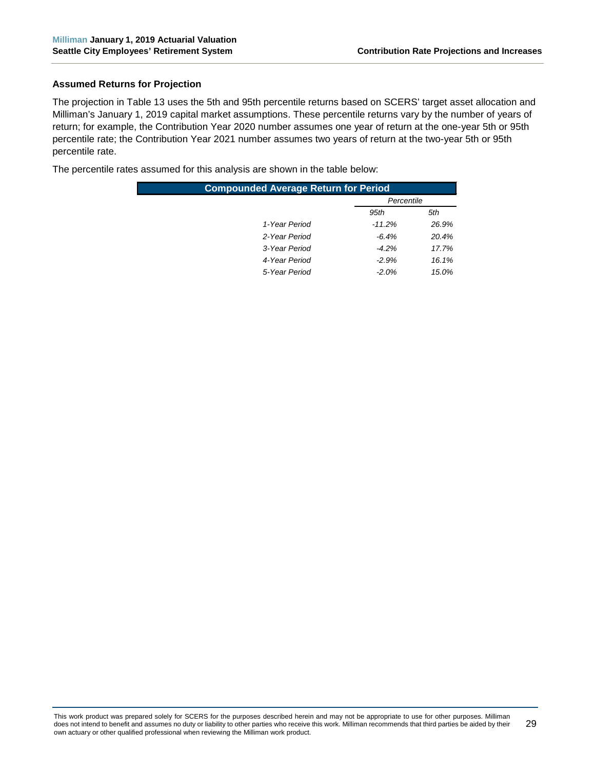#### **Assumed Returns for Projection**

The projection in Table 13 uses the 5th and 95th percentile returns based on SCERS' target asset allocation and Milliman's January 1, 2019 capital market assumptions. These percentile returns vary by the number of years of return; for example, the Contribution Year 2020 number assumes one year of return at the one-year 5th or 95th percentile rate; the Contribution Year 2021 number assumes two years of return at the two-year 5th or 95th percentile rate.

The percentile rates assumed for this analysis are shown in the table below:

| <b>Compounded Average Return for Period</b> |             |            |  |  |  |  |  |  |  |
|---------------------------------------------|-------------|------------|--|--|--|--|--|--|--|
|                                             |             | Percentile |  |  |  |  |  |  |  |
|                                             | 95th<br>5th |            |  |  |  |  |  |  |  |
| 1-Year Period                               | $-11.2\%$   | 26.9%      |  |  |  |  |  |  |  |
| 2-Year Period                               | $-6.4%$     | 20.4%      |  |  |  |  |  |  |  |
| 3-Year Period                               | $-4.2\%$    | 17.7%      |  |  |  |  |  |  |  |
| 4-Year Period                               | $-2.9%$     | 16.1%      |  |  |  |  |  |  |  |
| 5-Year Period                               | $-2.0%$     | 15.0%      |  |  |  |  |  |  |  |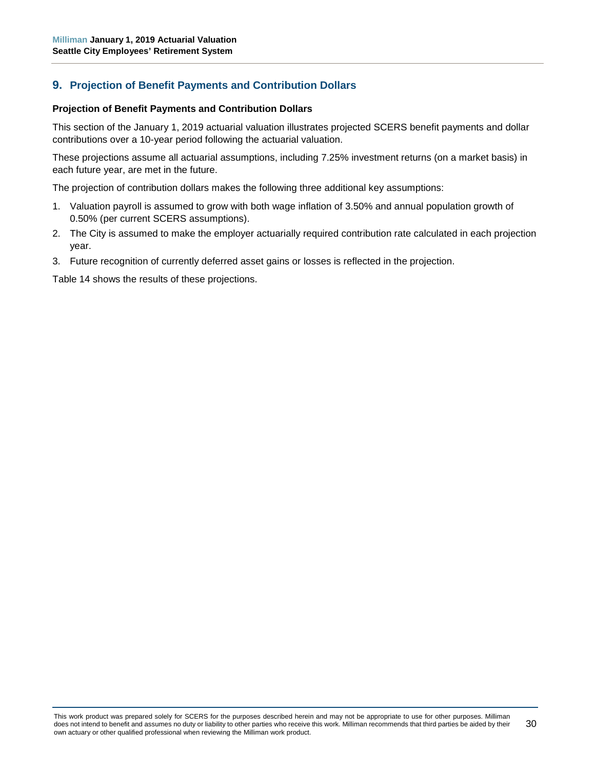# <span id="page-35-0"></span>**9. Projection of Benefit Payments and Contribution Dollars**

#### **Projection of Benefit Payments and Contribution Dollars**

This section of the January 1, 2019 actuarial valuation illustrates projected SCERS benefit payments and dollar contributions over a 10-year period following the actuarial valuation.

These projections assume all actuarial assumptions, including 7.25% investment returns (on a market basis) in each future year, are met in the future.

The projection of contribution dollars makes the following three additional key assumptions:

- 1. Valuation payroll is assumed to grow with both wage inflation of 3.50% and annual population growth of 0.50% (per current SCERS assumptions).
- 2. The City is assumed to make the employer actuarially required contribution rate calculated in each projection year.
- 3. Future recognition of currently deferred asset gains or losses is reflected in the projection.

Table 14 shows the results of these projections.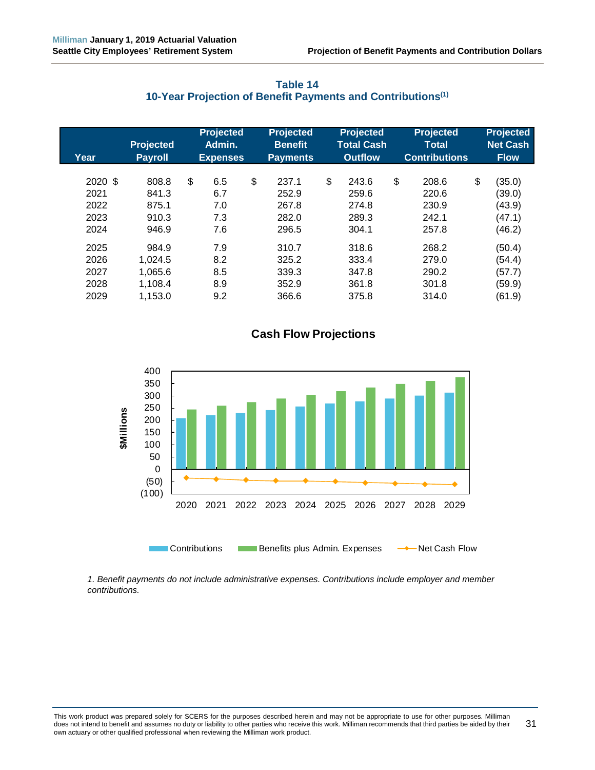<span id="page-36-0"></span>

| Year                                    | <b>Projected</b><br><b>Payroll</b>                | <b>Projected</b><br>Admin.<br><b>Expenses</b> | <b>Projected</b><br><b>Benefit</b><br><b>Payments</b> | <b>Projected</b><br><b>Total Cash</b><br><b>Outflow</b> | <b>Projected</b><br><b>Total</b><br><b>Contributions</b> | <b>Projected</b><br><b>Net Cash</b><br><b>Flow</b>   |
|-----------------------------------------|---------------------------------------------------|-----------------------------------------------|-------------------------------------------------------|---------------------------------------------------------|----------------------------------------------------------|------------------------------------------------------|
| 2020 \$<br>2021<br>2022<br>2023<br>2024 | 808.8<br>841.3<br>875.1<br>910.3<br>946.9         | \$<br>6.5<br>6.7<br>7.0<br>7.3<br>7.6         | \$<br>237.1<br>252.9<br>267.8<br>282.0<br>296.5       | \$<br>243.6<br>259.6<br>274.8<br>289.3<br>304.1         | \$<br>208.6<br>220.6<br>230.9<br>242.1<br>257.8          | \$<br>(35.0)<br>(39.0)<br>(43.9)<br>(47.1)<br>(46.2) |
| 2025<br>2026<br>2027<br>2028<br>2029    | 984.9<br>1,024.5<br>1.065.6<br>1,108.4<br>1,153.0 | 7.9<br>8.2<br>8.5<br>8.9<br>9.2               | 310.7<br>325.2<br>339.3<br>352.9<br>366.6             | 318.6<br>333.4<br>347.8<br>361.8<br>375.8               | 268.2<br>279.0<br>290.2<br>301.8<br>314.0                | (50.4)<br>(54.4)<br>(57.7)<br>(59.9)<br>(61.9)       |

## **Table 14 10-Year Projection of Benefit Payments and Contributions(1)**

# **Cash Flow Projections**



*1. Benefit payments do not include administrative expenses. Contributions include employer and member contributions.*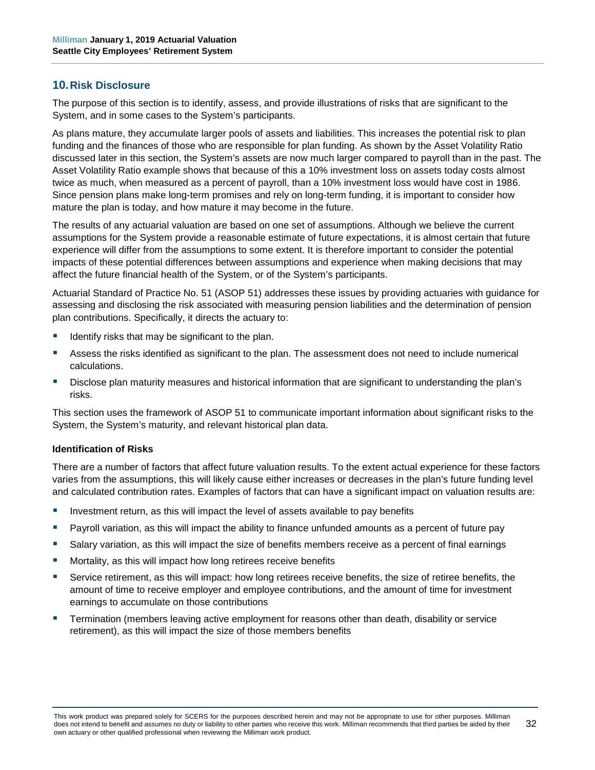#### <span id="page-37-0"></span>**10.Risk Disclosure**

The purpose of this section is to identify, assess, and provide illustrations of risks that are significant to the System, and in some cases to the System's participants.

As plans mature, they accumulate larger pools of assets and liabilities. This increases the potential risk to plan funding and the finances of those who are responsible for plan funding. As shown by the Asset Volatility Ratio discussed later in this section, the System's assets are now much larger compared to payroll than in the past. The Asset Volatility Ratio example shows that because of this a 10% investment loss on assets today costs almost twice as much, when measured as a percent of payroll, than a 10% investment loss would have cost in 1986. Since pension plans make long-term promises and rely on long-term funding, it is important to consider how mature the plan is today, and how mature it may become in the future.

The results of any actuarial valuation are based on one set of assumptions. Although we believe the current assumptions for the System provide a reasonable estimate of future expectations, it is almost certain that future experience will differ from the assumptions to some extent. It is therefore important to consider the potential impacts of these potential differences between assumptions and experience when making decisions that may affect the future financial health of the System, or of the System's participants.

Actuarial Standard of Practice No. 51 (ASOP 51) addresses these issues by providing actuaries with guidance for assessing and disclosing the risk associated with measuring pension liabilities and the determination of pension plan contributions. Specifically, it directs the actuary to:

- Identify risks that may be significant to the plan.
- Assess the risks identified as significant to the plan. The assessment does not need to include numerical calculations.
- Disclose plan maturity measures and historical information that are significant to understanding the plan's risks.

This section uses the framework of ASOP 51 to communicate important information about significant risks to the System, the System's maturity, and relevant historical plan data.

#### **Identification of Risks**

There are a number of factors that affect future valuation results. To the extent actual experience for these factors varies from the assumptions, this will likely cause either increases or decreases in the plan's future funding level and calculated contribution rates. Examples of factors that can have a significant impact on valuation results are:

- Investment return, as this will impact the level of assets available to pay benefits
- **Payroll variation, as this will impact the ability to finance unfunded amounts as a percent of future pay**
- Salary variation, as this will impact the size of benefits members receive as a percent of final earnings
- Mortality, as this will impact how long retirees receive benefits
- Service retirement, as this will impact: how long retirees receive benefits, the size of retiree benefits, the amount of time to receive employer and employee contributions, and the amount of time for investment earnings to accumulate on those contributions
- Termination (members leaving active employment for reasons other than death, disability or service retirement), as this will impact the size of those members benefits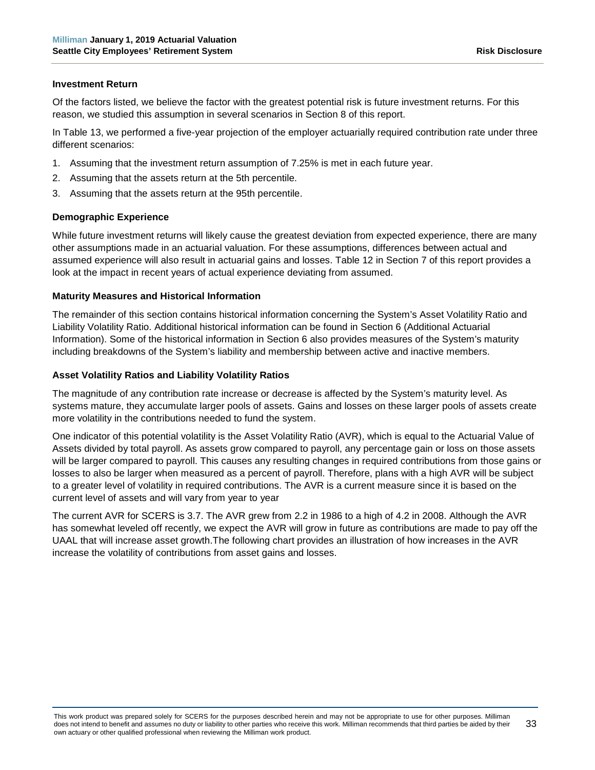#### **Investment Return**

Of the factors listed, we believe the factor with the greatest potential risk is future investment returns. For this reason, we studied this assumption in several scenarios in Section 8 of this report.

In Table 13, we performed a five-year projection of the employer actuarially required contribution rate under three different scenarios:

- 1. Assuming that the investment return assumption of 7.25% is met in each future year.
- 2. Assuming that the assets return at the 5th percentile.
- 3. Assuming that the assets return at the 95th percentile.

#### **Demographic Experience**

While future investment returns will likely cause the greatest deviation from expected experience, there are many other assumptions made in an actuarial valuation. For these assumptions, differences between actual and assumed experience will also result in actuarial gains and losses. Table 12 in Section 7 of this report provides a look at the impact in recent years of actual experience deviating from assumed.

#### **Maturity Measures and Historical Information**

The remainder of this section contains historical information concerning the System's Asset Volatility Ratio and Liability Volatility Ratio. Additional historical information can be found in Section 6 (Additional Actuarial Information). Some of the historical information in Section 6 also provides measures of the System's maturity including breakdowns of the System's liability and membership between active and inactive members.

#### **Asset Volatility Ratios and Liability Volatility Ratios**

The magnitude of any contribution rate increase or decrease is affected by the System's maturity level. As systems mature, they accumulate larger pools of assets. Gains and losses on these larger pools of assets create more volatility in the contributions needed to fund the system.

One indicator of this potential volatility is the Asset Volatility Ratio (AVR), which is equal to the Actuarial Value of Assets divided by total payroll. As assets grow compared to payroll, any percentage gain or loss on those assets will be larger compared to payroll. This causes any resulting changes in required contributions from those gains or losses to also be larger when measured as a percent of payroll. Therefore, plans with a high AVR will be subject to a greater level of volatility in required contributions. The AVR is a current measure since it is based on the current level of assets and will vary from year to year

The current AVR for SCERS is 3.7. The AVR grew from 2.2 in 1986 to a high of 4.2 in 2008. Although the AVR has somewhat leveled off recently, we expect the AVR will grow in future as contributions are made to pay off the UAAL that will increase asset growth.The following chart provides an illustration of how increases in the AVR increase the volatility of contributions from asset gains and losses.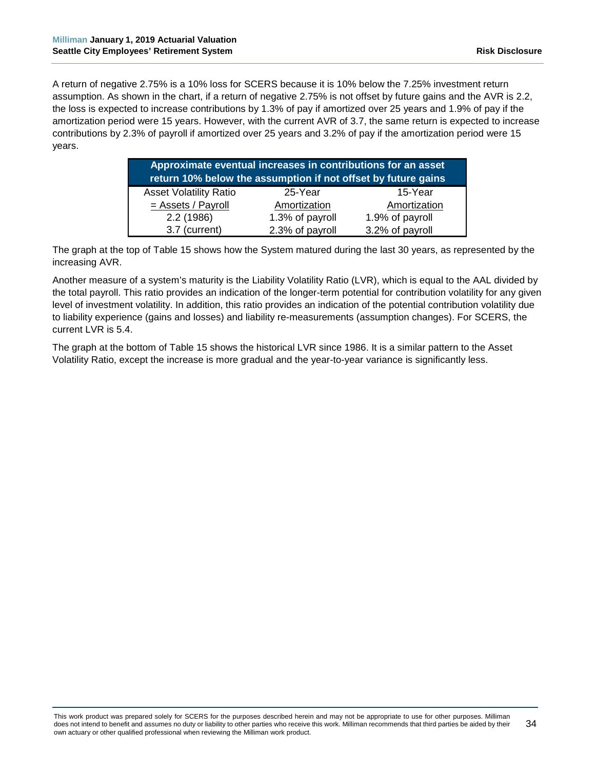A return of negative 2.75% is a 10% loss for SCERS because it is 10% below the 7.25% investment return assumption. As shown in the chart, if a return of negative 2.75% is not offset by future gains and the AVR is 2.2, the loss is expected to increase contributions by 1.3% of pay if amortized over 25 years and 1.9% of pay if the amortization period were 15 years. However, with the current AVR of 3.7, the same return is expected to increase contributions by 2.3% of payroll if amortized over 25 years and 3.2% of pay if the amortization period were 15 years.

| Approximate eventual increases in contributions for an asset<br>return 10% below the assumption if not offset by future gains |                 |                 |  |  |  |  |  |  |  |
|-------------------------------------------------------------------------------------------------------------------------------|-----------------|-----------------|--|--|--|--|--|--|--|
| <b>Asset Volatility Ratio</b>                                                                                                 | 25-Year         | 15-Year         |  |  |  |  |  |  |  |
| $=$ Assets / Payroll                                                                                                          | Amortization    | Amortization    |  |  |  |  |  |  |  |
| 2.2(1986)                                                                                                                     | 1.3% of payroll | 1.9% of payroll |  |  |  |  |  |  |  |
| 3.7 (current)                                                                                                                 | 2.3% of payroll | 3.2% of payroll |  |  |  |  |  |  |  |

The graph at the top of Table 15 shows how the System matured during the last 30 years, as represented by the increasing AVR.

Another measure of a system's maturity is the Liability Volatility Ratio (LVR), which is equal to the AAL divided by the total payroll. This ratio provides an indication of the longer-term potential for contribution volatility for any given level of investment volatility. In addition, this ratio provides an indication of the potential contribution volatility due to liability experience (gains and losses) and liability re-measurements (assumption changes). For SCERS, the current LVR is 5.4.

The graph at the bottom of Table 15 shows the historical LVR since 1986. It is a similar pattern to the Asset Volatility Ratio, except the increase is more gradual and the year-to-year variance is significantly less.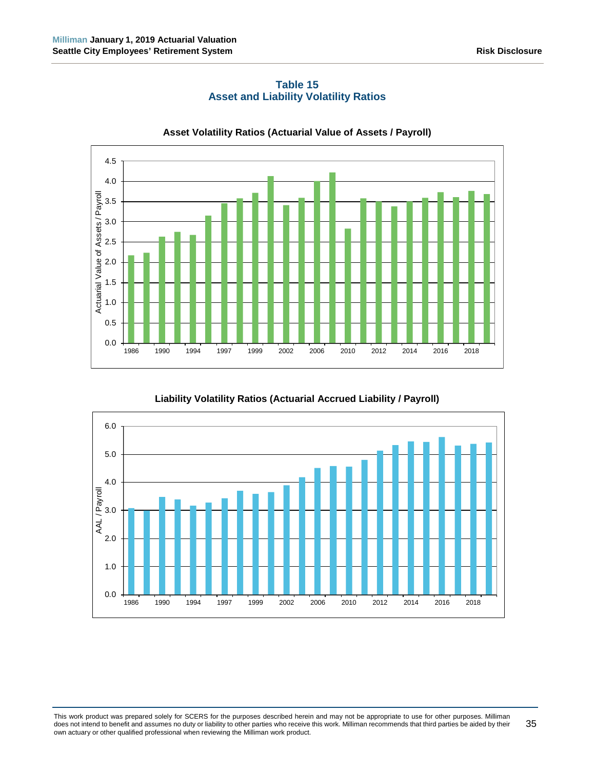<span id="page-40-0"></span>

**Table 15 Asset and Liability Volatility Ratios**

**Liability Volatility Ratios (Actuarial Accrued Liability / Payroll)**



This work product was prepared solely for SCERS for the purposes described herein and may not be appropriate to use for other purposes. Milliman does not intend to benefit and assumes no duty or liability to other parties who receive this work. Milliman recommends that third parties be aided by their own actuary or other qualified professional when reviewing the Milliman work product. 35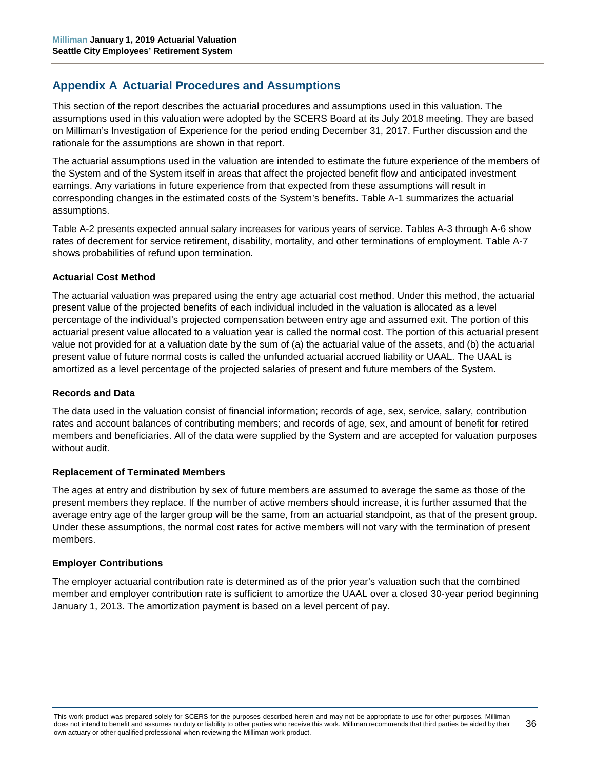# <span id="page-41-0"></span>**Appendix A Actuarial Procedures and Assumptions**

This section of the report describes the actuarial procedures and assumptions used in this valuation. The assumptions used in this valuation were adopted by the SCERS Board at its July 2018 meeting. They are based on Milliman's Investigation of Experience for the period ending December 31, 2017. Further discussion and the rationale for the assumptions are shown in that report.

The actuarial assumptions used in the valuation are intended to estimate the future experience of the members of the System and of the System itself in areas that affect the projected benefit flow and anticipated investment earnings. Any variations in future experience from that expected from these assumptions will result in corresponding changes in the estimated costs of the System's benefits. Table A-1 summarizes the actuarial assumptions.

Table A-2 presents expected annual salary increases for various years of service. Tables A-3 through A-6 show rates of decrement for service retirement, disability, mortality, and other terminations of employment. Table A-7 shows probabilities of refund upon termination.

#### **Actuarial Cost Method**

The actuarial valuation was prepared using the entry age actuarial cost method. Under this method, the actuarial present value of the projected benefits of each individual included in the valuation is allocated as a level percentage of the individual's projected compensation between entry age and assumed exit. The portion of this actuarial present value allocated to a valuation year is called the normal cost. The portion of this actuarial present value not provided for at a valuation date by the sum of (a) the actuarial value of the assets, and (b) the actuarial present value of future normal costs is called the unfunded actuarial accrued liability or UAAL. The UAAL is amortized as a level percentage of the projected salaries of present and future members of the System.

#### **Records and Data**

The data used in the valuation consist of financial information; records of age, sex, service, salary, contribution rates and account balances of contributing members; and records of age, sex, and amount of benefit for retired members and beneficiaries. All of the data were supplied by the System and are accepted for valuation purposes without audit.

#### **Replacement of Terminated Members**

The ages at entry and distribution by sex of future members are assumed to average the same as those of the present members they replace. If the number of active members should increase, it is further assumed that the average entry age of the larger group will be the same, from an actuarial standpoint, as that of the present group. Under these assumptions, the normal cost rates for active members will not vary with the termination of present members.

#### **Employer Contributions**

The employer actuarial contribution rate is determined as of the prior year's valuation such that the combined member and employer contribution rate is sufficient to amortize the UAAL over a closed 30-year period beginning January 1, 2013. The amortization payment is based on a level percent of pay.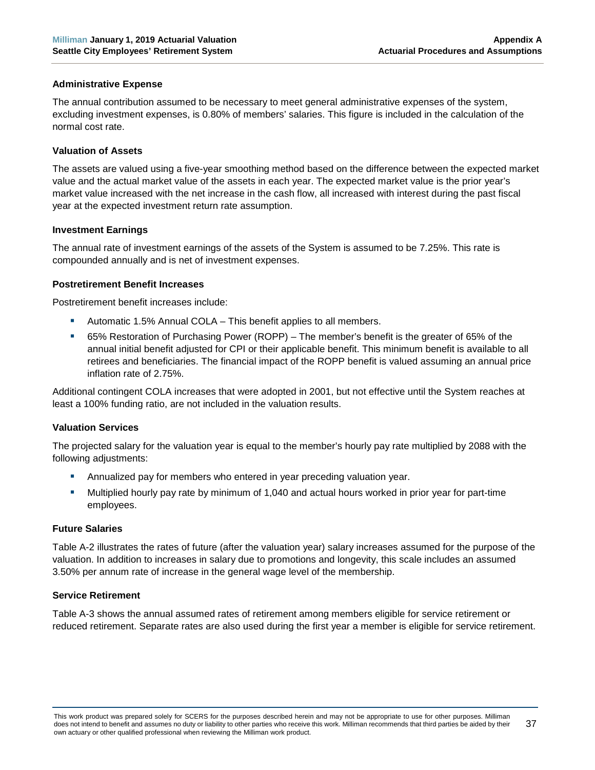#### **Administrative Expense**

The annual contribution assumed to be necessary to meet general administrative expenses of the system, excluding investment expenses, is 0.80% of members' salaries. This figure is included in the calculation of the normal cost rate.

#### **Valuation of Assets**

The assets are valued using a five-year smoothing method based on the difference between the expected market value and the actual market value of the assets in each year. The expected market value is the prior year's market value increased with the net increase in the cash flow, all increased with interest during the past fiscal year at the expected investment return rate assumption.

#### **Investment Earnings**

The annual rate of investment earnings of the assets of the System is assumed to be 7.25%. This rate is compounded annually and is net of investment expenses.

#### **Postretirement Benefit Increases**

Postretirement benefit increases include:

- Automatic 1.5% Annual COLA This benefit applies to all members.
- 65% Restoration of Purchasing Power (ROPP) The member's benefit is the greater of 65% of the annual initial benefit adjusted for CPI or their applicable benefit. This minimum benefit is available to all retirees and beneficiaries. The financial impact of the ROPP benefit is valued assuming an annual price inflation rate of 2.75%.

Additional contingent COLA increases that were adopted in 2001, but not effective until the System reaches at least a 100% funding ratio, are not included in the valuation results.

#### **Valuation Services**

The projected salary for the valuation year is equal to the member's hourly pay rate multiplied by 2088 with the following adjustments:

- Annualized pay for members who entered in year preceding valuation year.
- Multiplied hourly pay rate by minimum of 1,040 and actual hours worked in prior year for part-time employees.

#### **Future Salaries**

Table A-2 illustrates the rates of future (after the valuation year) salary increases assumed for the purpose of the valuation. In addition to increases in salary due to promotions and longevity, this scale includes an assumed 3.50% per annum rate of increase in the general wage level of the membership.

#### **Service Retirement**

Table A-3 shows the annual assumed rates of retirement among members eligible for service retirement or reduced retirement. Separate rates are also used during the first year a member is eligible for service retirement.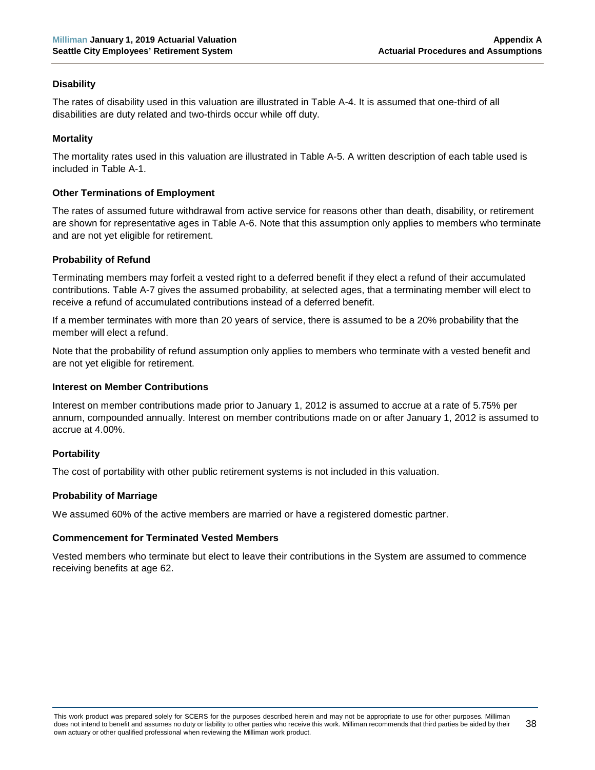#### **Disability**

The rates of disability used in this valuation are illustrated in Table A-4. It is assumed that one-third of all disabilities are duty related and two-thirds occur while off duty.

## **Mortality**

The mortality rates used in this valuation are illustrated in Table A-5. A written description of each table used is included in Table A-1.

#### **Other Terminations of Employment**

The rates of assumed future withdrawal from active service for reasons other than death, disability, or retirement are shown for representative ages in Table A-6. Note that this assumption only applies to members who terminate and are not yet eligible for retirement.

# **Probability of Refund**

Terminating members may forfeit a vested right to a deferred benefit if they elect a refund of their accumulated contributions. Table A-7 gives the assumed probability, at selected ages, that a terminating member will elect to receive a refund of accumulated contributions instead of a deferred benefit.

If a member terminates with more than 20 years of service, there is assumed to be a 20% probability that the member will elect a refund.

Note that the probability of refund assumption only applies to members who terminate with a vested benefit and are not yet eligible for retirement.

#### **Interest on Member Contributions**

Interest on member contributions made prior to January 1, 2012 is assumed to accrue at a rate of 5.75% per annum, compounded annually. Interest on member contributions made on or after January 1, 2012 is assumed to accrue at 4.00%.

#### **Portability**

The cost of portability with other public retirement systems is not included in this valuation.

#### **Probability of Marriage**

We assumed 60% of the active members are married or have a registered domestic partner.

#### **Commencement for Terminated Vested Members**

Vested members who terminate but elect to leave their contributions in the System are assumed to commence receiving benefits at age 62.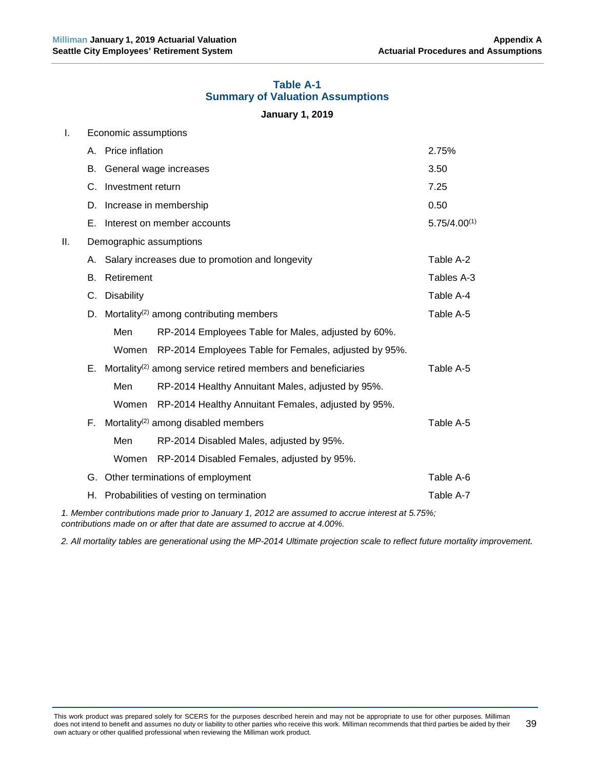#### **Table A-1 Summary of Valuation Assumptions**

#### **January 1, 2019**

<span id="page-44-0"></span>

| Ι.<br>Economic assumptions |                                                                                                |                                                        |                                                                             |            |  |
|----------------------------|------------------------------------------------------------------------------------------------|--------------------------------------------------------|-----------------------------------------------------------------------------|------------|--|
|                            | А.                                                                                             | Price inflation                                        |                                                                             | 2.75%      |  |
|                            | В.                                                                                             | General wage increases                                 | 3.50                                                                        |            |  |
|                            | C.                                                                                             | Investment return                                      | 7.25                                                                        |            |  |
|                            | D.                                                                                             | Increase in membership                                 | 0.50                                                                        |            |  |
|                            | Е.                                                                                             | Interest on member accounts                            | $5.75/4.00^{(1)}$                                                           |            |  |
| II.                        |                                                                                                | Demographic assumptions                                |                                                                             |            |  |
|                            | А.                                                                                             |                                                        | Salary increases due to promotion and longevity                             | Table A-2  |  |
|                            | В.                                                                                             | Retirement                                             |                                                                             | Tables A-3 |  |
|                            | C.                                                                                             | <b>Disability</b>                                      |                                                                             | Table A-4  |  |
|                            |                                                                                                | D. Mortality <sup>(2)</sup> among contributing members |                                                                             | Table A-5  |  |
|                            |                                                                                                | Men                                                    | RP-2014 Employees Table for Males, adjusted by 60%.                         |            |  |
|                            |                                                                                                | Women                                                  | RP-2014 Employees Table for Females, adjusted by 95%.                       |            |  |
|                            |                                                                                                |                                                        | E. Mortality <sup>(2)</sup> among service retired members and beneficiaries | Table A-5  |  |
|                            |                                                                                                | Men                                                    | RP-2014 Healthy Annuitant Males, adjusted by 95%.                           |            |  |
|                            |                                                                                                | Women                                                  | RP-2014 Healthy Annuitant Females, adjusted by 95%.                         |            |  |
|                            | F.                                                                                             |                                                        | Mortality <sup>(2)</sup> among disabled members                             | Table A-5  |  |
|                            |                                                                                                | Men                                                    | RP-2014 Disabled Males, adjusted by 95%.                                    |            |  |
|                            |                                                                                                | Women                                                  | RP-2014 Disabled Females, adjusted by 95%.                                  |            |  |
|                            | G.                                                                                             | Other terminations of employment                       |                                                                             | Table A-6  |  |
|                            |                                                                                                |                                                        | H. Probabilities of vesting on termination                                  | Table A-7  |  |
|                            | 1. Member contributions made prior to January 1, 2012 are assumed to accrue interest at 5.75%; |                                                        |                                                                             |            |  |

*contributions made on or after that date are assumed to accrue at 4.00%.*

*2. All mortality tables are generational using the MP-2014 Ultimate projection scale to reflect future mortality improvement.*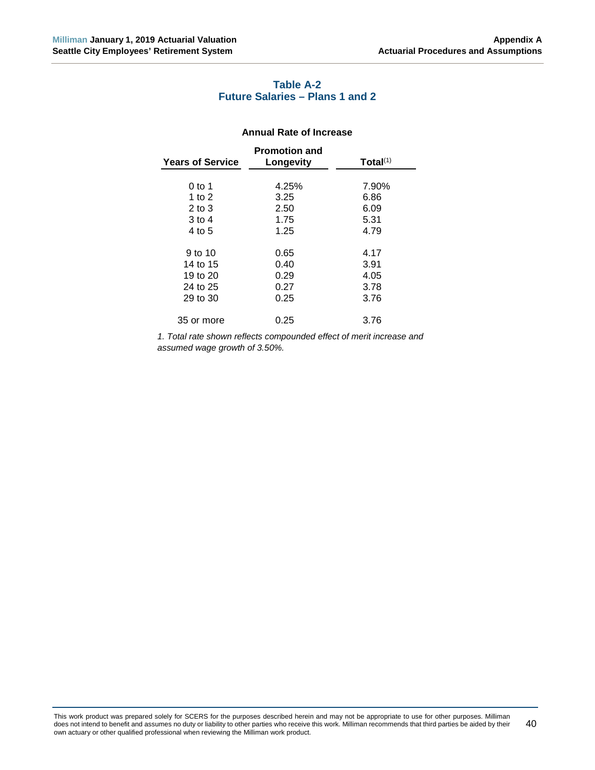# **Table A-2 Future Salaries – Plans 1 and 2**

#### **Annual Rate of Increase**

<span id="page-45-0"></span>

| <b>Years of Service</b> | <b>Promotion and</b><br>Longevity | Total(1) |
|-------------------------|-----------------------------------|----------|
|                         |                                   |          |
| 0 to 1                  | 4.25%                             | 7.90%    |
| 1 to 2                  | 3.25                              | 6.86     |
| $2$ to $3$              | 2.50                              | 6.09     |
| 3 to 4                  | 1.75                              | 5.31     |
| 4 to 5                  | 1.25                              | 4.79     |
|                         |                                   |          |
| 9 to 10                 | 0.65                              | 4.17     |
| 14 to 15                | 0.40                              | 3.91     |
| 19 to 20                | 0.29                              | 4.05     |
| 24 to 25                | 0.27                              | 3.78     |
| 29 to 30                | 0.25                              | 3.76     |
|                         |                                   |          |
| 35 or more              | 0.25                              | 3.76     |
|                         |                                   |          |

*1. Total rate shown reflects compounded effect of merit increase and assumed wage growth of 3.50%.*

This work product was prepared solely for SCERS for the purposes described herein and may not be appropriate to use for other purposes. Milliman does not intend to benefit and assumes no duty or liability to other parties who receive this work. Milliman recommends that third parties be aided by their own actuary or other qualified professional when reviewing the Milliman work product. 40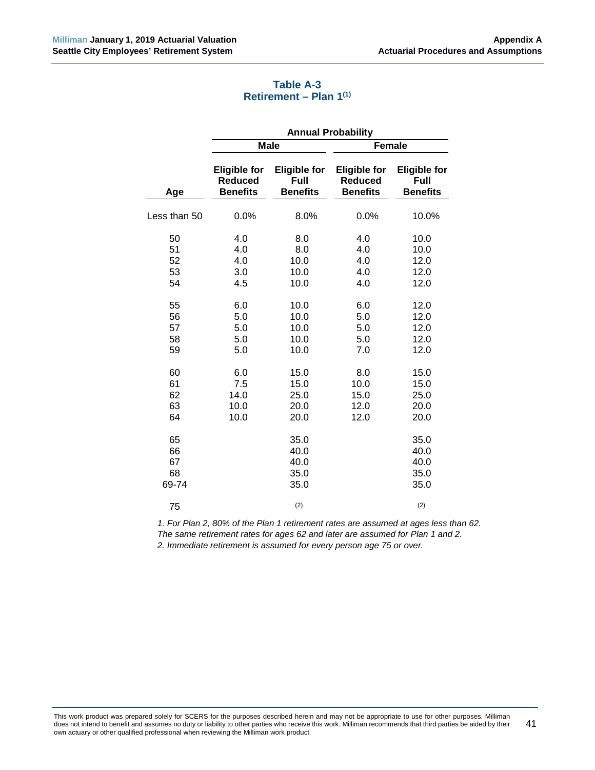# **Table A-3 Retirement – Plan 1(1)**

<span id="page-46-0"></span>

|                                                    | <b>Annual Probability</b>                                   |                                                                    |                                                             |                                                                      |  |
|----------------------------------------------------|-------------------------------------------------------------|--------------------------------------------------------------------|-------------------------------------------------------------|----------------------------------------------------------------------|--|
|                                                    | <b>Male</b>                                                 |                                                                    | <b>Female</b>                                               |                                                                      |  |
| Age                                                | <b>Eligible for</b><br><b>Reduced</b><br><b>Benefits</b>    | <b>Eligible for</b><br>Full<br><b>Benefits</b>                     | <b>Eligible for</b><br><b>Reduced</b><br><b>Benefits</b>    | <b>Eligible for</b><br>Full<br><b>Benefits</b>                       |  |
| Less than 50                                       | 0.0%                                                        | 8.0%                                                               | 0.0%                                                        | 10.0%                                                                |  |
| 50<br>51<br>52<br>53<br>54<br>55<br>56<br>57<br>58 | 4.0<br>4.0<br>4.0<br>3.0<br>4.5<br>6.0<br>5.0<br>5.0<br>5.0 | 8.0<br>8.0<br>10.0<br>10.0<br>10.0<br>10.0<br>10.0<br>10.0<br>10.0 | 4.0<br>4.0<br>4.0<br>4.0<br>4.0<br>6.0<br>5.0<br>5.0<br>5.0 | 10.0<br>10.0<br>12.0<br>12.0<br>12.0<br>12.0<br>12.0<br>12.0<br>12.0 |  |
| 59<br>60<br>61<br>62<br>63<br>64                   | 5.0<br>6.0<br>7.5<br>14.0<br>10.0<br>10.0                   | 10.0<br>15.0<br>15.0<br>25.0<br>20.0<br>20.0                       | 7.0<br>8.0<br>10.0<br>15.0<br>12.0<br>12.0                  | 12.0<br>15.0<br>15.0<br>25.0<br>20.0<br>20.0                         |  |
| 65<br>66<br>67<br>68<br>69-74                      |                                                             | 35.0<br>40.0<br>40.0<br>35.0<br>35.0                               |                                                             | 35.0<br>40.0<br>40.0<br>35.0<br>35.0                                 |  |
| 75                                                 |                                                             | (2)                                                                |                                                             | (2)                                                                  |  |

*1. For Plan 2, 80% of the Plan 1 retirement rates are assumed at ages less than 62. The same retirement rates for ages 62 and later are assumed for Plan 1 and 2. 2. Immediate retirement is assumed for every person age 75 or over.*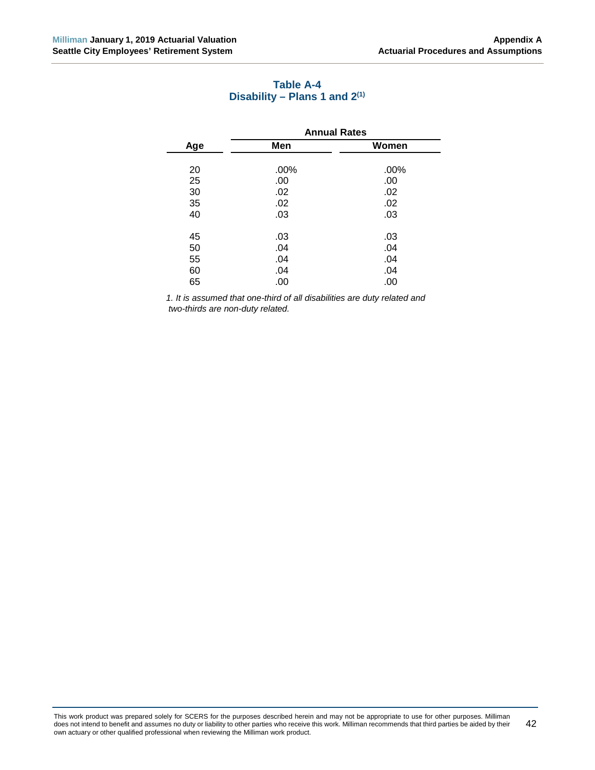<span id="page-47-0"></span>

|     | <b>Annual Rates</b> |       |  |  |
|-----|---------------------|-------|--|--|
| Age | Men                 | Women |  |  |
|     |                     |       |  |  |
| 20  | .00%                | .00%  |  |  |
| 25  | .00                 | .00   |  |  |
| 30  | .02                 | .02   |  |  |
| 35  | .02                 | .02   |  |  |
| 40  | .03                 | .03   |  |  |
|     |                     |       |  |  |
| 45  | .03                 | .03   |  |  |
| 50  | .04                 | .04   |  |  |
| 55  | .04                 | .04   |  |  |
| 60  | .04                 | .04   |  |  |
| 65  | .00                 | .00   |  |  |
|     |                     |       |  |  |

# **Table A-4 Disability – Plans 1 and 2(1)**

*1. It is assumed that one-third of all disabilities are duty related and two-thirds are non-duty related.*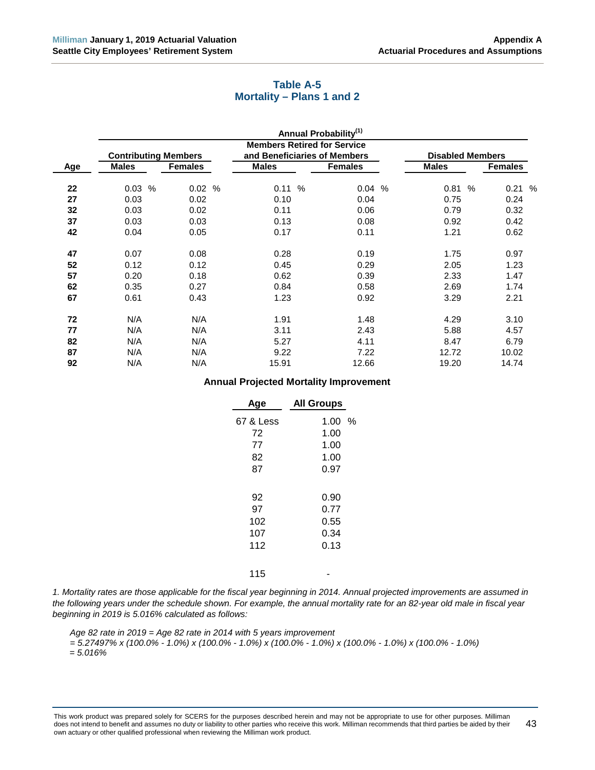# **Table A-5 Mortality – Plans 1 and 2**

<span id="page-48-0"></span>

|     |                             |                |                                    | <b>Annual Probability</b> <sup>(1)</sup> |                         |      |                |  |
|-----|-----------------------------|----------------|------------------------------------|------------------------------------------|-------------------------|------|----------------|--|
|     |                             |                | <b>Members Retired for Service</b> |                                          |                         |      |                |  |
|     | <b>Contributing Members</b> |                | and Beneficiaries of Members       |                                          | <b>Disabled Members</b> |      |                |  |
| Age | <b>Males</b>                | <b>Females</b> | <b>Males</b>                       | <b>Females</b>                           | <b>Males</b>            |      | <b>Females</b> |  |
| 22  | $\%$<br>0.03                | 0.02%          | 0.11%                              | 0.04%                                    | 0.81                    | $\%$ | 0.21%          |  |
| 27  | 0.03                        | 0.02           | 0.10                               | 0.04                                     | 0.75                    |      | 0.24           |  |
|     |                             |                |                                    |                                          |                         |      |                |  |
| 32  | 0.03                        | 0.02           | 0.11                               | 0.06                                     | 0.79                    |      | 0.32           |  |
| 37  | 0.03                        | 0.03           | 0.13                               | 0.08                                     | 0.92                    |      | 0.42           |  |
| 42  | 0.04                        | 0.05           | 0.17                               | 0.11                                     | 1.21                    |      | 0.62           |  |
| 47  | 0.07                        | 0.08           | 0.28                               | 0.19                                     | 1.75                    |      | 0.97           |  |
| 52  | 0.12                        | 0.12           | 0.45                               | 0.29                                     | 2.05                    |      | 1.23           |  |
| 57  | 0.20                        | 0.18           | 0.62                               | 0.39                                     | 2.33                    |      | 1.47           |  |
| 62  | 0.35                        | 0.27           | 0.84                               | 0.58                                     | 2.69                    |      | 1.74           |  |
| 67  | 0.61                        | 0.43           | 1.23                               | 0.92                                     | 3.29                    |      | 2.21           |  |
| 72  | N/A                         | N/A            | 1.91                               | 1.48                                     | 4.29                    |      | 3.10           |  |
| 77  | N/A                         | N/A            | 3.11                               | 2.43                                     | 5.88                    |      | 4.57           |  |
| 82  | N/A                         | N/A            | 5.27                               | 4.11                                     | 8.47                    |      | 6.79           |  |
| 87  | N/A                         | N/A            | 9.22                               | 7.22                                     | 12.72                   |      | 10.02          |  |
| 92  | N/A                         | N/A            | 15.91                              | 12.66                                    | 19.20                   |      | 14.74          |  |

#### **Annual Projected Mortality Improvement**

| Age       | <b>All Groups</b> |   |
|-----------|-------------------|---|
| 67 & Less | 1.00              | % |
| 72        | 1.00              |   |
| 77        | 1.00              |   |
| 82        | 1.00              |   |
| 87        | 0.97              |   |
|           |                   |   |
| 92        | 0.90              |   |
| 97        | 0.77              |   |
| 102       | 0.55              |   |
| 107       | 0.34              |   |
| 112       | 0.13              |   |
|           |                   |   |
| 115       |                   |   |

*1. Mortality rates are those applicable for the fiscal year beginning in 2014. Annual projected improvements are assumed in the following years under the schedule shown. For example, the annual mortality rate for an 82-year old male in fiscal year beginning in 2019 is 5.016% calculated as follows:*

*Age 82 rate in 2019 = Age 82 rate in 2014 with 5 years improvement*

*= 5.27497% x (100.0% - 1.0%) x (100.0% - 1.0%) x (100.0% - 1.0%) x (100.0% - 1.0%) x (100.0% - 1.0%) = 5.016%*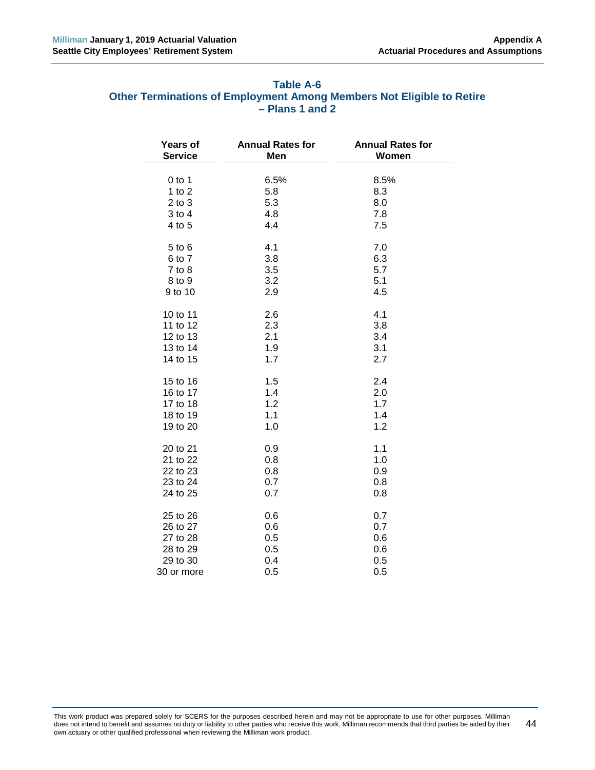<span id="page-49-0"></span>

| Table A-6                                                             |  |
|-----------------------------------------------------------------------|--|
| Other Terminations of Employment Among Members Not Eligible to Retire |  |
| $-$ Plans 1 and 2                                                     |  |

| Years of       | <b>Annual Rates for</b> | <b>Annual Rates for</b> |
|----------------|-------------------------|-------------------------|
| <b>Service</b> | Men                     | Women                   |
| $0$ to 1       | 6.5%                    | 8.5%                    |
| 1 to $2$       | 5.8                     | 8.3                     |
| $2$ to $3$     | 5.3                     | 8.0                     |
| $3$ to $4$     | 4.8                     | 7.8                     |
| 4 to 5         | 4.4                     | 7.5                     |
| $5$ to $6$     | 4.1                     | 7.0                     |
| 6 to 7         | 3.8                     | 6.3                     |
| $7$ to $8$     | 3.5                     | 5.7                     |
| 8 to 9         | 3.2                     | 5.1                     |
| 9 to 10        | 2.9                     | 4.5                     |
| 10 to 11       | 2.6                     | 4.1                     |
| 11 to 12       | 2.3                     | 3.8                     |
| 12 to 13       | 2.1                     | 3.4                     |
| 13 to 14       | 1.9                     | 3.1                     |
| 14 to 15       | 1.7                     | 2.7                     |
| 15 to 16       | 1.5                     | 2.4                     |
| 16 to 17       | 1.4                     | 2.0                     |
| 17 to 18       | 1.2                     | 1.7                     |
| 18 to 19       | 1.1                     | 1.4                     |
| 19 to 20       | 1.0                     | 1.2                     |
| 20 to 21       | 0.9                     | 1.1                     |
| 21 to 22       | 0.8                     | 1.0                     |
| 22 to 23       | 0.8                     | 0.9                     |
| 23 to 24       | 0.7                     | 0.8                     |
| 24 to 25       | 0.7                     | 0.8                     |
| 25 to 26       | 0.6                     | 0.7                     |
| 26 to 27       | 0.6                     | 0.7                     |
| 27 to 28       | 0.5                     | 0.6                     |
| 28 to 29       | 0.5                     | 0.6                     |
| 29 to 30       | 0.4                     | 0.5                     |
| 30 or more     | 0.5                     | 0.5                     |

This work product was prepared solely for SCERS for the purposes described herein and may not be appropriate to use for other purposes. Milliman does not intend to benefit and assumes no duty or liability to other parties who receive this work. Milliman recommends that third parties be aided by their own actuary or other qualified professional when reviewing the Milliman work product. 44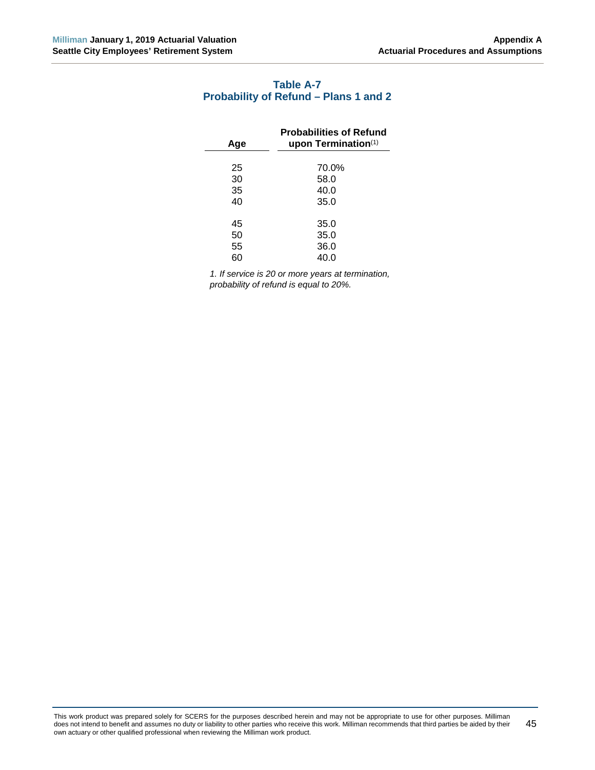# <span id="page-50-0"></span>**Table A-7 Probability of Refund – Plans 1 and 2**

| <b>Probabilities of Refund</b><br>upon Termination $(1)$ |
|----------------------------------------------------------|
|                                                          |
| 70.0%                                                    |
| 58.0                                                     |
| 40.0                                                     |
| 35.0                                                     |
|                                                          |
| 35.0                                                     |
| 35.0                                                     |
| 36.0                                                     |
| 40.0                                                     |
|                                                          |

*1. If service is 20 or more years at termination, probability of refund is equal to 20%.*

This work product was prepared solely for SCERS for the purposes described herein and may not be appropriate to use for other purposes. Milliman does not intend to benefit and assumes no duty or liability to other parties who receive this work. Milliman recommends that third parties be aided by their own actuary or other qualified professional when reviewing the Milliman work product. 45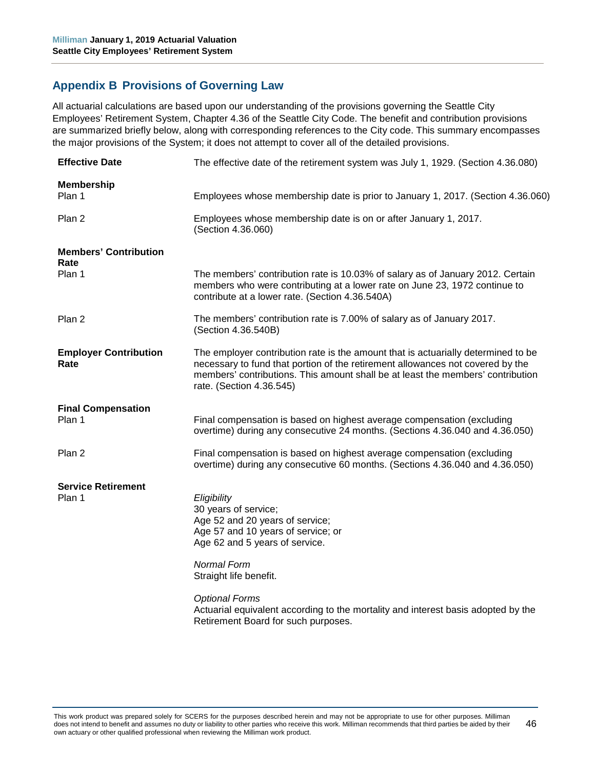# <span id="page-51-0"></span>**Appendix B Provisions of Governing Law**

All actuarial calculations are based upon our understanding of the provisions governing the Seattle City Employees' Retirement System, Chapter 4.36 of the Seattle City Code. The benefit and contribution provisions are summarized briefly below, along with corresponding references to the City code. This summary encompasses the major provisions of the System; it does not attempt to cover all of the detailed provisions.

| <b>Effective Date</b>                | The effective date of the retirement system was July 1, 1929. (Section 4.36.080)                                                                                                                                                                                                   |
|--------------------------------------|------------------------------------------------------------------------------------------------------------------------------------------------------------------------------------------------------------------------------------------------------------------------------------|
| <b>Membership</b><br>Plan 1          | Employees whose membership date is prior to January 1, 2017. (Section 4.36.060)                                                                                                                                                                                                    |
| Plan 2                               | Employees whose membership date is on or after January 1, 2017.<br>(Section 4.36.060)                                                                                                                                                                                              |
| <b>Members' Contribution</b><br>Rate |                                                                                                                                                                                                                                                                                    |
| Plan 1                               | The members' contribution rate is 10.03% of salary as of January 2012. Certain<br>members who were contributing at a lower rate on June 23, 1972 continue to<br>contribute at a lower rate. (Section 4.36.540A)                                                                    |
| Plan 2                               | The members' contribution rate is 7.00% of salary as of January 2017.<br>(Section 4.36.540B)                                                                                                                                                                                       |
| <b>Employer Contribution</b><br>Rate | The employer contribution rate is the amount that is actuarially determined to be<br>necessary to fund that portion of the retirement allowances not covered by the<br>members' contributions. This amount shall be at least the members' contribution<br>rate. (Section 4.36.545) |
| <b>Final Compensation</b><br>Plan 1  | Final compensation is based on highest average compensation (excluding<br>overtime) during any consecutive 24 months. (Sections 4.36.040 and 4.36.050)                                                                                                                             |
| Plan 2                               | Final compensation is based on highest average compensation (excluding<br>overtime) during any consecutive 60 months. (Sections 4.36.040 and 4.36.050)                                                                                                                             |
| <b>Service Retirement</b><br>Plan 1  | Eligibility                                                                                                                                                                                                                                                                        |
|                                      | 30 years of service;<br>Age 52 and 20 years of service;<br>Age 57 and 10 years of service; or<br>Age 62 and 5 years of service.                                                                                                                                                    |
|                                      | <b>Normal Form</b><br>Straight life benefit.                                                                                                                                                                                                                                       |
|                                      | <b>Optional Forms</b><br>Actuarial equivalent according to the mortality and interest basis adopted by the<br>Retirement Board for such purposes.                                                                                                                                  |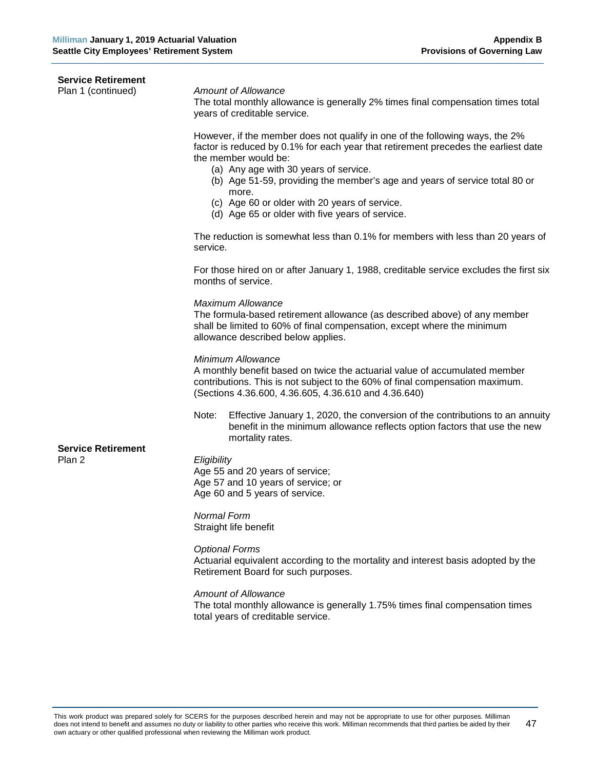| <b>Service Retirement</b>           |                                                                                                                                                                                                                                                                                                                                                                                                                                |  |  |  |
|-------------------------------------|--------------------------------------------------------------------------------------------------------------------------------------------------------------------------------------------------------------------------------------------------------------------------------------------------------------------------------------------------------------------------------------------------------------------------------|--|--|--|
| Plan 1 (continued)                  | <b>Amount of Allowance</b><br>The total monthly allowance is generally 2% times final compensation times total<br>years of creditable service.                                                                                                                                                                                                                                                                                 |  |  |  |
|                                     | However, if the member does not qualify in one of the following ways, the 2%<br>factor is reduced by 0.1% for each year that retirement precedes the earliest date<br>the member would be:<br>(a) Any age with 30 years of service.<br>(b) Age 51-59, providing the member's age and years of service total 80 or<br>more.<br>(c) Age 60 or older with 20 years of service.<br>(d) Age 65 or older with five years of service. |  |  |  |
|                                     | The reduction is somewhat less than 0.1% for members with less than 20 years of<br>service.                                                                                                                                                                                                                                                                                                                                    |  |  |  |
|                                     | For those hired on or after January 1, 1988, creditable service excludes the first six<br>months of service.                                                                                                                                                                                                                                                                                                                   |  |  |  |
|                                     | Maximum Allowance<br>The formula-based retirement allowance (as described above) of any member<br>shall be limited to 60% of final compensation, except where the minimum<br>allowance described below applies.                                                                                                                                                                                                                |  |  |  |
|                                     | Minimum Allowance<br>A monthly benefit based on twice the actuarial value of accumulated member<br>contributions. This is not subject to the 60% of final compensation maximum.<br>(Sections 4.36.600, 4.36.605, 4.36.610 and 4.36.640)                                                                                                                                                                                        |  |  |  |
|                                     | Note:<br>Effective January 1, 2020, the conversion of the contributions to an annuity<br>benefit in the minimum allowance reflects option factors that use the new<br>mortality rates.                                                                                                                                                                                                                                         |  |  |  |
| <b>Service Retirement</b><br>Plan 2 | Eligibility<br>Age 55 and 20 years of service;<br>Age 57 and 10 years of service; or<br>Age 60 and 5 years of service.                                                                                                                                                                                                                                                                                                         |  |  |  |
|                                     | <b>Normal Form</b><br>Straight life benefit                                                                                                                                                                                                                                                                                                                                                                                    |  |  |  |
|                                     | <b>Optional Forms</b><br>Actuarial equivalent according to the mortality and interest basis adopted by the<br>Retirement Board for such purposes.                                                                                                                                                                                                                                                                              |  |  |  |
|                                     | <b>Amount of Allowance</b><br>The total monthly allowance is generally 1.75% times final compensation times<br>total years of creditable service.                                                                                                                                                                                                                                                                              |  |  |  |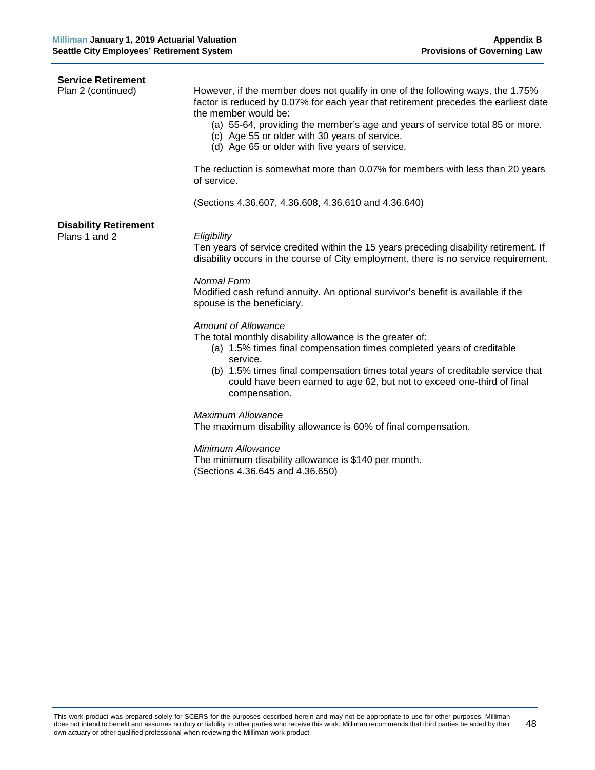| <b>Service Retirement</b><br>Plan 2 (continued) | However, if the member does not qualify in one of the following ways, the 1.75%<br>factor is reduced by 0.07% for each year that retirement precedes the earliest date<br>the member would be:<br>(a) 55-64, providing the member's age and years of service total 85 or more.<br>(c) Age 55 or older with 30 years of service.<br>(d) Age 65 or older with five years of service.<br>The reduction is somewhat more than 0.07% for members with less than 20 years<br>of service. |
|-------------------------------------------------|------------------------------------------------------------------------------------------------------------------------------------------------------------------------------------------------------------------------------------------------------------------------------------------------------------------------------------------------------------------------------------------------------------------------------------------------------------------------------------|
|                                                 | (Sections 4.36.607, 4.36.608, 4.36.610 and 4.36.640)                                                                                                                                                                                                                                                                                                                                                                                                                               |
| <b>Disability Retirement</b><br>Plans 1 and 2   | Eligibility<br>Ten years of service credited within the 15 years preceding disability retirement. If<br>disability occurs in the course of City employment, there is no service requirement.                                                                                                                                                                                                                                                                                       |
|                                                 | <b>Normal Form</b><br>Modified cash refund annuity. An optional survivor's benefit is available if the<br>spouse is the beneficiary.                                                                                                                                                                                                                                                                                                                                               |
|                                                 | <b>Amount of Allowance</b><br>The total monthly disability allowance is the greater of:<br>(a) 1.5% times final compensation times completed years of creditable<br>service.<br>(b) 1.5% times final compensation times total years of creditable service that<br>could have been earned to age 62, but not to exceed one-third of final<br>compensation.                                                                                                                          |
|                                                 | <b>Maximum Allowance</b><br>The maximum disability allowance is 60% of final compensation.                                                                                                                                                                                                                                                                                                                                                                                         |
|                                                 | Minimum Allowance<br>The minimum disability allowance is \$140 per month.<br>(Sections 4.36.645 and 4.36.650)                                                                                                                                                                                                                                                                                                                                                                      |
|                                                 |                                                                                                                                                                                                                                                                                                                                                                                                                                                                                    |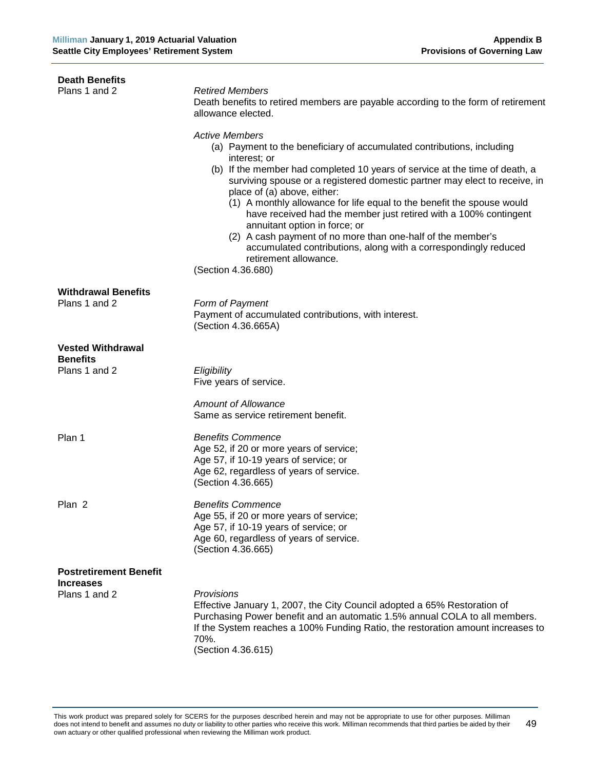| <b>Death Benefits</b>                             |                                                                                                                                                                                                                                                                                                                                                                                                                                                                                                                                                                                                                                                                             |
|---------------------------------------------------|-----------------------------------------------------------------------------------------------------------------------------------------------------------------------------------------------------------------------------------------------------------------------------------------------------------------------------------------------------------------------------------------------------------------------------------------------------------------------------------------------------------------------------------------------------------------------------------------------------------------------------------------------------------------------------|
| Plans 1 and 2                                     | <b>Retired Members</b><br>Death benefits to retired members are payable according to the form of retirement<br>allowance elected.                                                                                                                                                                                                                                                                                                                                                                                                                                                                                                                                           |
|                                                   | <b>Active Members</b><br>(a) Payment to the beneficiary of accumulated contributions, including<br>interest; or<br>(b) If the member had completed 10 years of service at the time of death, a<br>surviving spouse or a registered domestic partner may elect to receive, in<br>place of (a) above, either:<br>(1) A monthly allowance for life equal to the benefit the spouse would<br>have received had the member just retired with a 100% contingent<br>annuitant option in force; or<br>(2) A cash payment of no more than one-half of the member's<br>accumulated contributions, along with a correspondingly reduced<br>retirement allowance.<br>(Section 4.36.680) |
| <b>Withdrawal Benefits</b><br>Plans 1 and 2       | Form of Payment<br>Payment of accumulated contributions, with interest.<br>(Section 4.36.665A)                                                                                                                                                                                                                                                                                                                                                                                                                                                                                                                                                                              |
| <b>Vested Withdrawal</b><br><b>Benefits</b>       |                                                                                                                                                                                                                                                                                                                                                                                                                                                                                                                                                                                                                                                                             |
| Plans 1 and 2                                     | Eligibility<br>Five years of service.                                                                                                                                                                                                                                                                                                                                                                                                                                                                                                                                                                                                                                       |
|                                                   | Amount of Allowance<br>Same as service retirement benefit.                                                                                                                                                                                                                                                                                                                                                                                                                                                                                                                                                                                                                  |
| Plan 1                                            | <b>Benefits Commence</b><br>Age 52, if 20 or more years of service;<br>Age 57, if 10-19 years of service; or<br>Age 62, regardless of years of service.<br>(Section 4.36.665)                                                                                                                                                                                                                                                                                                                                                                                                                                                                                               |
| Plan 2                                            | <b>Benefits Commence</b><br>Age 55, if 20 or more years of service;<br>Age 57, if 10-19 years of service; or<br>Age 60, regardless of years of service.<br>(Section 4.36.665)                                                                                                                                                                                                                                                                                                                                                                                                                                                                                               |
| <b>Postretirement Benefit</b><br><b>Increases</b> |                                                                                                                                                                                                                                                                                                                                                                                                                                                                                                                                                                                                                                                                             |
| Plans 1 and 2                                     | <b>Provisions</b><br>Effective January 1, 2007, the City Council adopted a 65% Restoration of<br>Purchasing Power benefit and an automatic 1.5% annual COLA to all members.<br>If the System reaches a 100% Funding Ratio, the restoration amount increases to<br>70%.<br>(Section 4.36.615)                                                                                                                                                                                                                                                                                                                                                                                |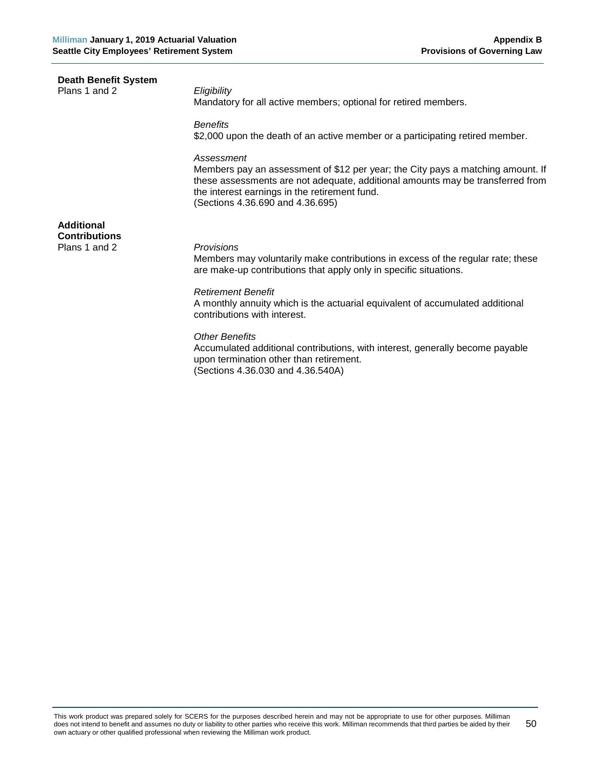**Death Benefit System** Plans 1 and 2 *Eligibility*

Mandatory for all active members; optional for retired members.

*Benefits*

\$2,000 upon the death of an active member or a participating retired member.

#### *Assessment*

Members pay an assessment of \$12 per year; the City pays a matching amount. If these assessments are not adequate, additional amounts may be transferred from the interest earnings in the retirement fund. (Sections 4.36.690 and 4.36.695)

**Additional Contributions** Plans 1 and 2 *Provisions*

Members may voluntarily make contributions in excess of the regular rate; these are make-up contributions that apply only in specific situations.

#### *Retirement Benefit*

A monthly annuity which is the actuarial equivalent of accumulated additional contributions with interest.

# *Other Benefits*

Accumulated additional contributions, with interest, generally become payable upon termination other than retirement. (Sections 4.36.030 and 4.36.540A)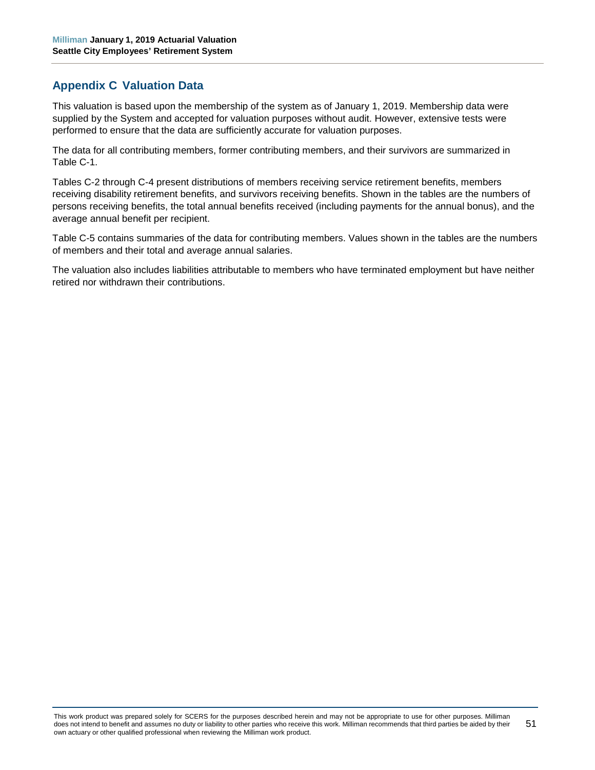# <span id="page-56-0"></span>**Appendix C Valuation Data**

This valuation is based upon the membership of the system as of January 1, 2019. Membership data were supplied by the System and accepted for valuation purposes without audit. However, extensive tests were performed to ensure that the data are sufficiently accurate for valuation purposes.

The data for all contributing members, former contributing members, and their survivors are summarized in Table C-1.

Tables C-2 through C-4 present distributions of members receiving service retirement benefits, members receiving disability retirement benefits, and survivors receiving benefits. Shown in the tables are the numbers of persons receiving benefits, the total annual benefits received (including payments for the annual bonus), and the average annual benefit per recipient.

Table C-5 contains summaries of the data for contributing members. Values shown in the tables are the numbers of members and their total and average annual salaries.

The valuation also includes liabilities attributable to members who have terminated employment but have neither retired nor withdrawn their contributions.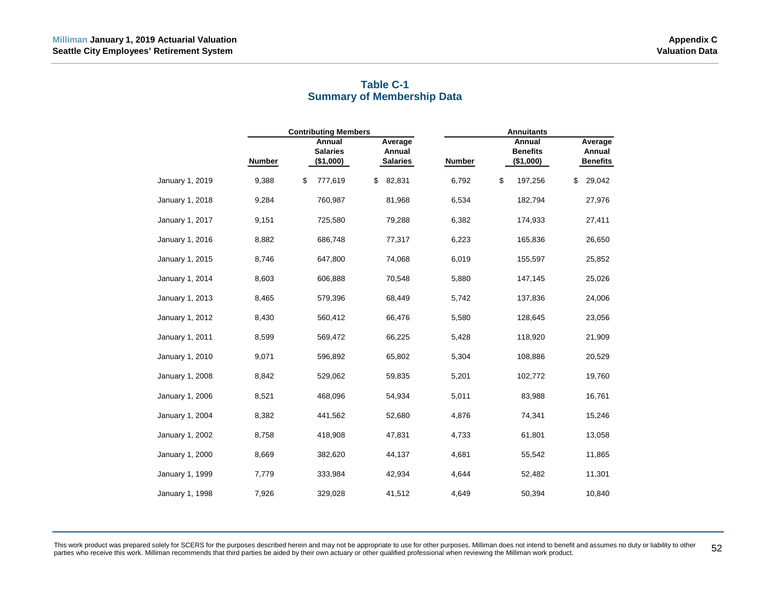<span id="page-57-0"></span>

|                 |               | <b>Contributing Members</b>            |                                      |               | <b>Annuitants</b>                      |                                      |
|-----------------|---------------|----------------------------------------|--------------------------------------|---------------|----------------------------------------|--------------------------------------|
|                 | <b>Number</b> | Annual<br><b>Salaries</b><br>(\$1,000) | Average<br>Annual<br><b>Salaries</b> | <b>Number</b> | Annual<br><b>Benefits</b><br>(\$1,000) | Average<br>Annual<br><b>Benefits</b> |
| January 1, 2019 | 9,388         | \$<br>777,619                          | \$<br>82,831                         | 6,792         | \$<br>197,256                          | 29,042<br>\$                         |
| January 1, 2018 | 9,284         | 760,987                                | 81,968                               | 6,534         | 182,794                                | 27,976                               |
| January 1, 2017 | 9,151         | 725,580                                | 79,288                               | 6,382         | 174,933                                | 27,411                               |
| January 1, 2016 | 8,882         | 686,748                                | 77,317                               | 6,223         | 165,836                                | 26,650                               |
| January 1, 2015 | 8,746         | 647,800                                | 74,068                               | 6,019         | 155,597                                | 25,852                               |
| January 1, 2014 | 8,603         | 606,888                                | 70,548                               | 5,880         | 147,145                                | 25,026                               |
| January 1, 2013 | 8,465         | 579,396                                | 68,449                               | 5,742         | 137,836                                | 24,006                               |
| January 1, 2012 | 8,430         | 560,412                                | 66,476                               | 5,580         | 128,645                                | 23,056                               |
| January 1, 2011 | 8,599         | 569,472                                | 66,225                               | 5,428         | 118,920                                | 21,909                               |
| January 1, 2010 | 9,071         | 596,892                                | 65,802                               | 5,304         | 108,886                                | 20,529                               |
| January 1, 2008 | 8,842         | 529,062                                | 59,835                               | 5,201         | 102,772                                | 19,760                               |
| January 1, 2006 | 8,521         | 468,096                                | 54,934                               | 5,011         | 83,988                                 | 16,761                               |
| January 1, 2004 | 8,382         | 441,562                                | 52,680                               | 4,876         | 74,341                                 | 15,246                               |
| January 1, 2002 | 8,758         | 418,908                                | 47,831                               | 4,733         | 61,801                                 | 13,058                               |
| January 1, 2000 | 8,669         | 382,620                                | 44,137                               | 4,681         | 55,542                                 | 11,865                               |
| January 1, 1999 | 7,779         | 333,984                                | 42,934                               | 4,644         | 52,482                                 | 11,301                               |
| January 1, 1998 | 7,926         | 329,028                                | 41,512                               | 4,649         | 50,394                                 | 10,840                               |

# **Table C-1 Summary of Membership Data**

This work product was prepared solely for SCERS for the purposes described herein and may not be appropriate to use for other purposes. Milliman does not intend to benefit and assumes no duty or liability to other 52<br>parti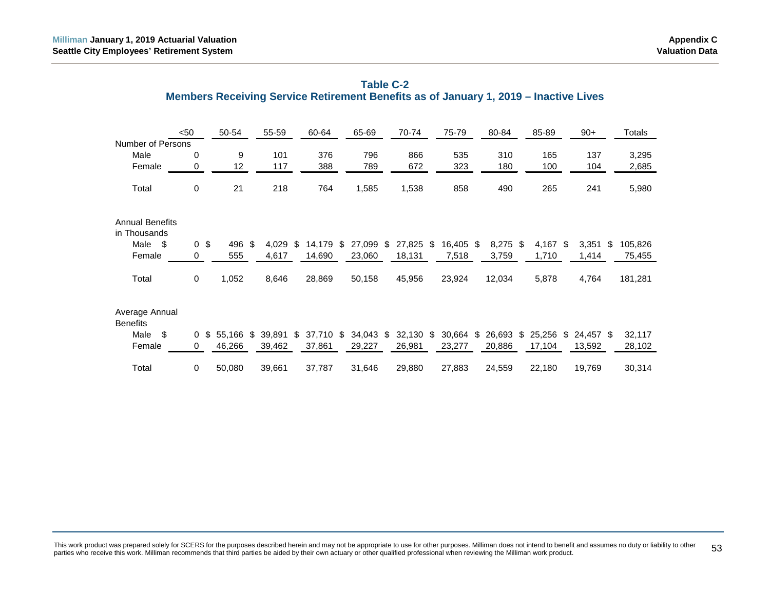<span id="page-58-0"></span>

|                                        | $50$         | 50-54        | 55-59        | 60-64           |     | 65-69     | 70-74        | 75-79           | 80-84        | 85-89        |     | $90+$     | Totals        |
|----------------------------------------|--------------|--------------|--------------|-----------------|-----|-----------|--------------|-----------------|--------------|--------------|-----|-----------|---------------|
| Number of Persons                      |              |              |              |                 |     |           |              |                 |              |              |     |           |               |
| Male                                   | 0            | 9            | 101          | 376             |     | 796       | 866          | 535             | 310          | 165          |     | 137       | 3,295         |
| Female                                 | 0            | 12           | 117          | 388             |     | 789       | 672          | 323             | 180          | 100          |     | 104       | 2,685         |
| Total                                  | $\mathbf 0$  | 21           | 218          | 764             |     | 1,585     | 1,538        | 858             | 490          | 265          |     | 241       | 5,980         |
| <b>Annual Benefits</b><br>in Thousands |              |              |              |                 |     |           |              |                 |              |              |     |           |               |
| Male<br>\$                             | $\mathbf 0$  | \$<br>496    | \$<br>4,029  | \$<br>14,179    | -\$ | 27,099    | \$<br>27,825 | \$<br>16,405 \$ | $8,275$ \$   | 4,167        | -\$ | 3,351     | \$<br>105,826 |
| Female                                 | 0            | 555          | 4,617        | 14,690          |     | 23,060    | 18,131       | 7,518           | 3,759        | 1,710        |     | 1,414     | 75,455        |
| Total                                  | $\mathbf 0$  | 1,052        | 8,646        | 28,869          |     | 50,158    | 45,956       | 23,924          | 12,034       | 5,878        |     | 4,764     | 181,281       |
| Average Annual<br><b>Benefits</b>      |              |              |              |                 |     |           |              |                 |              |              |     |           |               |
| \$<br>Male                             | $\mathbf{0}$ | \$<br>55,166 | \$<br>39,891 | \$<br>37,710 \$ |     | 34,043 \$ | 32,130       | \$<br>30,664    | \$<br>26,693 | \$<br>25,256 | \$  | 24,457 \$ | 32,117        |
| Female                                 | 0            | 46,266       | 39,462       | 37,861          |     | 29,227    | 26,981       | 23,277          | 20,886       | 17,104       |     | 13,592    | 28,102        |
| Total                                  | 0            | 50,080       | 39,661       | 37,787          |     | 31,646    | 29,880       | 27,883          | 24,559       | 22,180       |     | 19,769    | 30,314        |

# **Table C-2 Members Receiving Service Retirement Benefits as of January 1, 2019 – Inactive Lives**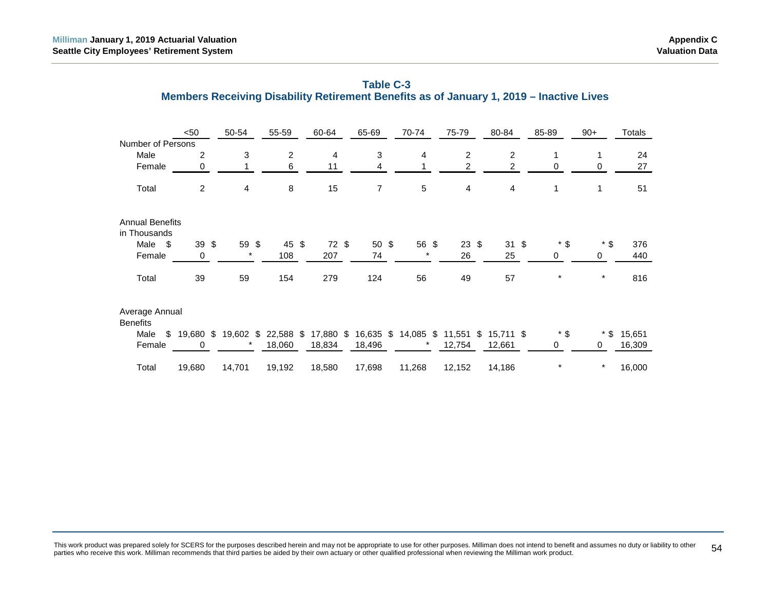|                                        | $50$                   | 50-54    | 55-59     | 60-64            | 65-69  | 70-74               | 75-79           | 80-84           | 85-89        | $90+$   | Totals |
|----------------------------------------|------------------------|----------|-----------|------------------|--------|---------------------|-----------------|-----------------|--------------|---------|--------|
| Number of Persons                      |                        |          |           |                  |        |                     |                 |                 |              |         |        |
| Male                                   | 2                      | 3        | 2         | 4                | 3      | 4                   | 2               | 2               | 1            | 1       | 24     |
| Female                                 | 0                      |          | 6         | 11               | 4      |                     | 2               | 2               | 0            | 0       | 27     |
| Total                                  | 2                      | 4        | 8         | 15               | 7      | $\sqrt{5}$          | 4               | 4               | $\mathbf{1}$ | 1       | 51     |
| <b>Annual Benefits</b><br>in Thousands |                        |          |           |                  |        |                     |                 |                 |              |         |        |
| Male \$                                | $39 \text{ } $$        | 59 \$    | 45 \$     | $72 \text{ }$ \$ | $50*$  | 56 \$               | $23 \text{ } $$ | $31 \text{ } $$ | $*$ \$       | $*$ \$  | 376    |
| Female                                 | 0                      | $^\star$ | 108       | 207              | 74     | $\ast$              | 26              | 25              | 0            | 0       | 440    |
| Total                                  | 39                     | 59       | 154       | 279              | 124    | 56                  | 49              | 57              | $\ast$       | $\star$ | 816    |
| Average Annual<br><b>Benefits</b>      |                        |          |           |                  |        |                     |                 |                 |              |         |        |
| Male                                   | $$19,680$ \$ 19,602 \$ |          | 22,588 \$ | 17,880 \$        |        | 16,635 \$ 14,085 \$ | $11,551$ \$     | $15,711$ \$     | $*$ \$       | $*$ \$  | 15,651 |
| Female                                 | 0                      |          | 18,060    | 18,834           | 18,496 |                     | 12,754          | 12,661          | 0            | 0       | 16,309 |
| Total                                  | 19,680                 | 14,701   | 19,192    | 18,580           | 17,698 | 11,268              | 12,152          | 14,186          | $\star$      | $\ast$  | 16,000 |

<span id="page-59-0"></span>

| Table C-3                                                                               |
|-----------------------------------------------------------------------------------------|
| Members Receiving Disability Retirement Benefits as of January 1, 2019 – Inactive Lives |

This work product was prepared solely for SCERS for the purposes described herein and may not be appropriate to use for other purposes. Milliman does not intend to benefit and assumes no duty or liability to other [54] [54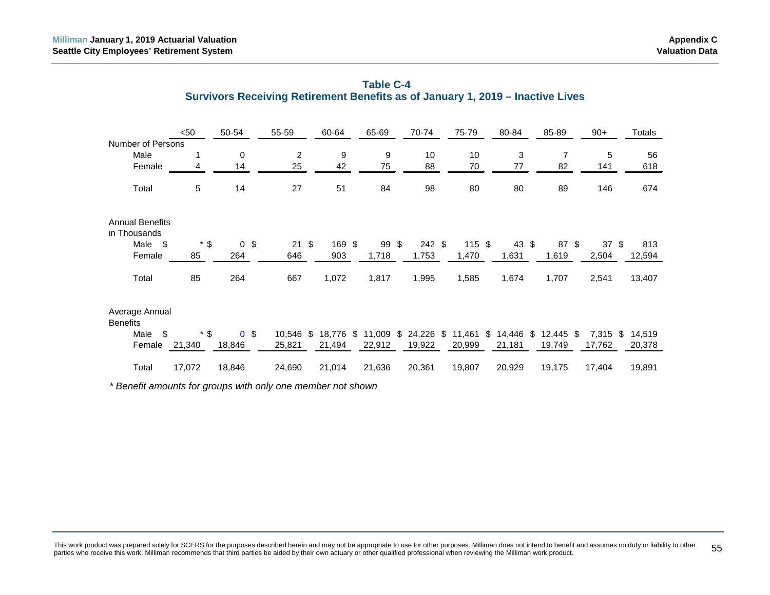|                                        | $50$   | 50-54          | 55-59            | 60-64        | 65-69           | 70-74              | 75-79        | 80-84        | 85-89        | $90+$           | Totals |
|----------------------------------------|--------|----------------|------------------|--------------|-----------------|--------------------|--------------|--------------|--------------|-----------------|--------|
| Number of Persons                      |        |                |                  |              |                 |                    |              |              |              |                 |        |
| Male                                   | 1      | $\mathbf 0$    | 2                | 9            | 9               | 10                 | 10           | 3            | 7            | 5               | 56     |
| Female                                 | 4      | 14             | 25               | 42           | 75              | 88                 | 70           | 77           | 82           | 141             | 618    |
| Total                                  | 5      | 14             | 27               | 51           | 84              | 98                 | 80           | 80           | 89           | 146             | 674    |
| <b>Annual Benefits</b><br>in Thousands |        |                |                  |              |                 |                    |              |              |              |                 |        |
| $\mathfrak s$<br>Male                  | $*$ \$ | 0 <sup>5</sup> | $21 \text{ }$ \$ | 169 \$       | $99 \text{ } $$ | $242$ \$           | $115$ \$     | 43 \$        | 87 \$        | 37 <sup>5</sup> | 813    |
| Female                                 | 85     | 264            | 646              | 903          | 1,718           | 1,753              | 1,470        | 1,631        | 1,619        | 2,504           | 12,594 |
| Total                                  | 85     | 264            | 667              | 1,072        | 1,817           | 1,995              | 1,585        | 1,674        | 1,707        | 2,541           | 13,407 |
| Average Annual<br><b>Benefits</b>      |        |                |                  |              |                 |                    |              |              |              |                 |        |
| \$<br>Male                             | $*$ \$ | 0 <sup>5</sup> | 10,546 \$        | \$<br>18,776 | 11,009          | \$<br>24,226<br>\$ | 11,461<br>\$ | \$<br>14,446 | \$<br>12,445 | 7,315<br>- \$   | 14,519 |
| Female                                 | 21,340 | 18,846         | 25,821           | 21,494       | 22,912          | 19,922             | 20,999       | 21,181       | 19,749       | 17,762          | 20,378 |
| Total                                  | 17,072 | 18,846         | 24,690           | 21,014       | 21,636          | 20,361             | 19,807       | 20,929       | 19,175       | 17,404          | 19,891 |

<span id="page-60-0"></span>

| <b>Table C-4</b>                                                               |
|--------------------------------------------------------------------------------|
| Survivors Receiving Retirement Benefits as of January 1, 2019 – Inactive Lives |

*\* Benefit amounts for groups with only one member not shown*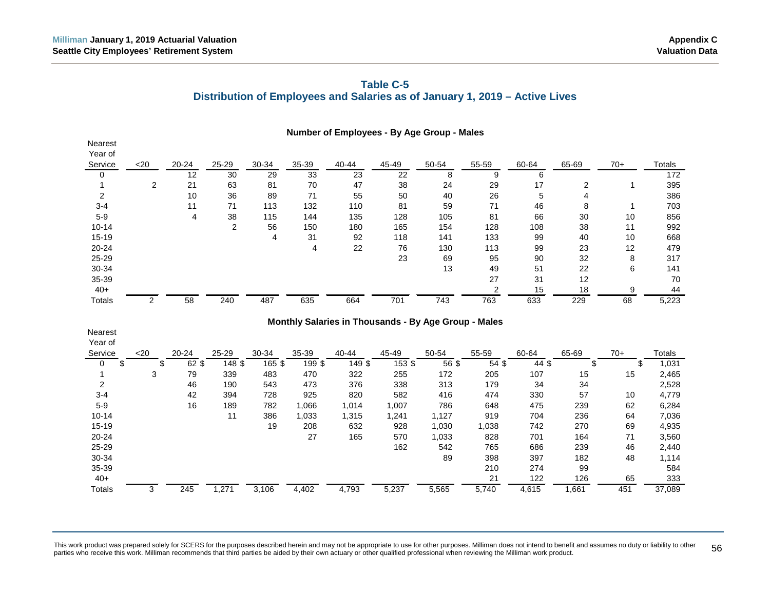# **Table C-5 Distribution of Employees and Salaries as of January 1, 2019 – Active Lives**

<span id="page-61-0"></span>

| Nearest<br>Year of | Number of Employees - By Age Group - Males<br>25-29<br>30-34<br>35-39<br>40-44<br>45-49<br>50-54<br>55-59<br>60-64<br>$70+$<br>20-24<br>65-69<br>Totals<br>$20$<br>33<br>$\overline{22}$<br>12<br>30<br>29<br>23<br>8<br>9<br>6<br>172<br>2<br>21<br>63<br>81<br>70<br>47<br>38<br>29<br>17<br>2<br>395<br>24<br>26<br>10<br>36<br>89<br>71<br>55<br>5<br>$\overline{4}$<br>386<br>50<br>40<br>71<br>113<br>132<br>110<br>81<br>59<br>71<br>46<br>8<br>703<br>11<br>1<br>4<br>38<br>115<br>144<br>135<br>105<br>66<br>30<br>10<br>128<br>81<br>856 |         |                |                |          |        |          |       |                |                    |       |       |               |  |  |
|--------------------|----------------------------------------------------------------------------------------------------------------------------------------------------------------------------------------------------------------------------------------------------------------------------------------------------------------------------------------------------------------------------------------------------------------------------------------------------------------------------------------------------------------------------------------------------|---------|----------------|----------------|----------|--------|----------|-------|----------------|--------------------|-------|-------|---------------|--|--|
| Service            |                                                                                                                                                                                                                                                                                                                                                                                                                                                                                                                                                    |         |                |                |          |        |          |       |                |                    |       |       |               |  |  |
| 0                  |                                                                                                                                                                                                                                                                                                                                                                                                                                                                                                                                                    |         |                |                |          |        |          |       |                |                    |       |       |               |  |  |
| 1                  |                                                                                                                                                                                                                                                                                                                                                                                                                                                                                                                                                    |         |                |                |          |        |          |       |                |                    |       |       |               |  |  |
| 2                  |                                                                                                                                                                                                                                                                                                                                                                                                                                                                                                                                                    |         |                |                |          |        |          |       |                |                    |       |       |               |  |  |
| $3 - 4$            |                                                                                                                                                                                                                                                                                                                                                                                                                                                                                                                                                    |         |                |                |          |        |          |       |                |                    |       |       |               |  |  |
| $5-9$              |                                                                                                                                                                                                                                                                                                                                                                                                                                                                                                                                                    |         |                |                |          |        |          |       |                |                    |       |       |               |  |  |
| $10 - 14$          |                                                                                                                                                                                                                                                                                                                                                                                                                                                                                                                                                    |         | $\overline{c}$ | 56             | 150      | 180    | 165      | 154   | 128            | 108                | 38    | 11    | 992           |  |  |
| 15-19              |                                                                                                                                                                                                                                                                                                                                                                                                                                                                                                                                                    |         |                | $\overline{4}$ | 31       | 92     | 118      | 141   | 133            | 99                 | 40    | 10    | 668           |  |  |
| 20-24              |                                                                                                                                                                                                                                                                                                                                                                                                                                                                                                                                                    |         |                |                | 4        | 22     | 76       | 130   | 113            | 99                 | 23    | 12    | 479           |  |  |
| 25-29              |                                                                                                                                                                                                                                                                                                                                                                                                                                                                                                                                                    |         |                |                |          |        | 23       | 69    | 95             | 90                 | 32    | 8     | 317           |  |  |
| 30-34              |                                                                                                                                                                                                                                                                                                                                                                                                                                                                                                                                                    |         |                |                |          |        |          | 13    | 49             | 51                 | 22    | 6     | 141           |  |  |
| 35-39              |                                                                                                                                                                                                                                                                                                                                                                                                                                                                                                                                                    |         |                |                |          |        |          |       | 27             | 31                 | 12    |       | 70            |  |  |
| $40+$              |                                                                                                                                                                                                                                                                                                                                                                                                                                                                                                                                                    |         |                |                |          |        |          |       | $\overline{2}$ | 15                 | 18    | 9     | 44            |  |  |
| Totals             | $\overline{2}$                                                                                                                                                                                                                                                                                                                                                                                                                                                                                                                                     | 58      | 240            | 487            | 635      | 664    | 701      | 743   | 763            | 633                | 229   | 68    | 5,223         |  |  |
| Nearest<br>Year of | Monthly Salaries in Thousands - By Age Group - Males                                                                                                                                                                                                                                                                                                                                                                                                                                                                                               |         |                |                |          |        |          |       |                |                    |       |       |               |  |  |
| Service            | $20$                                                                                                                                                                                                                                                                                                                                                                                                                                                                                                                                               | 20-24   | 25-29          | 30-34          | 35-39    | 40-44  | 45-49    | 50-54 | 55-59          | 60-64              | 65-69 | $70+$ | <b>Totals</b> |  |  |
| $\mathbf 0$<br>\$  | \$                                                                                                                                                                                                                                                                                                                                                                                                                                                                                                                                                 | $62$ \$ | $148$ \$       | $165$ \$       | $199$ \$ | 149 \$ | $153$ \$ | 56 \$ | $54$ \$        | $\overline{44}$ \$ | \$    | \$    | 1,031         |  |  |
| 1                  | 3                                                                                                                                                                                                                                                                                                                                                                                                                                                                                                                                                  | 79      | 339            | 483            | 470      | 322    | 255      | 172   | 205            | 107                | 15    | 15    | 2,465         |  |  |
| 2                  |                                                                                                                                                                                                                                                                                                                                                                                                                                                                                                                                                    | 46      | 190            | 543            | 473      | 376    | 338      | 313   | 179            | 34                 | 34    |       | 2,528         |  |  |
| $3 - 4$            |                                                                                                                                                                                                                                                                                                                                                                                                                                                                                                                                                    | 42      | 394            | 728            | 925      | 820    | 582      | 416   | 474            | 330                | 57    | 10    | 4,779         |  |  |
| $5-9$              |                                                                                                                                                                                                                                                                                                                                                                                                                                                                                                                                                    | 16      | 189            | 782            | 1,066    | 1,014  | 1,007    | 786   | 648            | 475                | 239   | 62    | 6,284         |  |  |
| $10 - 14$          |                                                                                                                                                                                                                                                                                                                                                                                                                                                                                                                                                    |         | 11             | 386            | 1,033    | 1,315  | 1,241    | 1,127 | 919            | 704                | 236   | 64    | 7,036         |  |  |
| 15-19              |                                                                                                                                                                                                                                                                                                                                                                                                                                                                                                                                                    |         |                | 19             | 208      | 632    | 928      | 1,030 | 1,038          | 742                | 270   | 69    | 4,935         |  |  |
| 20-24              |                                                                                                                                                                                                                                                                                                                                                                                                                                                                                                                                                    |         |                |                | 27       | 165    | 570      | 1,033 | 828            | 701                | 164   | 71    | 3,560         |  |  |
| 25-29              |                                                                                                                                                                                                                                                                                                                                                                                                                                                                                                                                                    |         |                |                |          |        | 162      | 542   | 765            | 686                | 239   | 46    | 2,440         |  |  |
| 30-34              |                                                                                                                                                                                                                                                                                                                                                                                                                                                                                                                                                    |         |                |                |          |        |          | 89    | 398            | 397                | 182   | 48    | 1,114         |  |  |
| 35-39              |                                                                                                                                                                                                                                                                                                                                                                                                                                                                                                                                                    |         |                |                |          |        |          |       | 210            | 274                | 99    |       | 584           |  |  |
| $40+$              |                                                                                                                                                                                                                                                                                                                                                                                                                                                                                                                                                    |         |                |                |          |        |          |       | 21             | 122                | 126   | 65    | 333           |  |  |
| Totals             | 3                                                                                                                                                                                                                                                                                                                                                                                                                                                                                                                                                  | 245     | 1,271          | 3,106          | 4,402    | 4,793  | 5,237    | 5,565 | 5,740          | 4,615              | 1,661 | 451   | 37,089        |  |  |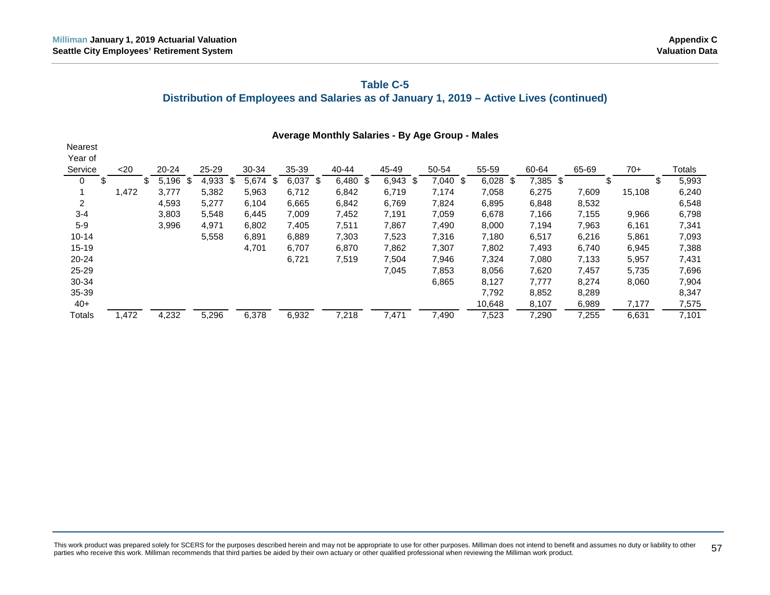# **Table C-5 Distribution of Employees and Salaries as of January 1, 2019 – Active Lives (continued)**

|                | <b>Average Monthly Salaries - By Age Group - Males</b> |    |             |  |       |    |            |  |            |  |            |  |            |  |            |             |          |       |        |             |
|----------------|--------------------------------------------------------|----|-------------|--|-------|----|------------|--|------------|--|------------|--|------------|--|------------|-------------|----------|-------|--------|-------------|
| <b>Nearest</b> |                                                        |    |             |  |       |    |            |  |            |  |            |  |            |  |            |             |          |       |        |             |
| Year of        |                                                        |    |             |  |       |    |            |  |            |  |            |  |            |  |            |             |          |       |        |             |
| Service        | $20$                                                   |    | 20-24       |  | 25-29 |    | 30-34      |  | 35-39      |  | $40 - 44$  |  | 45-49      |  | 50-54      | 55-59       | 60-64    | 65-69 | $70+$  | Totals      |
| 0              | \$                                                     | \$ | 5,196<br>\$ |  | 4,933 | \$ | $5,674$ \$ |  | $6,037$ \$ |  | $6,480$ \$ |  | $6,943$ \$ |  | $7,040$ \$ | 6,028<br>\$ | 7,385 \$ |       | \$     | \$<br>5,993 |
|                | 1,472                                                  |    | 3,777       |  | 5,382 |    | 5,963      |  | 6,712      |  | 6,842      |  | 6,719      |  | 7,174      | 7,058       | 6,275    | 7,609 | 15,108 | 6,240       |
| 2              |                                                        |    | 4,593       |  | 5,277 |    | 6,104      |  | 6,665      |  | 6,842      |  | 6,769      |  | 7,824      | 6,895       | 6,848    | 8,532 |        | 6,548       |
| $3 - 4$        |                                                        |    | 3,803       |  | 5,548 |    | 6,445      |  | 7,009      |  | 7,452      |  | 7,191      |  | 7,059      | 6,678       | 7,166    | 7,155 | 9,966  | 6,798       |
| $5 - 9$        |                                                        |    | 3,996       |  | 4,971 |    | 6,802      |  | 7,405      |  | 7,511      |  | 7,867      |  | 7,490      | 8,000       | 7,194    | 7,963 | 6,161  | 7,341       |
| $10 - 14$      |                                                        |    |             |  | 5,558 |    | 6,891      |  | 6,889      |  | 7,303      |  | 7,523      |  | 7,316      | 7,180       | 6,517    | 6,216 | 5,861  | 7,093       |
| $15 - 19$      |                                                        |    |             |  |       |    | 4,701      |  | 6,707      |  | 6,870      |  | 7,862      |  | 7,307      | 7,802       | 7,493    | 6,740 | 6,945  | 7,388       |
| $20 - 24$      |                                                        |    |             |  |       |    |            |  | 6,721      |  | 7,519      |  | 7,504      |  | 7,946      | 7,324       | 7,080    | 7,133 | 5,957  | 7,431       |
| 25-29          |                                                        |    |             |  |       |    |            |  |            |  |            |  | 7,045      |  | 7,853      | 8,056       | 7,620    | 7,457 | 5,735  | 7,696       |
| 30-34          |                                                        |    |             |  |       |    |            |  |            |  |            |  |            |  | 6,865      | 8,127       | 7,777    | 8,274 | 8,060  | 7,904       |
| 35-39          |                                                        |    |             |  |       |    |            |  |            |  |            |  |            |  |            | 7,792       | 8,852    | 8,289 |        | 8,347       |
| $40+$          |                                                        |    |             |  |       |    |            |  |            |  |            |  |            |  |            | 10,648      | 8,107    | 6,989 | 7,177  | 7,575       |
| Totals         | 1,472                                                  |    | 4,232       |  | 5,296 |    | 6,378      |  | 6,932      |  | 7,218      |  | 7,471      |  | 7,490      | 7,523       | 7,290    | 7,255 | 6,631  | 7,101       |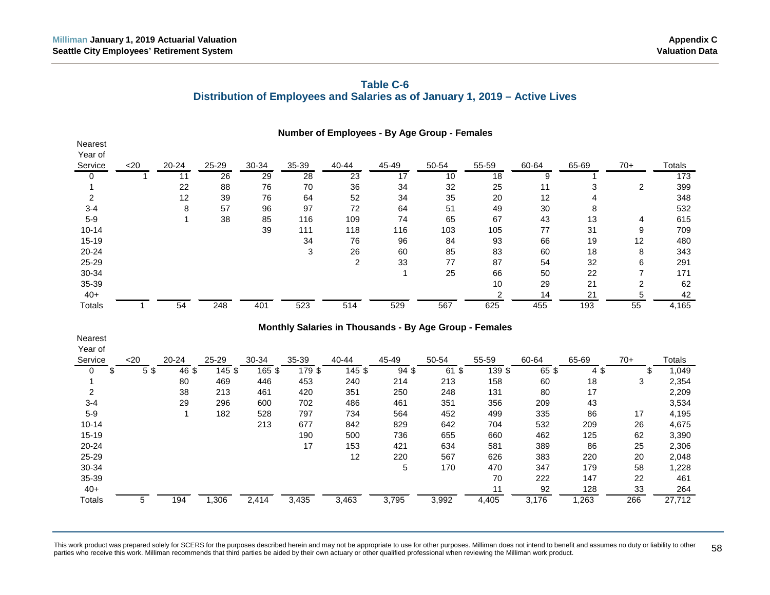# **Table C-6 Distribution of Employees and Salaries as of January 1, 2019 – Active Lives**

|           |        |           |           |       |       |                | Number of Employees - By Age Group - Females |       |       |       |       |       |        |
|-----------|--------|-----------|-----------|-------|-------|----------------|----------------------------------------------|-------|-------|-------|-------|-------|--------|
| Nearest   |        |           |           |       |       |                |                                              |       |       |       |       |       |        |
| Year of   |        |           |           |       |       |                |                                              |       |       |       |       |       |        |
| Service   | $<$ 20 | $20 - 24$ | $25 - 29$ | 30-34 | 35-39 | 40-44          | 45-49                                        | 50-54 | 55-59 | 60-64 | 65-69 | $70+$ | Totals |
|           |        | 11        | 26        | 29    | 28    | 23             | 17                                           | 10    | 18    |       |       |       | 173    |
|           |        | 22        | 88        | 76    | 70    | 36             | 34                                           | 32    | 25    | 11    | 3     | 2     | 399    |
|           |        | 12        | 39        | 76    | 64    | 52             | 34                                           | 35    | 20    | 12    | 4     |       | 348    |
| $3 - 4$   |        | 8         | 57        | 96    | 97    | 72             | 64                                           | 51    | 49    | 30    | 8     |       | 532    |
| $5-9$     |        |           | 38        | 85    | 116   | 109            | 74                                           | 65    | 67    | 43    | 13    | 4     | 615    |
| $10 - 14$ |        |           |           | 39    | 111   | 118            | 116                                          | 103   | 105   | 77    | 31    | 9     | 709    |
| $15 - 19$ |        |           |           |       | 34    | 76             | 96                                           | 84    | 93    | 66    | 19    | 12    | 480    |
| 20-24     |        |           |           |       | 3     | 26             | 60                                           | 85    | 83    | 60    | 18    | 8     | 343    |
| 25-29     |        |           |           |       |       | $\overline{2}$ | 33                                           | 77    | 87    | 54    | 32    | 6     | 291    |
| 30-34     |        |           |           |       |       |                |                                              | 25    | 66    | 50    | 22    |       | 171    |
| $35 - 39$ |        |           |           |       |       |                |                                              |       | 10    | 29    | 21    | 2     | 62     |
| $40+$     |        |           |           |       |       |                |                                              |       |       | 14    | 21    | 5     | 42     |
| Totals    |        | 54        | 248       | 401   | 523   | 514            | 529                                          | 567   | 625   | 455   | 193   | 55    | 4,165  |

#### **Monthly Salaries in Thousands - By Age Group - Females**

<span id="page-63-0"></span>

| <b>Nearest</b><br>Year of |      |                  |        |        |        |           |       |            |        |       |       |     |        |
|---------------------------|------|------------------|--------|--------|--------|-----------|-------|------------|--------|-------|-------|-----|--------|
| Service                   | $20$ | 20-24            | 25-29  | 30-34  | 35-39  | $40 - 44$ | 45-49 | 50-54      | 55-59  | 60-64 | 65-69 | 70+ | Totals |
| 0<br>S                    | 5\$  | 46 \$            | 145 \$ | 165 \$ | 179 \$ | 145 \$    | 94 \$ | - \$<br>61 | 139 \$ | 65\$  | 4\$   |     | 1,049  |
|                           |      | 80               | 469    | 446    | 453    | 240       | 214   | 213        | 158    | 60    | 18    | 3   | 2,354  |
| $\overline{2}$            |      | 38               | 213    | 461    | 420    | 351       | 250   | 248        | 131    | 80    | 17    |     | 2,209  |
| $3 - 4$                   |      | 29               | 296    | 600    | 702    | 486       | 461   | 351        | 356    | 209   | 43    |     | 3,534  |
| $5-9$                     |      |                  | 182    | 528    | 797    | 734       | 564   | 452        | 499    | 335   | 86    | 17  | 4,195  |
| $10 - 14$                 |      |                  |        | 213    | 677    | 842       | 829   | 642        | 704    | 532   | 209   | 26  | 4,675  |
| $15 - 19$                 |      |                  |        |        | 190    | 500       | 736   | 655        | 660    | 462   | 125   | 62  | 3,390  |
| $20 - 24$                 |      |                  |        |        | 17     | 153       | 421   | 634        | 581    | 389   | 86    | 25  | 2,306  |
| 25-29                     |      |                  |        |        |        | 12        | 220   | 567        | 626    | 383   | 220   | 20  | 2,048  |
| 30-34                     |      |                  |        |        |        |           | 5     | 170        | 470    | 347   | 179   | 58  | 1,228  |
| 35-39                     |      |                  |        |        |        |           |       |            | 70     | 222   | 147   | 22  | 461    |
| $40+$                     |      |                  |        |        |        |           |       |            | 11     | 92    | 128   | 33  | 264    |
| <b>Totals</b>             | 5    | $19\overline{4}$ | ,306   | 2,414  | 3,435  | 3,463     | 3,795 | 3,992      | 4,405  | 3,176 | ,263  | 266 | 27,712 |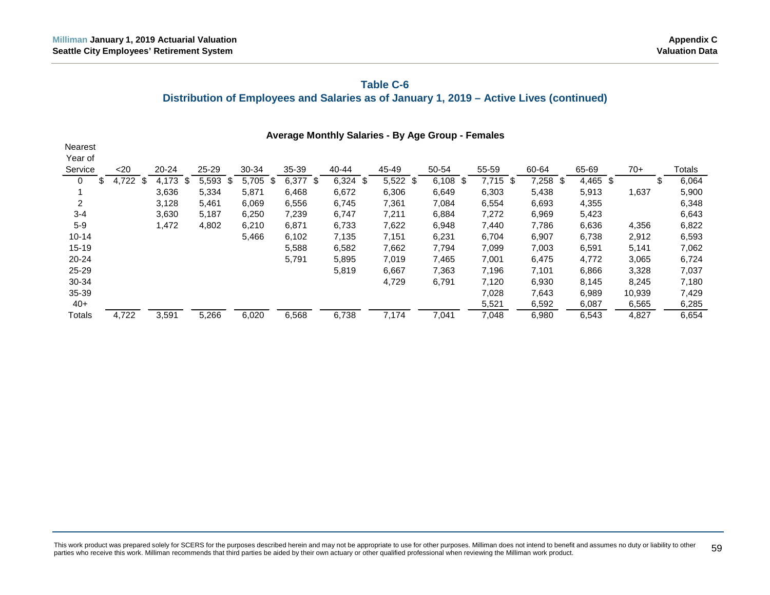# **Table C-6**

# **Distribution of Employees and Salaries as of January 1, 2019 – Active Lives (continued)**

|                | Average Monthly Salaries - By Age Group - Females |            |           |    |       |    |       |    |             |  |            |  |            |  |            |            |            |            |        |   |        |
|----------------|---------------------------------------------------|------------|-----------|----|-------|----|-------|----|-------------|--|------------|--|------------|--|------------|------------|------------|------------|--------|---|--------|
| <b>Nearest</b> |                                                   |            |           |    |       |    |       |    |             |  |            |  |            |  |            |            |            |            |        |   |        |
| Year of        |                                                   |            |           |    |       |    |       |    |             |  |            |  |            |  |            |            |            |            |        |   |        |
| Service        |                                                   | $20$       | $20 - 24$ |    | 25-29 |    | 30-34 |    | 35-39       |  | 40-44      |  | 45-49      |  | 50-54      | 55-59      | 60-64      | 65-69      | $70+$  |   | Totals |
| 0              | \$<br>4,                                          | .722<br>\$ | 4,173     | \$ | 5,593 | \$ | 5,705 | \$ | 6,377<br>\$ |  | $6,324$ \$ |  | $5,522$ \$ |  | $6,108$ \$ | $7,715$ \$ | $7,258$ \$ | $4,465$ \$ |        | S | 6,064  |
|                |                                                   |            | 3,636     |    | 5,334 |    | 5,871 |    | 6,468       |  | 6,672      |  | 6,306      |  | 6,649      | 6,303      | 5,438      | 5,913      | 1,637  |   | 5,900  |
| 2              |                                                   |            | 3,128     |    | 5,461 |    | 6,069 |    | 6,556       |  | 6,745      |  | 7,361      |  | 7,084      | 6,554      | 6,693      | 4,355      |        |   | 6,348  |
| $3 - 4$        |                                                   |            | 3,630     |    | 5,187 |    | 6,250 |    | 7,239       |  | 6,747      |  | 7,211      |  | 6,884      | 7,272      | 6,969      | 5,423      |        |   | 6,643  |
| $5-9$          |                                                   |            | 1,472     |    | 4,802 |    | 6,210 |    | 6,871       |  | 6,733      |  | 7,622      |  | 6,948      | 7,440      | 7,786      | 6,636      | 4,356  |   | 6,822  |
| $10 - 14$      |                                                   |            |           |    |       |    | 5,466 |    | 6,102       |  | 7,135      |  | 7,151      |  | 6,231      | 6,704      | 6,907      | 6,738      | 2,912  |   | 6,593  |
| $15 - 19$      |                                                   |            |           |    |       |    |       |    | 5,588       |  | 6,582      |  | 7,662      |  | 7,794      | 7,099      | 7,003      | 6,591      | 5,141  |   | 7,062  |
| 20-24          |                                                   |            |           |    |       |    |       |    | 5,791       |  | 5,895      |  | 7,019      |  | 7,465      | 7,001      | 6,475      | 4,772      | 3,065  |   | 6,724  |
| 25-29          |                                                   |            |           |    |       |    |       |    |             |  | 5,819      |  | 6,667      |  | 7,363      | 7,196      | 7,101      | 6,866      | 3,328  |   | 7,037  |
| 30-34          |                                                   |            |           |    |       |    |       |    |             |  |            |  | 4,729      |  | 6,791      | 7,120      | 6,930      | 8,145      | 8,245  |   | 7,180  |
| 35-39          |                                                   |            |           |    |       |    |       |    |             |  |            |  |            |  |            | 7,028      | 7,643      | 6,989      | 10,939 |   | 7,429  |
| $40+$          |                                                   |            |           |    |       |    |       |    |             |  |            |  |            |  |            | 5,521      | 6,592      | 6,087      | 6,565  |   | 6,285  |
| Totals         |                                                   | 4,722      | 3,591     |    | 5,266 |    | 6,020 |    | 6,568       |  | 6,738      |  | 7.174      |  | 7.041      | 7,048      | 6,980      | 6,543      | 4,827  |   | 6,654  |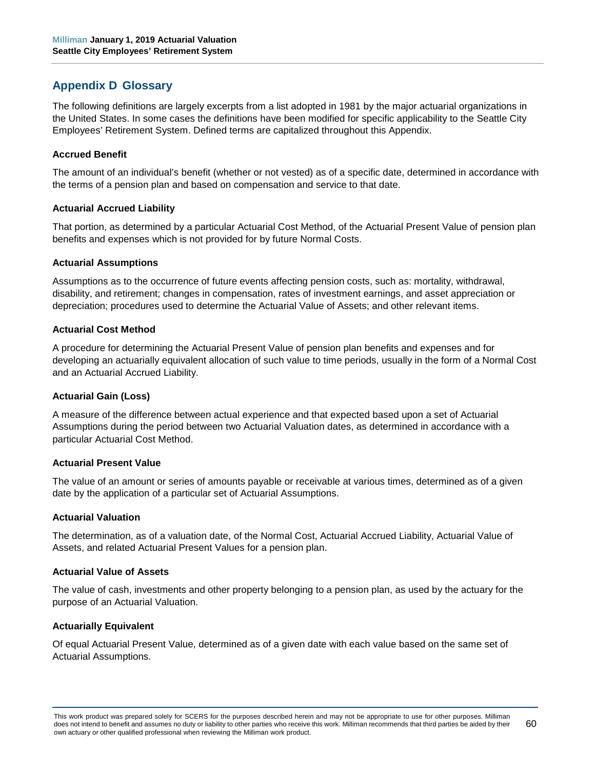# <span id="page-65-0"></span>**Appendix D Glossary**

The following definitions are largely excerpts from a list adopted in 1981 by the major actuarial organizations in the United States. In some cases the definitions have been modified for specific applicability to the Seattle City Employees' Retirement System. Defined terms are capitalized throughout this Appendix.

#### **Accrued Benefit**

The amount of an individual's benefit (whether or not vested) as of a specific date, determined in accordance with the terms of a pension plan and based on compensation and service to that date.

#### **Actuarial Accrued Liability**

That portion, as determined by a particular Actuarial Cost Method, of the Actuarial Present Value of pension plan benefits and expenses which is not provided for by future Normal Costs.

#### **Actuarial Assumptions**

Assumptions as to the occurrence of future events affecting pension costs, such as: mortality, withdrawal, disability, and retirement; changes in compensation, rates of investment earnings, and asset appreciation or depreciation; procedures used to determine the Actuarial Value of Assets; and other relevant items.

#### **Actuarial Cost Method**

A procedure for determining the Actuarial Present Value of pension plan benefits and expenses and for developing an actuarially equivalent allocation of such value to time periods, usually in the form of a Normal Cost and an Actuarial Accrued Liability.

#### **Actuarial Gain (Loss)**

A measure of the difference between actual experience and that expected based upon a set of Actuarial Assumptions during the period between two Actuarial Valuation dates, as determined in accordance with a particular Actuarial Cost Method.

#### **Actuarial Present Value**

The value of an amount or series of amounts payable or receivable at various times, determined as of a given date by the application of a particular set of Actuarial Assumptions.

#### **Actuarial Valuation**

The determination, as of a valuation date, of the Normal Cost, Actuarial Accrued Liability, Actuarial Value of Assets, and related Actuarial Present Values for a pension plan.

#### **Actuarial Value of Assets**

The value of cash, investments and other property belonging to a pension plan, as used by the actuary for the purpose of an Actuarial Valuation.

#### **Actuarially Equivalent**

Of equal Actuarial Present Value, determined as of a given date with each value based on the same set of Actuarial Assumptions.